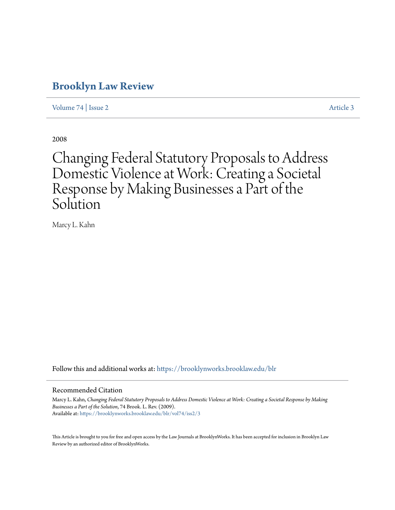# **[Brooklyn Law Review](https://brooklynworks.brooklaw.edu/blr?utm_source=brooklynworks.brooklaw.edu%2Fblr%2Fvol74%2Fiss2%2F3&utm_medium=PDF&utm_campaign=PDFCoverPages)**

[Volume 74](https://brooklynworks.brooklaw.edu/blr/vol74?utm_source=brooklynworks.brooklaw.edu%2Fblr%2Fvol74%2Fiss2%2F3&utm_medium=PDF&utm_campaign=PDFCoverPages) | [Issue 2](https://brooklynworks.brooklaw.edu/blr/vol74/iss2?utm_source=brooklynworks.brooklaw.edu%2Fblr%2Fvol74%2Fiss2%2F3&utm_medium=PDF&utm_campaign=PDFCoverPages) [Article 3](https://brooklynworks.brooklaw.edu/blr/vol74/iss2/3?utm_source=brooklynworks.brooklaw.edu%2Fblr%2Fvol74%2Fiss2%2F3&utm_medium=PDF&utm_campaign=PDFCoverPages)

2008

# Changing Federal Statutory Proposals to Address Domestic Violence at Work: Creating a Societal Response by Making Businesses a Part of the Solution

Marcy L. Kahn

Follow this and additional works at: [https://brooklynworks.brooklaw.edu/blr](https://brooklynworks.brooklaw.edu/blr?utm_source=brooklynworks.brooklaw.edu%2Fblr%2Fvol74%2Fiss2%2F3&utm_medium=PDF&utm_campaign=PDFCoverPages)

# Recommended Citation

Marcy L. Kahn, *Changing Federal Statutory Proposals to Address Domestic Violence at Work: Creating a Societal Response by Making Businesses a Part of the Solution*, 74 Brook. L. Rev. (2009). Available at: [https://brooklynworks.brooklaw.edu/blr/vol74/iss2/3](https://brooklynworks.brooklaw.edu/blr/vol74/iss2/3?utm_source=brooklynworks.brooklaw.edu%2Fblr%2Fvol74%2Fiss2%2F3&utm_medium=PDF&utm_campaign=PDFCoverPages)

This Article is brought to you for free and open access by the Law Journals at BrooklynWorks. It has been accepted for inclusion in Brooklyn Law Review by an authorized editor of BrooklynWorks.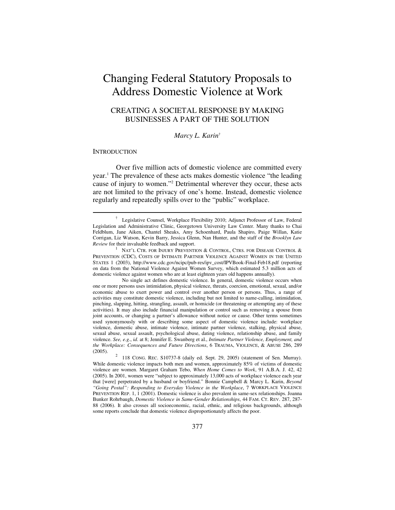# Changing Federal Statutory Proposals to Address Domestic Violence at Work

# CREATING A SOCIETAL RESPONSE BY MAKING BUSINESSES A PART OF THE SOLUTION

#### *Marcy L. Karin*†

#### **INTRODUCTION**

 $\overline{a}$ 

Over five million acts of domestic violence are committed every year.<sup>1</sup> The prevalence of these acts makes domestic violence "the leading cause of injury to women."2 Detrimental wherever they occur, these acts are not limited to the privacy of one's home. Instead, domestic violence regularly and repeatedly spills over to the "public" workplace.

<sup>†</sup> Legislative Counsel, Workplace Flexibility 2010; Adjunct Professor of Law, Federal Legislation and Administrative Clinic, Georgetown University Law Center. Many thanks to Chai Feldblum, Jane Aiken, Chantel Sheaks, Amy Schoenhard, Paula Shapiro, Paige Willan, Katie Corrigan, Liz Watson, Kevin Barry, Jessica Glenn, Nan Hunter, and the staff of the *Brooklyn Law Review* for their invaluable feedback and support.

NAT'L CTR. FOR INJURY PREVENTION & CONTROL, CTRS. FOR DISEASE CONTROL & PREVENTION (CDC), COSTS OF INTIMATE PARTNER VIOLENCE AGAINST WOMEN IN THE UNITED STATES 1 (2003), http://www.cdc.gov/ncipc/pub-res/ipv\_cost/IPVBook-Final-Feb18.pdf (reporting on data from the National Violence Against Women Survey, which estimated 5.3 million acts of domestic violence against women who are at least eighteen years old happens annually).

No single act defines domestic violence. In general, domestic violence occurs when one or more persons uses intimidation, physical violence, threats, coercion, emotional, sexual, and/or economic abuse to exert power and control over another person or persons. Thus, a range of activities may constitute domestic violence, including but not limited to name-calling, intimidation, pinching, slapping, hitting, strangling, assault, or homicide (or threatening or attempting any of these activities). It may also include financial manipulation or control such as removing a spouse from joint accounts, or changing a partner's allowance without notice or cause. Other terms sometimes used synonymously with or describing some aspect of domestic violence include: workplace violence, domestic abuse, intimate violence, intimate partner violence, stalking, physical abuse, sexual abuse, sexual assault, psychological abuse, dating violence, relationship abuse, and family violence. *See, e.g*., *id*. at 8; Jennifer E. Swanberg et al., *Intimate Partner Violence, Employment, and the Workplace: Consequences and Future Directions*, 6 TRAUMA, VIOLENCE, & ABUSE 286, 289  $(2005).$ 

 <sup>118</sup> CONG. REC. S10737-8 (daily ed. Sept. 29, 2005) (statement of Sen. Murray). While domestic violence impacts both men and women, approximately 85% of victims of domestic violence are women. Margaret Graham Tebo, *When Home Comes to Work*, 91 A.B.A. J. 42, 42 (2005). In 2001, women were "subject to approximately 13,000 acts of workplace violence each year that [were] perpetrated by a husband or boyfriend." Bonnie Campbell & Marcy L. Karin, *Beyond "Going Postal": Responding to Everyday Violence in the Workplace*, 7 WORKPLACE VIOLENCE PREVENTION REP. 1, 1 (2001). Domestic violence is also prevalent in same-sex relationships. Joanna Bunker Rohrbaugh, *Domestic Violence in Same-Gender Relationships*, 44 FAM. CT. REV. 287, 287- 88 (2006). It also crosses all socioeconomic, racial, ethnic, and religious backgrounds, although some reports conclude that domestic violence disproportionately affects the poor.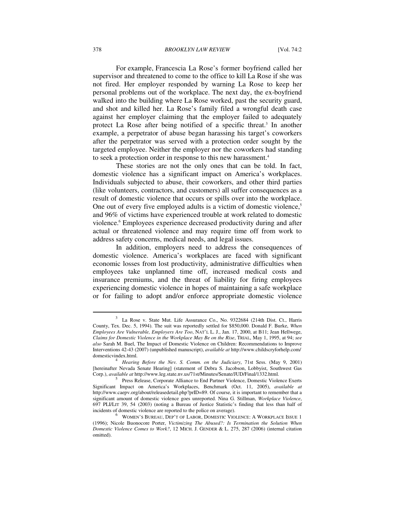#### 378 *BROOKLYN LAW REVIEW* [Vol. 74:2

For example, Francescia La Rose's former boyfriend called her supervisor and threatened to come to the office to kill La Rose if she was not fired. Her employer responded by warning La Rose to keep her personal problems out of the workplace. The next day, the ex-boyfriend walked into the building where La Rose worked, past the security guard, and shot and killed her. La Rose's family filed a wrongful death case against her employer claiming that the employer failed to adequately protect La Rose after being notified of a specific threat.<sup>3</sup> In another example, a perpetrator of abuse began harassing his target's coworkers after the perpetrator was served with a protection order sought by the targeted employee. Neither the employer nor the coworkers had standing to seek a protection order in response to this new harassment.<sup>4</sup>

These stories are not the only ones that can be told. In fact, domestic violence has a significant impact on America's workplaces. Individuals subjected to abuse, their coworkers, and other third parties (like volunteers, contractors, and customers) all suffer consequences as a result of domestic violence that occurs or spills over into the workplace. One out of every five employed adults is a victim of domestic violence,<sup>5</sup> and 96% of victims have experienced trouble at work related to domestic violence.<sup>6</sup> Employees experience decreased productivity during and after actual or threatened violence and may require time off from work to address safety concerns, medical needs, and legal issues.

In addition, employers need to address the consequences of domestic violence. America's workplaces are faced with significant economic losses from lost productivity, administrative difficulties when employees take unplanned time off, increased medical costs and insurance premiums, and the threat of liability for firing employees experiencing domestic violence in hopes of maintaining a safe workplace or for failing to adopt and/or enforce appropriate domestic violence

<sup>3</sup> La Rose v. State Mut. Life Assurance Co., No. 9322684 (214th Dist. Ct., Harris County, Tex. Dec. 5, 1994). The suit was reportedly settled for \$850,000. Donald F. Burke, *When Employees Are Vulnerable, Employers Are Too*, NAT'L L. J., Jan. 17, 2000, at B11; Jean Hellwege, *Claims for Domestic Violence in the Workplace May Be on the Rise*, TRIAL, May 1, 1995, at 94; *see also* Sarah M. Buel, The Impact of Domestic Violence on Children: Recommendations to Improve Interventions 42-43 (2007) (unpublished manuscript), *available at* http://www.childscryforhelp.com/

Hearing Before the Nev. S. Comm. on the Judiciary, 71st Sess. (May 9, 2001) [hereinafter Nevada Senate Hearing] (statement of Debra S. Jacobson, Lobbyist, Southwest Gas Corp.), *available at http://www.leg.state.nv.us/71st/Minutes/Senate/JUD/Final/1332.html.* 

<sup>&</sup>lt;sup>5</sup> Press Release, Corporate Alliance to End Partner Violence, Domestic Violence Exerts Significant Impact on America's Workplaces, Benchmark (Oct. 11, 2005), *available at* http://www.caepv.org/about/releasedetail.php?prID=89. Of course, it is important to remember that a significant amount of domestic violence goes unreported. Nina G. Stillman, *Workplace Violence*, 697 PLI/LIT 39, 54 (2003) (noting a Bureau of Justice Statistic's finding that less than half of incidents of domestic violence are reported to the police on average).

WOMEN'S BUREAU, DEP'T OF LABOR, DOMESTIC VIOLENCE: A WORKPLACE ISSUE 1 (1996); Nicole Buonocore Porter, *Victimizing The Abused?: Is Termination the Solution When Domestic Violence Comes to Work?*, 12 MICH. J. GENDER & L. 275, 287 (2006) (internal citation omitted).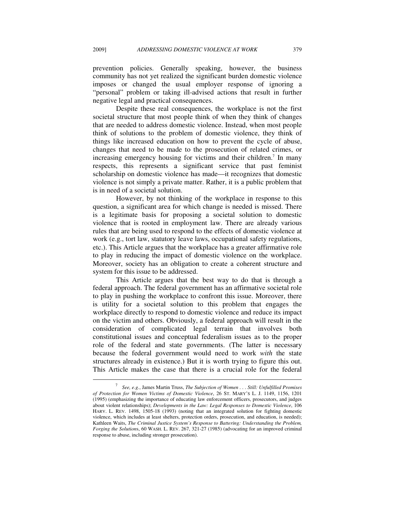prevention policies. Generally speaking, however, the business community has not yet realized the significant burden domestic violence imposes or changed the usual employer response of ignoring a "personal" problem or taking ill-advised actions that result in further negative legal and practical consequences.

Despite these real consequences, the workplace is not the first societal structure that most people think of when they think of changes that are needed to address domestic violence. Instead, when most people think of solutions to the problem of domestic violence, they think of things like increased education on how to prevent the cycle of abuse, changes that need to be made to the prosecution of related crimes, or increasing emergency housing for victims and their children.<sup>7</sup> In many respects, this represents a significant service that past feminist scholarship on domestic violence has made—it recognizes that domestic violence is not simply a private matter. Rather, it is a public problem that is in need of a societal solution.

However, by not thinking of the workplace in response to this question, a significant area for which change is needed is missed. There is a legitimate basis for proposing a societal solution to domestic violence that is rooted in employment law. There are already various rules that are being used to respond to the effects of domestic violence at work (e.g., tort law, statutory leave laws, occupational safety regulations, etc.). This Article argues that the workplace has a greater affirmative role to play in reducing the impact of domestic violence on the workplace. Moreover, society has an obligation to create a coherent structure and system for this issue to be addressed.

This Article argues that the best way to do that is through a federal approach. The federal government has an affirmative societal role to play in pushing the workplace to confront this issue. Moreover, there is utility for a societal solution to this problem that engages the workplace directly to respond to domestic violence and reduce its impact on the victim and others. Obviously, a federal approach will result in the consideration of complicated legal terrain that involves both constitutional issues and conceptual federalism issues as to the proper role of the federal and state governments. (The latter is necessary because the federal government would need to work *with* the state structures already in existence.) But it is worth trying to figure this out. This Article makes the case that there is a crucial role for the federal

<sup>7</sup>  *See, e.g.*, James Martin Truss, *The Subjection of Women . . . Still: Unfulfilled Promises of Protection for Women Victims of Domestic Violence*, 26 ST. MARY'S L. J. 1149, 1156, 1201 (1995) (emphasizing the importance of educating law enforcement officers, prosecutors, and judges about violent relationships); *Developments in the Law: Legal Responses to Domestic Violence*, 106 HARV. L. REV. 1498, 1505-18 (1993) (noting that an integrated solution for fighting domestic violence, which includes at least shelters, protection orders, prosecution, and education, is needed); Kathleen Waits, *The Criminal Justice System's Response to Battering: Understanding the Problem, Forging the Solution*s, 60 WASH. L. REV. 267, 321-27 (1985) (advocating for an improved criminal response to abuse, including stronger prosecution).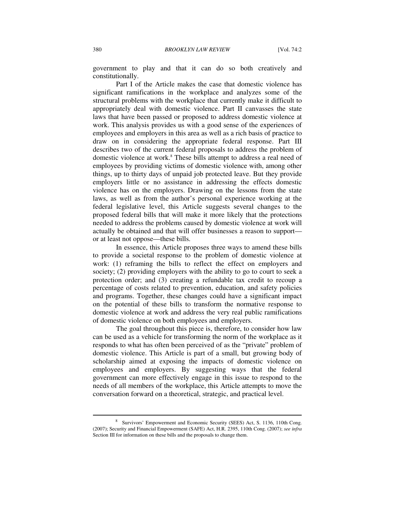government to play and that it can do so both creatively and constitutionally.

Part I of the Article makes the case that domestic violence has significant ramifications in the workplace and analyzes some of the structural problems with the workplace that currently make it difficult to appropriately deal with domestic violence. Part II canvasses the state laws that have been passed or proposed to address domestic violence at work. This analysis provides us with a good sense of the experiences of employees and employers in this area as well as a rich basis of practice to draw on in considering the appropriate federal response. Part III describes two of the current federal proposals to address the problem of domestic violence at work.<sup>8</sup> These bills attempt to address a real need of employees by providing victims of domestic violence with, among other things, up to thirty days of unpaid job protected leave. But they provide employers little or no assistance in addressing the effects domestic violence has on the employers. Drawing on the lessons from the state laws, as well as from the author's personal experience working at the federal legislative level, this Article suggests several changes to the proposed federal bills that will make it more likely that the protections needed to address the problems caused by domestic violence at work will actually be obtained and that will offer businesses a reason to support or at least not oppose—these bills.

In essence, this Article proposes three ways to amend these bills to provide a societal response to the problem of domestic violence at work: (1) reframing the bills to reflect the effect on employers and society; (2) providing employers with the ability to go to court to seek a protection order; and (3) creating a refundable tax credit to recoup a percentage of costs related to prevention, education, and safety policies and programs. Together, these changes could have a significant impact on the potential of these bills to transform the normative response to domestic violence at work and address the very real public ramifications of domestic violence on both employees and employers.

The goal throughout this piece is, therefore, to consider how law can be used as a vehicle for transforming the norm of the workplace as it responds to what has often been perceived of as the "private" problem of domestic violence. This Article is part of a small, but growing body of scholarship aimed at exposing the impacts of domestic violence on employees and employers. By suggesting ways that the federal government can more effectively engage in this issue to respond to the needs of all members of the workplace, this Article attempts to move the conversation forward on a theoretical, strategic, and practical level.

<sup>&</sup>lt;sup>8</sup> Survivors' Empowerment and Economic Security (SEES) Act, S. 1136, 110th Cong. (2007); Security and Financial Empowerment (SAFE) Act, H.R. 2395, 110th Cong. (2007); *see infra*  Section III for information on these bills and the proposals to change them.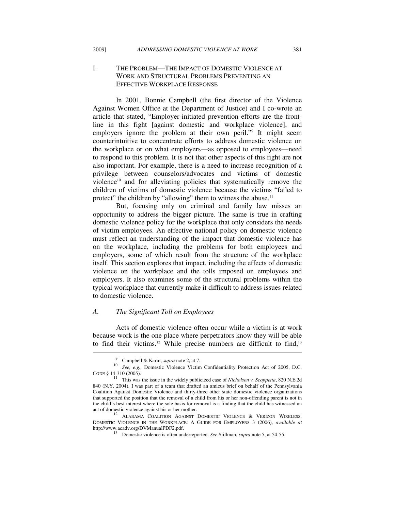# I. THE PROBLEM—THE IMPACT OF DOMESTIC VIOLENCE AT WORK AND STRUCTURAL PROBLEMS PREVENTING AN EFFECTIVE WORKPLACE RESPONSE

In 2001, Bonnie Campbell (the first director of the Violence Against Women Office at the Department of Justice) and I co-wrote an article that stated, "Employer-initiated prevention efforts are the frontline in this fight [against domestic and workplace violence], and employers ignore the problem at their own peril."<sup>9</sup> It might seem counterintuitive to concentrate efforts to address domestic violence on the workplace or on what employers—as opposed to employees—need to respond to this problem. It is not that other aspects of this fight are not also important. For example, there is a need to increase recognition of a privilege between counselors/advocates and victims of domestic violence<sup>10</sup> and for alleviating policies that systematically remove the children of victims of domestic violence because the victims "failed to protect" the children by "allowing" them to witness the abuse.<sup>11</sup>

But, focusing only on criminal and family law misses an opportunity to address the bigger picture. The same is true in crafting domestic violence policy for the workplace that only considers the needs of victim employees. An effective national policy on domestic violence must reflect an understanding of the impact that domestic violence has on the workplace, including the problems for both employees and employers, some of which result from the structure of the workplace itself. This section explores that impact, including the effects of domestic violence on the workplace and the tolls imposed on employees and employers. It also examines some of the structural problems within the typical workplace that currently make it difficult to address issues related to domestic violence.

#### *A. The Significant Toll on Employees*

Acts of domestic violence often occur while a victim is at work because work is the one place where perpetrators know they will be able to find their victims.<sup>12</sup> While precise numbers are difficult to find,<sup>13</sup>  $\overline{\phantom{a}}$ 

<sup>&</sup>lt;sup>9</sup> Campbell & Karin, *supra* note 2, at 7.

<sup>&</sup>lt;sup>10</sup> See, e.g., Domestic Violence Victim Confidentiality Protection Act of 2005, D.C.

CODE § 14-310 (2005). 11 This was the issue in the widely publicized case of *Nicholson v. Scoppetta*, 820 N.E.2d 840 (N.Y. 2004). I was part of a team that drafted an amicus brief on behalf of the Pennsylvania Coalition Against Domestic Violence and thirty-three other state domestic violence organizations that supported the position that the removal of a child from his or her non-offending parent is not in the child's best interest where the sole basis for removal is a finding that the child has witnessed an act of domestic violence against his or her mother.

<sup>&</sup>lt;sup>12</sup> ALABAMA COALITION AGAINST DOMESTIC VIOLENCE & VERIZON WIRELESS, DOMESTIC VIOLENCE IN THE WORKPLACE: A GUIDE FOR EMPLOYERS 3 (2006), *available at*

<sup>&</sup>lt;sup>13</sup> Domestic violence is often underreported. *See Stillman, supra* note 5, at 54-55.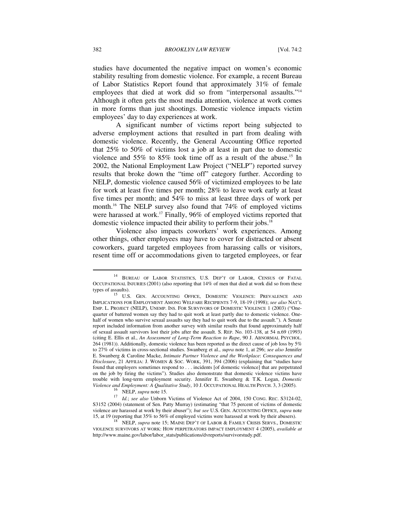studies have documented the negative impact on women's economic stability resulting from domestic violence. For example, a recent Bureau of Labor Statistics Report found that approximately 31% of female employees that died at work did so from "interpersonal assaults."14 Although it often gets the most media attention, violence at work comes in more forms than just shootings. Domestic violence impacts victim employees' day to day experiences at work.

A significant number of victims report being subjected to adverse employment actions that resulted in part from dealing with domestic violence. Recently, the General Accounting Office reported that 25% to 50% of victims lost a job at least in part due to domestic violence and 55% to 85% took time off as a result of the abuse.15 In 2002, the National Employment Law Project ("NELP") reported survey results that broke down the "time off" category further. According to NELP, domestic violence caused 56% of victimized employees to be late for work at least five times per month; 28% to leave work early at least five times per month; and 54% to miss at least three days of work per month.16 The NELP survey also found that 74% of employed victims were harassed at work.<sup>17</sup> Finally, 96% of employed victims reported that domestic violence impacted their ability to perform their jobs.18

Violence also impacts coworkers' work experiences. Among other things, other employees may have to cover for distracted or absent coworkers, guard targeted employees from harassing calls or visitors, resent time off or accommodations given to targeted employees, or fear

<sup>14</sup> BUREAU OF LABOR STATISTICS, U.S. DEP'T OF LABOR, CENSUS OF FATAL OCCUPATIONAL INJURIES (2001) (also reporting that 14% of men that died at work did so from these types of assaults).<br><sup>15</sup> U.S. GEN. ACCOUNTING OFFICE, DOMESTIC VIOLENCE: PREVALENCE AND

IMPLICATIONS FOR EMPLOYMENT AMONG WELFARE RECIPIENTS 7-9, 18-19 (1998); *see also* NAT'L EMP. L. PROJECT (NELP), UNEMP. INS. FOR SURVIVORS OF DOMESTIC VIOLENCE 1 (2003) ("Onequarter of battered women say they had to quit work at least partly due to domestic violence. Onehalf of women who survive sexual assaults say they had to quit work due to the assault."). A Senate report included information from another survey with similar results that found approximately half of sexual assault survivors lost their jobs after the assault. S. REP. No. 103-138, at 54 n.69 (1993) (citing E. Ellis et al., *An Assessment of Long-Term Reaction to Rape*, 90 J. ABNORMAL PSYCHOL. 264 (1981)). Additionally, domestic violence has been reported as the direct cause of job loss by 5% to 27% of victims in cross-sectional studies. Swanberg et al., *supra* note 1, at 296; *see also* Jennifer E. Swanberg & Caroline Macke, *Intimate Partner Violence and the Workplace*: *Consequences and Disclosure*, 21 AFFILIA: J. WOMEN & SOC. WORK, 391, 394 (2006) (explaining that "studies have found that employers sometimes respond to . . . incidents [of domestic violence] that are perpetrated on the job by firing the victims"). Studies also demonstrate that domestic violence victims have trouble with long-term employment security. Jennifer E. Swanberg & T.K. Logan, *Domestic* 

<sup>&</sup>lt;sup>16</sup> NELP, *supra* note 15.<br><sup>17</sup> *Id.*; *see also* Unborn Victims of Violence Act of 2004, 150 CONG. REC. S3124-02. S3152 (2004) (statement of Sen. Patty Murray) (estimating "that 75 percent of victims of domestic violence are harassed at work by their abuser"); *but see* U.S. GEN. ACCOUNTING OFFICE, *supra* note 15, at 19 (reporting that 35% to 56% of employed victims were harassed at work by their abusers). 18 NELP, *supra* note 15; MAINE DEP'T OF LABOR & FAMILY CRISIS SERVS., DOMESTIC

VIOLENCE SURVIVORS AT WORK: HOW PERPETRATORS IMPACT EMPLOYMENT 4 (2005), *available at* http://www.maine.gov/labor/labor\_stats/publications/dvreports/survivorstudy.pdf.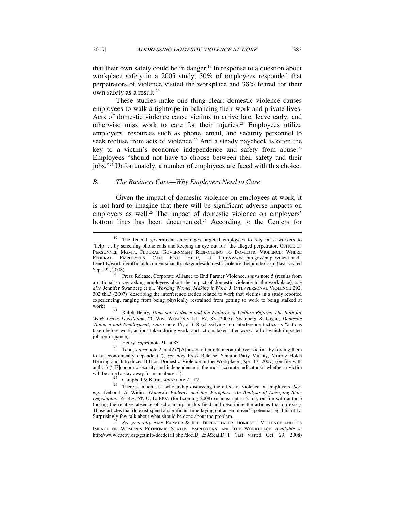that their own safety could be in danger.<sup>19</sup> In response to a question about workplace safety in a 2005 study, 30% of employees responded that perpetrators of violence visited the workplace and 38% feared for their own safety as a result.<sup>20</sup>

These studies make one thing clear: domestic violence causes employees to walk a tightrope in balancing their work and private lives. Acts of domestic violence cause victims to arrive late, leave early, and otherwise miss work to care for their injuries.<sup>21</sup> Employees utilize employers' resources such as phone, email, and security personnel to seek recluse from acts of violence.<sup>22</sup> And a steady paycheck is often the key to a victim's economic independence and safety from abuse.<sup>23</sup> Employees "should not have to choose between their safety and their jobs."24 Unfortunately, a number of employees are faced with this choice.

#### *B. The Business Case—Why Employers Need to Care*

Given the impact of domestic violence on employees at work, it is not hard to imagine that there will be significant adverse impacts on employers as well.<sup>25</sup> The impact of domestic violence on employers' bottom lines has been documented.<sup>26</sup> According to the Centers for

*Work Leave Legislation*, 20 WIS. WOMEN'S L.J. 67, 83 (2005); Swanberg & Logan, *Domestic Violence and Employment*, *supra* note 15, at 6-8 (classifying job interference tactics as "actions taken before work, actions taken during work, and actions taken after work," all of which impacted

<sup>&</sup>lt;sup>19</sup> The federal government encourages targeted employees to rely on coworkers to "help . . . by screening phone calls and keeping an eye out for" the alleged perpetrator. OFFICE OF PERSONNEL MGMT., FEDERAL GOVERNMENT RESPONDING TO DOMESTIC VIOLENCE: WHERE FEDERAL EMPLOYEES CAN FIND HELP, at http://www.opm.gov/employment\_and\_ benefits/worklife/officialdocuments/handbooksguides/domesticviolence\_help/index.asp (last visited Sept. 22, 2008). 20 Press Release, Corporate Alliance to End Partner Violence, *supra* note 5 (results from

a national survey asking employees about the impact of domestic violence in the workplace); *see also* Jennifer Swanberg et al., *Working Women Making it Work*, J. INTERPERSONAL VIOLENCE 292, 302 tbl.3 (2007) (describing the interference tactics related to work that victims in a study reported experiencing, ranging from being physically restrained from getting to work to being stalked at work). 21 Ralph Henry, *Domestic Violence and the Failures of Welfare Reform: The Role for* 

<sup>&</sup>lt;sup>22</sup> Henry, *supra* note 21, at 83.<br><sup>23</sup> Tebo, *supra* note 2, at 42 ("[A]busers often retain control over victims by forcing them to be economically dependent."); *see also* Press Release, Senator Patty Murray, Murray Holds Hearing and Introduces Bill on Domestic Violence in the Workplace (Apr. 17, 2007) (on file with author) ("[E]conomic security and independence is the most accurate indicator of whether a victim

will be able to stay away from an abuser.").<br><sup>24</sup> Campbell & Karin, *supra* note 2, at 7.<br><sup>25</sup> There is much less scholarship discussing the effect of violence on employers. *See*, *e.g.*, Deborah A. Widiss, *Domestic Violence and the Workplace: An Analysis of Emerging State Legislation*, 35 FLA. ST. U. L. REV. (forthcoming 2008) (manuscript at 2 n.3, on file with author) (noting the relative absence of scholarship in this field and describing the articles that do exist). Those articles that do exist spend a significant time laying out an employer's potential legal liability. Surprisingly few talk about what should be done about the problem. 26 *See generally* AMY FARMER & JILL TIEFENTHALER, DOMESTIC VIOLENCE AND ITS

IMPACT ON WOMEN'S ECONOMIC STATUS, EMPLOYERS, AND THE WORKPLACE, *available at* http://www.caepv.org/getinfo/docdetail.php?docID=259&catID=1 (last visited Oct. 29, 2008)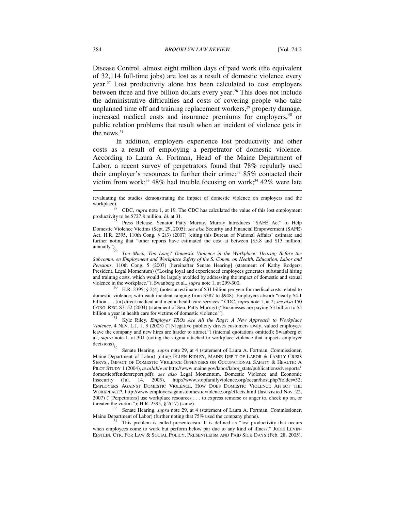Disease Control, almost eight million days of paid work (the equivalent of 32,114 full-time jobs) are lost as a result of domestic violence every year.27 Lost productivity alone has been calculated to cost employers between three and five billion dollars every year.<sup>28</sup> This does not include the administrative difficulties and costs of covering people who take unplanned time off and training replacement workers,<sup>29</sup> property damage, increased medical costs and insurance premiums for employers,<sup>30</sup> or public relation problems that result when an incident of violence gets in the news.<sup>31</sup>

In addition, employers experience lost productivity and other costs as a result of employing a perpetrator of domestic violence. According to Laura A. Fortman, Head of the Maine Department of Labor, a recent survey of perpetrators found that 78% regularly used their employer's resources to further their crime;<sup>32</sup> 85% contacted their victim from work;<sup>33</sup> 48% had trouble focusing on work;<sup>34</sup> 42% were late

(evaluating the studies demonstrating the impact of domestic violence on employers and the

<sup>27</sup> CDC, *supra* note 1, at 19. The CDC has calculated the value of this lost employment productivity to be \$727.8 million. *Id.* at 31.

Press Release, Senator Patty Murray, Murray Introduces "SAFE Act" to Help Domestic Violence Victims (Sept. 29, 2005); *see also* Security and Financial Empowerment (SAFE) Act, H.R. 2395, 110th Cong. § 2(3) (2007) (citing this Bureau of National Affairs' estimate and further noting that "other reports have estimated the cost at between [\$5.8 and \$13 million]<br>annually").

Too Much, Too Long? Domestic Violence in the Workplace: Hearing Before the *Subcomm. on Employment and Workplace Safety of the S. Comm. on Health, Education, Labor and Pensions*, 110th Cong. 5 (2007) [hereinafter Senate Hearing] (statement of Kathy Rodgers, President, Legal Momentum) ("Losing loyal and experienced employees generates substantial hiring and training costs, which would be largely avoided by addressing the impact of domestic and sexual violence in the workplace."); Swanberg et al., supra note 1, at 299-300.<br><sup>30</sup> H.R. 2395, § 2(4) (notes an estimate of \$31 billion per year for medical costs related to

domestic violence; with each incident ranging from \$387 to \$948). Employers absorb "nearly \$4.1 billion . . . [in] direct medical and mental health care services." CDC, *supra* note 1, at 2; *see also* 150 CONG. REC. S3152 (2004) (statement of Sen. Patty Murray) ("Businesses are paying \$3 billion to \$5 billion a year in health care for victims of domestic violence.").

<sup>31</sup> Kyle Riley, *Employer TROs Are All the Rage: A New Approach to Workplace Violence*, 4 NEV. L.J. 1, 3 (2003) ("[N]egative publicity drives customers away, valued employees leave the company and new hires are harder to attract.") (internal quotations omitted); Swanberg et al., supra note 1, at 301 (noting the stigma attached to workplace violence that impacts employer decisions).

<sup>32</sup> Senate Hearing, *supra* note 29, at 4 (statement of Laura A. Fortman, Commissioner, Maine Department of Labor) (citing ELLEN RIDLEY, MAINE DEP'T OF LABOR & FAMILY CRISIS SERVS., IMPACT OF DOMESTIC VIOLENCE OFFENDERS ON OCCUPATIONAL SAFETY & HEALTH: A PILOT STUDY 1 (2004), *available at* http://www.maine.gov/labor/labor\_stats/publications/dvreports/ domesticoffendersreport.pdf); *see also* Legal Momentum, Domestic Violence and Economic Insecurity (Jul. 14, 2005), http://www.stopfamilyviolence.org/ocean/host.php?folder=52; EMPLOYERS AGAINST DOMESTIC VIOLENCE, HOW DOES DOMESTIC VIOLENCE AFFECT THE WORKPLACE?, http://www.employersagainstdomesticviolence.org/effects.html (last visited Nov. 22, 2007) ("[Perpetrators] use workplace resources . . . to express remorse or anger to, check up on, or threaten the victim."); H.R. 2395, § 2(17) (same).<br><sup>33</sup> Senate Hearing, *supra* note 29, at 4 (statement of Laura A. Fortman, Commissioner,

Maine Department of Labor) (further noting that 75% used the company phone).<br><sup>34</sup> This problem is called presenteeism. It is defined as "lost productivity that occurs

when employees come to work but perform below par due to any kind of illness." JODIE LEVIN-EPSTEIN, CTR. FOR LAW & SOCIAL POLICY, PRESENTEEISM AND PAID SICK DAYS (Feb. 28, 2005),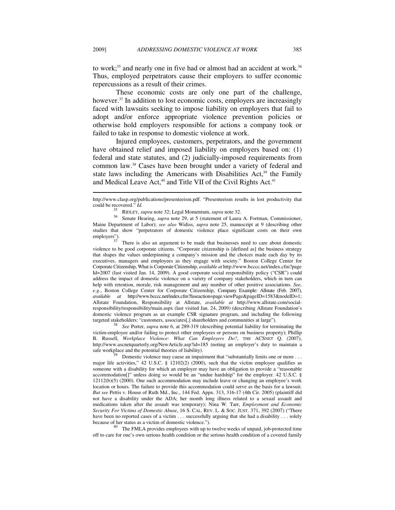to work;<sup>35</sup> and nearly one in five had or almost had an accident at work.<sup>36</sup> Thus, employed perpetrators cause their employers to suffer economic repercussions as a result of their crimes.

These economic costs are only one part of the challenge, however.<sup>37</sup> In addition to lost economic costs, employers are increasingly faced with lawsuits seeking to impose liability on employers that fail to adopt and/or enforce appropriate violence prevention policies or otherwise hold employers responsible for actions a company took or failed to take in response to domestic violence at work.

Injured employees, customers, perpetrators, and the government have obtained relief and imposed liability on employers based on: (1) federal and state statutes, and (2) judicially-imposed requirements from common law.38 Cases have been brought under a variety of federal and state laws including the Americans with Disabilities  $Act<sub>39</sub>$ , the Family and Medical Leave Act,<sup>40</sup> and Title VII of the Civil Rights Act.<sup>41</sup>

<sup>35</sup> RIDLEY, *supra* note 32; Legal Momentum, *supra* note 32.<br><sup>36</sup> Senate Hearing, *supra* note 29, at 5 (statement of Laura A. Fortman, Commissioner, Maine Department of Labor); *see also* Widiss, *supra* note 25, manuscript at 9 (describing other studies that show "perpetrators of domestic violence place significant costs on their own employers").

There is also an argument to be made that businesses need to care about domestic violence to be good corporate citizens. "Corporate citizenship is [defined as] the business strategy that shapes the values underpinning a company's mission and the choices made each day by its executives, managers and employees as they engage with society." Boston College Center for Corporate Citizenship, What is Corporate Citizenship, *available at* http://www.bcccc.net/index.cfm?page Id=2007 (last visited Jan. 14, 2009). A good corporate social responsibility policy ("CSR") could address the impact of domestic violence on a variety of company stakeholders, which in turn can help with retention, morale, risk management and any number of other positive associations. *See, e.g.*, Boston College Center for Corporate Citizenship, Company Example: Allstate (Feb. 2007), *available at* http://www.bcccc.net/index.cfm?fuseaction=page.viewPage&pageID=1583&nodeID=1; Allstate Foundation, Responsibility at Allstate, *available at* http://www.allstate.com/socialresponsibility/responsibility/main.aspx (last visited Jan. 24, 2009) (describing Allstate Foundation's domestic violence program as an example CSR signature program, and including the following targeted stakeholders: "customers, associates[,] shareholders and communities at large").

<sup>38</sup> See Porter, *supra* note 6, at 289-319 (describing potential liability for terminating the victim-employee and/or failing to protect other employees or persons on business property); Phillip B. Russell, *Workplace Violence: What Can Employers Do?*, THE ACSNET Q. (2007), http://www.ascnetquarterly.org/NewArticle.asp?id=185 (noting an employer's duty to maintain a safe workplace and the potential theories of liability).

Domestic violence may cause an impairment that "substantially limits one or more . . . major life activities," 42 U.S.C. § 12102(2) (2000), such that the victim employee qualifies as someone with a disability for which an employer may have an obligation to provide a "reasonable accommodation[]" unless doing so would be an "undue hardship" for the employer. 42 U.S.C. § 12112(b)(5) (2000). One such accommodation may include leave or changing an employee's work location or hours. The failure to provide this accommodation could serve as the basis for a lawsuit. *But see* Pettis v. House of Ruth Md., Inc., 144 Fed. Appx. 313, 316-17 (4th Cir. 2005) (plaintiff did not have a disability under the ADA; her month long illness related to a sexual assault and medications taken after the assault was temporary); Nina W. Tarr, *Employment and Economic Security For Victims of Domestic Abuse*, 16 S. CAL. REV. L. & SOC. JUST. 371, 392 (2007) ("There have been no reported cases of a victim . . . successfully arguing that she had a disability . . . solely because of her status as a victim of domestic violence.").

 $\overline{a}^{40}$  The FMLA provides employees with up to twelve weeks of unpaid, job-protected time off to care for one's own serious health condition or the serious health condition of a covered family

http://www.clasp.org/publications/presenteeism.pdf. "Presenteeism results in lost productivity that could be recovered." Id.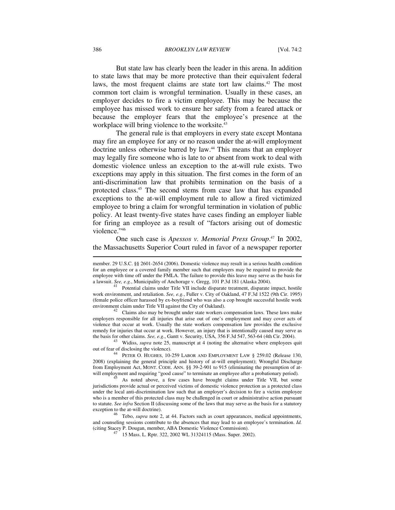386 *BROOKLYN LAW REVIEW* [Vol. 74:2

But state law has clearly been the leader in this arena. In addition to state laws that may be more protective than their equivalent federal laws, the most frequent claims are state tort law claims.<sup>42</sup> The most common tort claim is wrongful termination. Usually in these cases, an employer decides to fire a victim employee. This may be because the employee has missed work to ensure her safety from a feared attack or because the employer fears that the employee's presence at the workplace will bring violence to the worksite.<sup>43</sup>

The general rule is that employers in every state except Montana may fire an employee for any or no reason under the at-will employment doctrine unless otherwise barred by law.<sup>44</sup> This means that an employer may legally fire someone who is late to or absent from work to deal with domestic violence unless an exception to the at-will rule exists. Two exceptions may apply in this situation. The first comes in the form of an anti-discrimination law that prohibits termination on the basis of a protected class.45 The second stems from case law that has expanded exceptions to the at-will employment rule to allow a fired victimized employee to bring a claim for wrongful termination in violation of public policy. At least twenty-five states have cases finding an employer liable for firing an employee as a result of "factors arising out of domestic violence."46

One such case is *Apessos v. Memorial Press Group*. <sup>47</sup> In 2002, the Massachusetts Superior Court ruled in favor of a newspaper reporter  $\overline{a}$ 

Claims also may be brought under state workers compensation laws. These laws make employers responsible for all injuries that arise out of one's employment and may cover acts of violence that occur at work. Usually the state workers compensation law provides the exclusive remedy for injuries that occur at work. However, an injury that is intentionally caused may serve as the basis for other claims. See, e.g., Gantt v. Security, USA, 356 F.3d 547, 563-64 (4th Cir. 2004).

<sup>43</sup> Widiss, *supra* note 25, manuscript at 4 (noting the alternative where employees quit out of fear of disclosing the violence).

<sup>4</sup> PETER O. HUGHES, 10-259 LABOR AND EMPLOYMENT LAW § 259.02 (Release 130, 2008) (explaining the general principle and history of at-will employment); Wrongful Discharge from Employment Act, MONT. CODE. ANN. §§ 39-2-901 to 915 (eliminating the presumption of atwill employment and requiring "good cause" to terminate an employee after a probationary period). As noted above, a few cases have brought claims under Title VII, but some

jurisdictions provide actual or perceived victims of domestic violence protection as a protected class under the local anti-discrimination law such that an employer's decision to fire a victim employee who is a member of this protected class may be challenged in court or administrative action pursuant to statute. *See infra* Section II (discussing some of the laws that may serve as the basis for a statutory

<sup>46</sup> Tebo, *supra* note 2, at 44. Factors such as court appearances, medical appointments, and counseling sessions contribute to the absences that may lead to an employee's termination. *Id.* (citing Stacey P. Dougan, member, ABA Domestic Violence Commission).

15 Mass. L. Rptr. 322, 2002 WL 31324115 (Mass. Super. 2002).

member. 29 U.S.C. §§ 2601-2654 (2006). Domestic violence may result in a serious health condition for an employee or a covered family member such that employers may be required to provide the employee with time off under the FMLA. The failure to provide this leave may serve as the basis for a lawsuit. *See, e.g.*, Municipality of Anchorage v. Gregg, 101 P.3d 181 (Alaska 2004). 41 Potential claims under Title VII include disparate treatment, disparate impact, hostile

work environment, and retaliation. *See, e.g.*, Fuller v. City of Oakland, 47 F.3d 1522 (9th Cir. 1995) (female police officer harassed by ex-boyfriend who was also a cop brought successful hostile work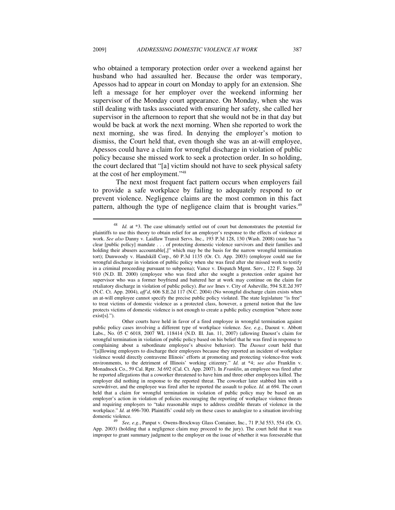who obtained a temporary protection order over a weekend against her husband who had assaulted her. Because the order was temporary, Apessos had to appear in court on Monday to apply for an extension. She left a message for her employer over the weekend informing her supervisor of the Monday court appearance. On Monday, when she was still dealing with tasks associated with ensuring her safety, she called her supervisor in the afternoon to report that she would not be in that day but would be back at work the next morning. When she reported to work the next morning, she was fired. In denying the employer's motion to dismiss, the Court held that, even though she was an at-will employee, Apessos could have a claim for wrongful discharge in violation of public policy because she missed work to seek a protection order. In so holding, the court declared that "[a] victim should not have to seek physical safety at the cost of her employment."48

The next most frequent fact pattern occurs when employers fail to provide a safe workplace by failing to adequately respond to or prevent violence. Negligence claims are the most common in this fact pattern, although the type of negligence claim that is brought varies.<sup>49</sup>

 $\overline{\phantom{a}}$ 

<sup>48</sup> *Id.* at \*3. The case ultimately settled out of court but demonstrates the potential for plaintiffs to use this theory to obtain relief for an employer's response to the effects of violence at work. *See also* Danny v. Laidlaw Transit Servs. Inc., 193 P.3d 128, 130 (Wash. 2008) (state has "a clear [public policy] mandate . . . of protecting domestic violence survivors and their families and holding their abusers accountable[,]" which may be the basis for the narrow wrongful termination tort); Dunwoody v. Handskill Corp., 60 P.3d 1135 (Or. Ct. App. 2003) (employee could sue for wrongful discharge in violation of public policy when she was fired after she missed work to testify in a criminal proceeding pursuant to subpoena); Vance v. Dispatch Mgmt. Serv., 122 F. Supp. 2d 910 (N.D. Ill. 2000) (employee who was fired after she sought a protection order against her supervisor who was a former boyfriend and battered her at work may continue on the claim for retaliatory discharge in violation of public policy). *But see* Imes v. City of Asheville, 594 S.E.2d 397 (N.C. Ct. App. 2004), *aff'd*, 606 S.E.2d 117 (N.C. 2004) (No wrongful discharge claim exists when an at-will employee cannot specify the precise public policy violated. The state legislature "is free" to treat victims of domestic violence as a protected class, however, a general notion that the law protects victims of domestic violence is not enough to create a public policy exemption "where none exist[s].").

Other courts have held in favor of a fired employee in wrongful termination against public policy cases involving a different type of workplace violence. *See, e.g.*, Daoust v. Abbott Labs., No. 05 C 6018, 2007 WL 118414 (N.D. Ill. Jan. 11, 2007) (allowing Daoust's claim for wrongful termination in violation of public policy based on his belief that he was fired in response to complaining about a subordinate employee's abusive behavior). The *Daoust* court held that "[a]llowing employers to discharge their employees because they reported an incident of workplace violence would directly contravene Illinois' efforts at promoting and protecting violence-free work environments, to the detriment of Illinois' working citizenry." *Id.* at \*4; *see also* Franklin v. Monadnock Co., 59 Cal. Rptr. 3d 692 (Cal. Ct. App. 2007). In *Franklin*, an employee was fired after he reported allegations that a coworker threatened to have him and three other employees killed. The employer did nothing in response to the reported threat. The coworker later stabbed him with a screwdriver, and the employee was fired after he reported the assault to police. *Id.* at 694. The court held that a claim for wrongful termination in violation of public policy may be based on an employer's action in violation of policies encouraging the reporting of workplace violence threats and requiring employers to "take reasonable steps to address credible threats of violence in the workplace." *Id.* at 696-700. Plaintiffs' could rely on these cases to analogize to a situation involving

domestic violence. 49 *See, e.g.*, Panpat v. Owens-Brockway Glass Container, Inc., 71 P.3d 553, 554 (Or. Ct. App. 2003) (holding that a negligence claim may proceed to the jury). The court held that it was improper to grant summary judgment to the employer on the issue of whether it was foreseeable that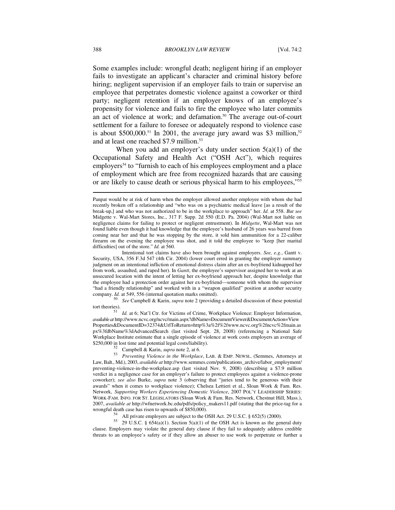Some examples include: wrongful death; negligent hiring if an employer fails to investigate an applicant's character and criminal history before hiring; negligent supervision if an employer fails to train or supervise an employee that perpetrates domestic violence against a coworker or third party; negligent retention if an employer knows of an employee's propensity for violence and fails to fire the employee who later commits an act of violence at work; and defamation.<sup>50</sup> The average out-of-court settlement for a failure to foresee or adequately respond to violence case is about \$500,000.<sup>51</sup> In 2001, the average jury award was \$3 million,<sup>52</sup> and at least one reached \$7.9 million.<sup>53</sup>

When you add an employer's duty under section  $5(a)(1)$  of the Occupational Safety and Health Act ("OSH Act"), which requires employers<sup>54</sup> to "furnish to each of his employees employment and a place of employment which are free from recognized hazards that are causing or are likely to cause death or serious physical harm to his employees,"55

*See* Campbell & Karin, *supra* note 2 (providing a detailed discussion of these potential tort theories). 51 *Id.* at 6; Nat'l Ctr. for Victims of Crime, Workplace Violence: Employer Information,

*available at* http://www.ncvc.org/ncvc/main.aspx?dbName=DocumentViewer&DocumentAction=View Properties&DocumentID=32374&UrlToReturn=http%3a%2f%2fwww.ncvc.org%2fncvc%2fmain.as px%3fdbName%3dAdvancedSearch (last visited Sept. 28, 2008) (referencing a National Safe Workplace Institute estimate that a single episode of violence at work costs employers an average of \$250,000 in lost time and potential legal costs/liability).

All private employers are subject to the OSH Act. 29 U.S.C. § 652(5) (2000).

<sup>55</sup> 29 U.S.C. § 654(a)(1). Section 5(a)(1) of the OSH Act is known as the general duty clause. Employers may violate the general duty clause if they fail to adequately address credible threats to an employee's safety or if they allow an abuser to use work to perpetrate or further a

Panpat would be at risk of harm when the employer allowed another employee with whom she had recently broken off a relationship and "who was on a psychiatric medical leave [as a result of the break-up,] and who was not authorized to be in the workplace to approach" her. *Id.* at 558. *But see*  Midgette v. Wal-Mart Stores, Inc., 317 F. Supp. 2d 550 (E.D. Pa. 2004) (Wal-Mart not liable on negligence claims for failing to protect or negligent entrustment). In *Midgette*, Wal-Mart was not found liable even though it had knowledge that the employee's husband of 26 years was barred from coming near her and that he was stopping by the store, it sold him ammunition for a 22-caliber firearm on the evening the employee was shot, and it told the employee to "keep [her marital difficulties] out of the store." *Id.* at 560.

Intentional tort claims have also been brought against employers. *See, e.g.*, Gantt v. Security, USA, 356 F.3d 547 (4th Cir. 2004) (lower court erred in granting the employer summary judgment on an intentional infliction of emotional distress claim after an ex-boyfriend kidnapped her from work, assaulted, and raped her). In *Gantt*, the employee's supervisor assigned her to work at an unsecured location with the intent of letting her ex-boyfriend approach her, despite knowledge that the employee had a protection order against her ex-boyfriend—someone with whom the supervisor "had a friendly relationship" and worked with in a "weapon qualified" position at another security company. *Id.* at 549, 556 (internal quotation marks omitted).

<sup>&</sup>lt;sup>52</sup> Campbell & Karin, *supra* note 2, at 6. 53 *Preventing Violence in the Workplace*, LAB. & EMP. NEWSL. (Semmes, Attorneys at Law, Balt., Md.), 2003, *available at* http://www.semmes.com/publications\_archive/labor\_employment/ preventing-violence-in-the-workplace.asp (last visited Nov. 9, 2008) (describing a \$7.9 million verdict in a negligence case for an employer's failure to protect employees against a violence-prone coworker); *see also* Burke, *supra* note 3 (observing that "juries tend to be generous with their awards" when it comes to workplace violence); Chelsea Lettieri et al., Sloan Work & Fam. Res. Network, *Supporting Workers Experiencing Domestic Violence*, 2007 POL'Y LEADERSHIP SERIES: WORK-FAM. INFO. FOR ST. LEGISLATORS (Sloan Work & Fam. Res. Network, Chestnut Hill, Mass.), 2007, *available at* http://wfnetwork.bc.edu/pdfs/policy\_makers11.pdf (stating that the price-tag for a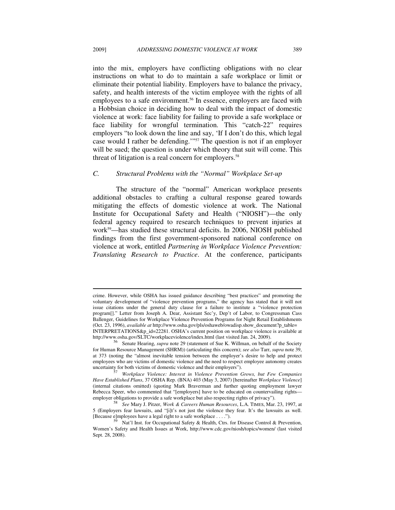into the mix, employers have conflicting obligations with no clear instructions on what to do to maintain a safe workplace or limit or eliminate their potential liability. Employers have to balance the privacy, safety, and health interests of the victim employee with the rights of all employees to a safe environment.<sup>56</sup> In essence, employers are faced with a Hobbsian choice in deciding how to deal with the impact of domestic violence at work: face liability for failing to provide a safe workplace or face liability for wrongful termination. This "catch-22" requires employers "to look down the line and say, 'If I don't do this, which legal case would I rather be defending.'"57 The question is not if an employer will be sued; the question is under which theory that suit will come. This threat of litigation is a real concern for employers.<sup>58</sup>

#### *C. Structural Problems with the "Normal" Workplace Set-up*

The structure of the "normal" American workplace presents additional obstacles to crafting a cultural response geared towards mitigating the effects of domestic violence at work. The National Institute for Occupational Safety and Health ("NIOSH")—the only federal agency required to research techniques to prevent injuries at work59—has studied these structural deficits. In 2006, NIOSH published findings from the first government-sponsored national conference on violence at work, entitled *Partnering in Workplace Violence Prevention: Translating Research to Practice*. At the conference, participants

crime. However, while OSHA has issued guidance describing "best practices" and promoting the voluntary development of "violence prevention programs," the agency has stated that it will not issue citations under the general duty clause for a failure to institute a "violence protection program[]." Letter from Joseph A. Dear, Assistant Sec'y, Dep't of Labor, to Congressman Cass Ballenger, Guidelines for Workplace Violence Prevention Programs for Night Retail Establishments (Oct. 23, 1996), *available at* http://www.osha.gov/pls/oshaweb/owadisp.show\_document?p\_table= INTERPRETATIONS&p\_id=22281. OSHA's current position on workplace violence is available at

<sup>56</sup> Senate Hearing, *supra* note 29 (statement of Sue K. Willman, on behalf of the Society for Human Resource Management (SHRM)) (articulating this concern); *see also* Tarr, *supra* note 39, at 373 (noting the "almost inevitable tension between the employer's desire to help and protect employees who are victims of domestic violence and the need to respect employee autonomy creates uncertainty for both victims of domestic violence and their employers").

 $\frac{57}{10}$  Workplace Violence: Interest in Violence Prevention Grows, but Few Companies *Have Established Plans*, 37 OSHA Rep. (BNA) 403 (May 3, 2007) [hereinafter *Workplace Violence*] (internal citations omitted) (quoting Mark Braverman and further quoting employment lawyer Rebecca Speer, who commented that "[employers] have to be educated on countervailing rights—employer obligations to provide a safe workplace but also respecting rights of privacy").

employer obligations to provide a safe workplace but also respecting rights of privacy"). 58 *See* Mary J. Pitzer, *Work & Careers Human Resources*, L.A. TIMES, Mar. 23, 1997, at 5 (Employers fear lawsuits, and "[i]t's not just the violence they fear. It's the lawsuits as well. [Because e]mployees have a legal right to a safe workplace . . . .").<br>
<sup>59</sup> Nat'l Inst. for Occupational Safety & Health, Ctrs. for Disease Control & Prevention,

Women's Safety and Health Issues at Work, http://www.cdc.gov/niosh/topics/women/ (last visited Sept. 28, 2008).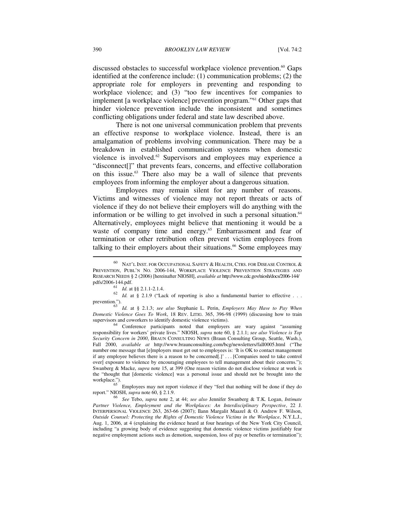discussed obstacles to successful workplace violence prevention.<sup>60</sup> Gaps identified at the conference include: (1) communication problems; (2) the appropriate role for employers in preventing and responding to workplace violence; and (3) "too few incentives for companies to implement [a workplace violence] prevention program."61 Other gaps that hinder violence prevention include the inconsistent and sometimes conflicting obligations under federal and state law described above.

There is not one universal communication problem that prevents an effective response to workplace violence. Instead, there is an amalgamation of problems involving communication. There may be a breakdown in established communication systems when domestic violence is involved.62 Supervisors and employees may experience a "disconnect[]" that prevents fears, concerns, and effective collaboration on this issue.63 There also may be a wall of silence that prevents employees from informing the employer about a dangerous situation.

Employees may remain silent for any number of reasons. Victims and witnesses of violence may not report threats or acts of violence if they do not believe their employers will do anything with the information or be willing to get involved in such a personal situation.<sup>64</sup> Alternatively, employees might believe that mentioning it would be a waste of company time and energy.<sup>65</sup> Embarrassment and fear of termination or other retribution often prevent victim employees from talking to their employers about their situations.<sup>66</sup> Some employees may

pdf. *Id.* at §§ 2.1.1-2.1.4. 62<br>62 *Id.* at § 2.1.9 ("Lack of reporting is also a fundamental barrier to effective . . . .

prevention."). 63 *Id.* at § 2.1.3; *see also* Stephanie L. Perin, *Employers May Have to Pay When Domestic Violence Goes To Work*, 18 REV. LITIG. 365, 396-98 (1999) (discussing how to train

supervisors and coworkers to identify domestic violence victims).<br>
<sup>64</sup> Conference participants noted that employers are wary against "assuming responsibility for workers' private lives." NIOSH, *supra* note 60, § 2.1.1; *see also Violence is Top Security Concern in 2000*, BRAUN CONSULTING NEWS (Braun Consulting Group, Seattle, Wash.), Fall 2000, *available at* http://www.braunconsulting.com/bcg/newsletters/fall0005.html ("The number one message that [e]mployers must get out to employees is: 'It is OK to contact management if any employee believes there is a reason to be concerned[.]' . . . [Companies need to take control over] exposure to violence by encouraging employees to tell management about their concerns."); Swanberg & Macke, *supra* note 15, at 399 (One reason victims do not disclose violence at work is the "thought that [domestic violence] was a personal issue and should not be brought into the

workplace.").<br><sup>65</sup> Employees may not report violence if they "feel that nothing will be done if they do

report." NIOSH, *supra* note 60, § 2.1.9. 66 *See* Tebo, *supra* note 2, at 44; *see also* Jennifer Swanberg & T.K. Logan, *Intimate Partner Violence, Employment and the Workplaces: An Interdisciplinary Perspective*, 22 J. INTERPERSONAL VIOLENCE 263, 263-66 (2007); Ilann Margalit Maazel & O. Andrew F. Wilson, *Outside Counsel: Protecting the Rights of Domestic Violence Victims in the Workplace*, N.Y.L.J., Aug. 1, 2006, at 4 (explaining the evidence heard at four hearings of the New York City Council, including "a growing body of evidence suggesting that domestic violence victims justifiably fear negative employment actions such as demotion, suspension, loss of pay or benefits or termination");

<sup>60</sup> NAT'L INST. FOR OCCUPATIONAL SAFETY & HEALTH, CTRS. FOR DISEASE CONTROL & PREVENTION, PUBL'N NO. 2006-144, WORKPLACE VIOLENCE PREVENTION STRATEGIES AND RESEARCH NEEDS § 2 (2006) [hereinafter NIOSH], *available at* http://www.cdc.gov/niosh/docs/2006-144/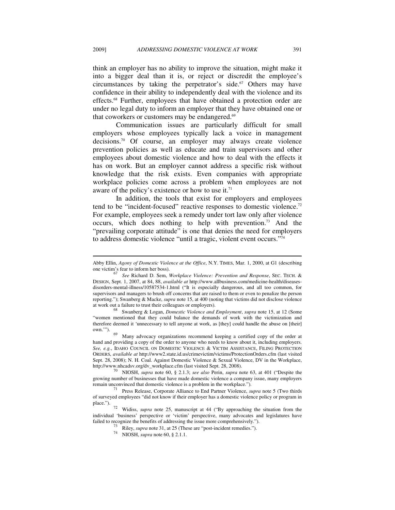think an employer has no ability to improve the situation, might make it into a bigger deal than it is, or reject or discredit the employee's circumstances by taking the perpetrator's side.<sup>67</sup> Others may have confidence in their ability to independently deal with the violence and its effects.68 Further, employees that have obtained a protection order are under no legal duty to inform an employer that they have obtained one or that coworkers or customers may be endangered.<sup>69</sup>

Communication issues are particularly difficult for small employers whose employees typically lack a voice in management decisions.70 Of course, an employer may always create violence prevention policies as well as educate and train supervisors and other employees about domestic violence and how to deal with the effects it has on work. But an employer cannot address a specific risk without knowledge that the risk exists. Even companies with appropriate workplace policies come across a problem when employees are not aware of the policy's existence or how to use it.<sup>71</sup>

In addition, the tools that exist for employers and employees tend to be "incident-focused" reactive responses to domestic violence.72 For example, employees seek a remedy under tort law only after violence occurs, which does nothing to help with prevention.<sup>73</sup> And the "prevailing corporate attitude" is one that denies the need for employers to address domestic violence "until a tragic, violent event occurs."74

"women mentioned that they could balance the demands of work with the victimization and therefore deemed it 'unnecessary to tell anyone at work, as [they] could handle the abuse on [their]

 $69$  Many advocacy organizations recommend keeping a certified copy of the order at hand and providing a copy of the order to anyone who needs to know about it, including employers. *See, e.g.*, IDAHO COUNCIL ON DOMESTIC VIOLENCE & VICTIM ASSISTANCE, FILING PROTECTION ORDERS, *available at* http://www2.state.id.us/crimevictim/victims/ProtectionOrders.cfm (last visited Sept. 28, 2008); N. H. Coal. Against Domestic Violence & Sexual Violence, DV in the Workplace, http://www.nhcadsv.org/dv workplace.cfm (last visited Sept. 28, 2008).

<sup>70</sup> NIOSH, *supra* note 60, § 2.1.3; *see also* Perin, *supra* note 63, at 401 ("Despite the growing number of businesses that have made domestic violence a company issue, many employers remain unconvinced that domestic violence is a problem in the workplace.").

Abby Ellin, *Agony of Domestic Violence at the Office*, N.Y. TIMES, Mar. 1, 2000, at G1 (describing<br>one victim's fear to inform her boss).<br><sup>67</sup> See Richard D. Sem. Workplace, *Properties*, and *Personal* Spa They, the

one victim's fear to inform her boss). 67 *See* Richard D. Sem, *Workplace Violence: Prevention and Response*, SEC. TECH. & DESIGN, Sept. 1, 2007, at 84, 88, *available at* http://www.allbusiness.com/medicine-health/diseasesdisorders-mental-illness/10587534-1.html ("It is especially dangerous, and all too common, for supervisors and managers to brush off concerns that are raised to them or even to penalize the person reporting."); Swanberg & Macke, *supra* note 15, at 400 (noting that victims did not disclose violence at work out a failure to trust their colleagues or employers). 68 Swanberg & Logan, *Domestic Violence and Employment*, *supra* note 15, at 12 (Some

<sup>&</sup>lt;sup>71</sup> Press Release, Corporate Alliance to End Partner Violence, *supra* note 5 (Two thirds of surveyed employees "did not know if their employer has a domestic violence policy or program in

<sup>&</sup>lt;sup>72</sup> Widiss, *supra* note 25, manuscript at 44 ("By approaching the situation from the individual 'business' perspective or 'victim' perspective, many advocates and legislatures have failed to recognize the benefits of addressing the issue more comprehensively.").

<sup>&</sup>lt;sup>73</sup> Riley, *supra* note 31, at 25 (These are "post-incident remedies.").<br><sup>74</sup> NIOSH, *supra* note 60, § 2.1.1.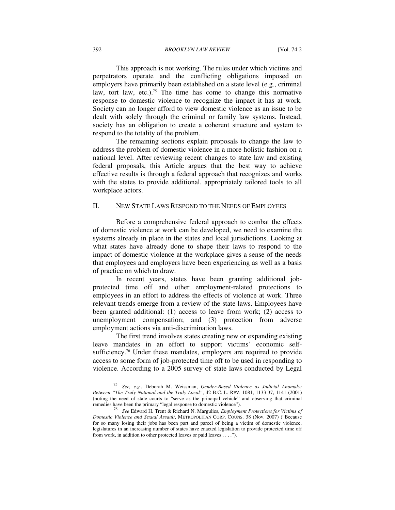#### 392 *BROOKLYN LAW REVIEW* [Vol. 74:2

This approach is not working. The rules under which victims and perpetrators operate and the conflicting obligations imposed on employers have primarily been established on a state level (e.g., criminal law, tort law, etc.).<sup>75</sup> The time has come to change this normative response to domestic violence to recognize the impact it has at work. Society can no longer afford to view domestic violence as an issue to be dealt with solely through the criminal or family law systems. Instead, society has an obligation to create a coherent structure and system to respond to the totality of the problem.

The remaining sections explain proposals to change the law to address the problem of domestic violence in a more holistic fashion on a national level. After reviewing recent changes to state law and existing federal proposals, this Article argues that the best way to achieve effective results is through a federal approach that recognizes and works with the states to provide additional, appropriately tailored tools to all workplace actors.

#### II. NEW STATE LAWS RESPOND TO THE NEEDS OF EMPLOYEES

Before a comprehensive federal approach to combat the effects of domestic violence at work can be developed, we need to examine the systems already in place in the states and local jurisdictions. Looking at what states have already done to shape their laws to respond to the impact of domestic violence at the workplace gives a sense of the needs that employees and employers have been experiencing as well as a basis of practice on which to draw.

In recent years, states have been granting additional jobprotected time off and other employment-related protections to employees in an effort to address the effects of violence at work. Three relevant trends emerge from a review of the state laws. Employees have been granted additional: (1) access to leave from work; (2) access to unemployment compensation; and (3) protection from adverse employment actions via anti-discrimination laws.

The first trend involves states creating new or expanding existing leave mandates in an effort to support victims' economic selfsufficiency.<sup>76</sup> Under these mandates, employers are required to provide access to some form of job-protected time off to be used in responding to violence. According to a 2005 survey of state laws conducted by Legal  $\overline{a}$ 

<sup>75</sup> *See, e.g.*, Deborah M. Weissman, *Gender-Based Violence as Judicial Anomaly: Between "The Truly National and the Truly Local"*, 42 B.C. L. REV. 1081, 1133-37, 1141 (2001) (noting the need of state courts to "serve as the principal vehicle" and observing that criminal remedies have been the primary "legal response to domestic violence").

remedies have been the primary "legal response to domestic violence"). 76 *See* Edward H. Trent & Richard N. Margulies, *Employment Protections for Victims of Domestic Violence and Sexual Assault*, METROPOLITAN CORP. COUNS. 38 (Nov. 2007) ("Because for so many losing their jobs has been part and parcel of being a victim of domestic violence, legislatures in an increasing number of states have enacted legislation to provide protected time off from work, in addition to other protected leaves or paid leaves . . . .").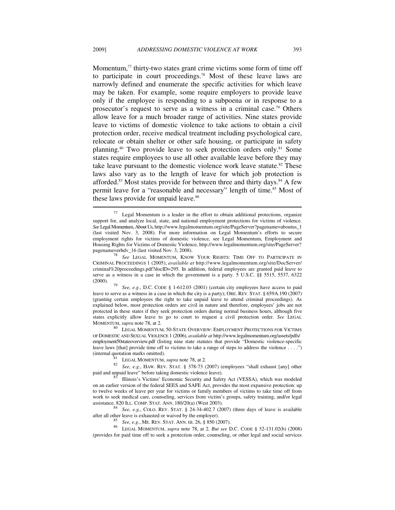Momentum, $77$  thirty-two states grant crime victims some form of time off to participate in court proceedings.78 Most of these leave laws are narrowly defined and enumerate the specific activities for which leave may be taken. For example, some require employers to provide leave only if the employee is responding to a subpoena or in response to a prosecutor's request to serve as a witness in a criminal case.79 Others allow leave for a much broader range of activities. Nine states provide leave to victims of domestic violence to take actions to obtain a civil protection order, receive medical treatment including psychological care, relocate or obtain shelter or other safe housing, or participate in safety planning.80 Two provide leave to seek protection orders only.81 Some states require employees to use all other available leave before they may take leave pursuant to the domestic violence work leave statute.<sup>82</sup> These laws also vary as to the length of leave for which job protection is afforded.<sup>83</sup> Most states provide for between three and thirty days.<sup>84</sup> A few permit leave for a "reasonable and necessary" length of time.<sup>85</sup> Most of these laws provide for unpaid leave.<sup>86</sup> l

See, e.g., D.C. CODE § 1-612.03 (2001) (certain city employees have access to paid leave to serve as a witness in a case in which the city is a party); ORE. REV. STAT. § 659A.190 (2007) (granting certain employees the right to take unpaid leave to attend criminal proceedings). As explained below, most protection orders are civil in nature and therefore, employees' jobs are not protected in these states if they seek protection orders during normal business hours, although five states explicitly allow leave to go to court to request a civil protection order. *See* LEGAL

MOMENTUM, *supra* note 78, at 2. 80 LEGAL MOMENTUM, 50-STATE OVERVIEW: EMPLOYMENT PROTECTIONS FOR VICTIMS OF DOMESTIC AND SEXUAL VIOLENCE 1 (2006), *available at* http://www.legalmomentum.org/assets/pdfs/ employment50stateoverview.pdf (listing nine state statutes that provide "Domestic violence-specific leave laws [that] provide time off to victims to take a range of steps to address the violence . . . .") (internal quotation marks omitted).

<sup>81</sup> LEGAL MOMENTUM, *supra* note 78, at 2. *Sae, e.g.*, HAW. REV. STAT. § 378-73 (2007) (employees "shall exhaust [any] other paid and unpaid leave" before taking domestic violence leave).

Illinois's Victims' Economic Security and Safety Act (VESSA), which was modeled on an earlier version of the federal SEES and SAFE Act, provides the most expansive protection: up to twelve weeks of leave per year for victims or family members of victims to take time off from work to seek medical care, counseling, services from victim's groups, safety training, and/or legal assistance. 820 ILL. COMP. STAT. ANN. 180/20(a) (West 2003).

<sup>84</sup> *See, e.g.*, COLO. REV. STAT. § 24-34-402.7 (2007) (three days of leave is available after all other leave is exhausted or waived by the employer).

after all other leave is exhausted or waived by the employer). 85 *See, e.g.*, ME. REV. STAT. ANN. tit. 26, § 850 (2007). 86 LEGAL MOMENTUM, *supra* note 78, at 2*. But see* D.C. CODE § 32-131.02(b) (2008) (provides for paid time off to seek a protection order, counseling, or other legal and social services

 $77$  Legal Momentum is a leader in the effort to obtain additional protections, organize support for, and analyze local, state, and national employment protections for victims of violence. *See* Legal Momentum, About Us, http://www.legalmomentum.org/site/PageServer?pagename=aboutus\_1 (last visited Nov. 3, 2008). For more information on Legal Momentum's efforts to secure employment rights for victims of domestic violence, see Legal Momentum, Employment and Housing Rights for Victims of Domestic Violence, http://www.legalmomentum.org/site/PageServer?<br>pagename=erhdv\_16 (last visited Nov. 3, 2008).

<sup>&</sup>lt;sup>78</sup> See LEGAL MOMENTUM, KNOW YOUR RIGHTS: TIME OFF TO PARTICIPATE IN CRIMINAL PROCEEDINGS 1 (2005), *available at* http://www.legalmomentum.org/site/DocServer/ criminal%20proceedings.pdf?docID=295. In addition, federal employees are granted paid leave to serve as a witness in a case in which the government is a party. 5 U.S.C. §§ 5515, 5537, 6322 (2000).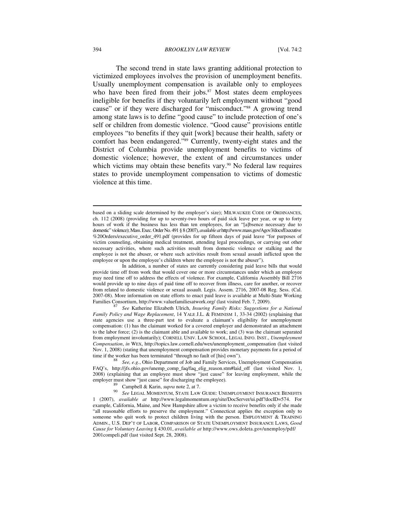#### 394 *BROOKLYN LAW REVIEW* [Vol. 74:2

The second trend in state laws granting additional protection to victimized employees involves the provision of unemployment benefits. Usually unemployment compensation is available only to employees who have been fired from their jobs.<sup>87</sup> Most states deem employees ineligible for benefits if they voluntarily left employment without "good cause" or if they were discharged for "misconduct."<sup>88</sup> A growing trend among state laws is to define "good cause" to include protection of one's self or children from domestic violence. "Good cause" provisions entitle employees "to benefits if they quit [work] because their health, safety or comfort has been endangered."89 Currently, twenty-eight states and the District of Columbia provide unemployment benefits to victims of domestic violence; however, the extent of and circumstances under which victims may obtain these benefits vary.<sup>90</sup> No federal law requires states to provide unemployment compensation to victims of domestic violence at this time.

 $\overline{\phantom{a}}$ 

based on a sliding scale determined by the employer's size); MILWAUKEE CODE OF ORDINANCES, ch. 112 (2008) (providing for up to seventy-two hours of paid sick leave per year, or up to forty hours of work if the business has less than ten employees, for an "[a]bsence necessary due to domestic" violence); Mass. Exec. Order No. 491 § 8 (2007), *available at* http://www.mass.gov/Agov3/docs/Executive %20Orders/executive\_order\_491.pdf (provides for up fifteen days of paid leave "for purposes of victim counseling, obtaining medical treatment, attending legal proceedings, or carrying out other necessary activities, where such activities result from domestic violence or stalking and the employee is not the abuser, or where such activities result from sexual assault inflicted upon the employee or upon the employee's children where the employee is not the abuser").

In addition, a number of states are currently considering paid leave bills that would provide time off from work that would cover one or more circumstances under which an employee may need time off to address the effects of violence. For example, California Assembly Bill 2716 would provide up to nine days of paid time off to recover from illness, care for another, or recover from related to domestic violence or sexual assault. Legis. Assem. 2716, 2007-08 Reg. Sess. (Cal. 2007-08). More information on state efforts to enact paid leave is available at Multi-State Working Families Consortium, http://www.valuefamiliesatwork.org/ (last visited Feb. 7, 2009). 87 *See* Katherine Elizabeth Ulrich, *Insuring Family Risks: Suggestions for a National* 

*Family Policy and Wage Replacement*, 14 YALE J.L. & FEMINISM 1, 33-34 (2002) (explaining that state agencies use a three-part test to evaluate a claimant's eligibility for unemployment compensation: (1) has the claimant worked for a covered employer and demonstrated an attachment to the labor force; (2) is the claimant able and available to work; and (3) was the claimant separated from employment involuntarily); CORNELL UNIV. LAW SCHOOL, LEGAL INFO. INST., *Unemployment Compensation*, *in* WEX, http://topics.law.cornell.edu/wex/unemployment\_compensation (last visited Nov. 1, 2008) (stating that unemployment compensation provides monetary payments for a period of time if the worker has been terminated "through no fault of [his] own").

See, e.g., Ohio Department of Job and Family Services, Unemployment Compensation FAQ's, http://jfs.ohio.gov/unemp\_comp\_faq/faq\_elig\_reason.stm#laid\_off (last visited Nov. 1, 2008) (explaining that an employee must show "just cause" for leaving employment, while the

employer must show "just cause" for discharging the employee).<br><sup>89</sup> Campbell & Karin, *supra* note 2, at 7.<br><sup>90</sup> *See* LEGAL MOMENTUM, STATE LAW GUIDE: UNEMPLOYMENT INSURANCE BENEFITS 1 (2007), *available at* http://www.legalmomentum.org/site/DocServer/ui.pdf?docID=574. For example, California, Maine, and New Hampshire allow a victim to receive benefits only if she made "all reasonable efforts to preserve the employment." Connecticut applies the exception only to someone who quit work to protect children living with the person. EMPLOYMENT & TRAINING ADMIN., U.S. DEP'T OF LABOR, COMPARISON OF STATE UNEMPLOYMENT INSURANCE LAWS, *Good Cause for Voluntary Leaving* § 430.01, *available at* http://www.ows.doleta.gov/unemploy/pdf/ 2001compeli.pdf (last visited Sept. 28, 2008).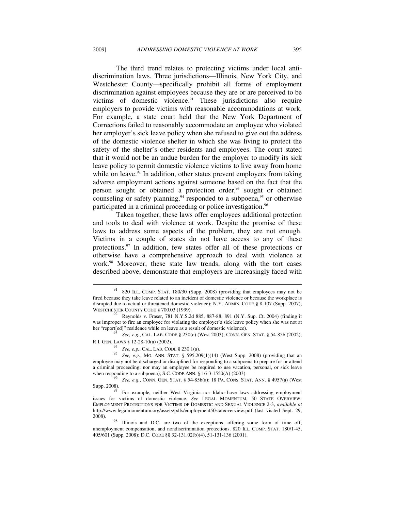The third trend relates to protecting victims under local antidiscrimination laws. Three jurisdictions—Illinois, New York City, and Westchester County—specifically prohibit all forms of employment discrimination against employees because they are or are perceived to be victims of domestic violence.<sup>91</sup> These jurisdictions also require employers to provide victims with reasonable accommodations at work. For example, a state court held that the New York Department of Corrections failed to reasonably accommodate an employee who violated her employer's sick leave policy when she refused to give out the address of the domestic violence shelter in which she was living to protect the safety of the shelter's other residents and employees. The court stated that it would not be an undue burden for the employer to modify its sick leave policy to permit domestic violence victims to live away from home while on leave.<sup>92</sup> In addition, other states prevent employers from taking adverse employment actions against someone based on the fact that the person sought or obtained a protection order,<sup>93</sup> sought or obtained counseling or safety planning,  $94$  responded to a subpoena,  $95$  or otherwise participated in a criminal proceeding or police investigation.<sup>96</sup>

Taken together, these laws offer employees additional protection and tools to deal with violence at work. Despite the promise of these laws to address some aspects of the problem, they are not enough. Victims in a couple of states do not have access to any of these protections.97 In addition, few states offer all of these protections or otherwise have a comprehensive approach to deal with violence at work.<sup>98</sup> Moreover, these state law trends, along with the tort cases described above, demonstrate that employers are increasingly faced with

 $\overline{\phantom{a}}$ 

<sup>96</sup> See, e.g., CONN. GEN. STAT. § 54-85b(a); 18 PA. CONS. STAT. ANN. § 4957(a) (West Supp. 2008).

 $91$  820 ILL. COMP. STAT. 180/30 (Supp. 2008) (providing that employees may not be fired because they take leave related to an incident of domestic violence or because the workplace is disrupted due to actual or threatened domestic violence); N.Y. ADMIN. CODE § 8-107 (Supp. 2007); WESTCHESTER COUNTY CODE § 700.03 (1999).

<sup>92</sup> Reynolds v. Fraser, 781 N.Y.S.2d 885, 887-88, 891 (N.Y. Sup. Ct. 2004) (finding it was improper to fire an employee for violating the employer's sick leave policy when she was not at her "report[ed]" residence while on leave as a result of domestic violence).

<sup>&</sup>lt;sup>3</sup> See, e.g., CAL. LAB. CODE § 230(c) (West 2003); CONN. GEN. STAT. § 54-85b (2002);

R.I. GEN. LAWS § 12-28-10(a) (2002). <sup>94</sup> *See, e.g.*, CAL. LAB. CODE § 230.1(a). 95 *See, e.g.*, MO. ANN. STAT. § 595.209(1)(14) (West Supp. 2008) (providing that an employee may not be discharged or disciplined for responding to a subpoena to prepare for or attend a criminal proceeding; nor may an employee be required to use vacation, personal, or sick leave when responding to a subpoena); S.C. CODE ANN. § 16-3-1550(A) (2003).

For example, neither West Virginia nor Idaho have laws addressing employment issues for victims of domestic violence. *See* LEGAL MOMENTUM, 50 STATE OVERVIEW: EMPLOYMENT PROTECTIONS FOR VICTIMS OF DOMESTIC AND SEXUAL VIOLENCE 2-3, *available at*  http://www.legalmomentum.org/assets/pdfs/employment50stateoverview.pdf (last visited Sept. 29, 2008). 98 Illinois and D.C. are two of the exceptions, offering some form of time off,

unemployment compensation, and nondiscrimination protections. 820 ILL. COMP. STAT. 180/1-45, 405/601 (Supp. 2008); D.C. CODE §§ 32-131.02(b)(4), 51-131-136 (2001).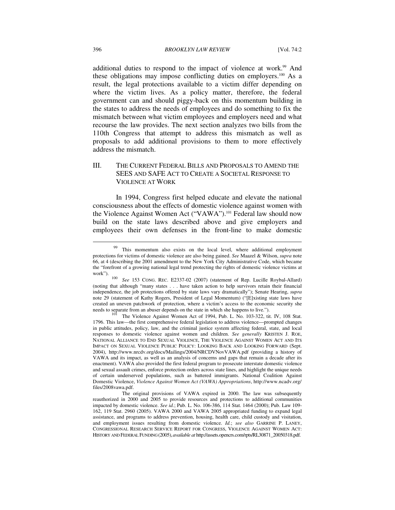additional duties to respond to the impact of violence at work.<sup>99</sup> And these obligations may impose conflicting duties on employers.<sup>100</sup> As a result, the legal protections available to a victim differ depending on where the victim lives. As a policy matter, therefore, the federal government can and should piggy-back on this momentum building in the states to address the needs of employees and do something to fix the mismatch between what victim employees and employers need and what recourse the law provides. The next section analyzes two bills from the 110th Congress that attempt to address this mismatch as well as proposals to add additional provisions to them to more effectively address the mismatch.

# III. THE CURRENT FEDERAL BILLS AND PROPOSALS TO AMEND THE SEES AND SAFE ACT TO CREATE A SOCIETAL RESPONSE TO VIOLENCE AT WORK

In 1994, Congress first helped educate and elevate the national consciousness about the effects of domestic violence against women with the Violence Against Women Act ("VAWA").<sup>101</sup> Federal law should now build on the state laws described above and give employers and employees their own defenses in the front-line to make domestic

 $\overline{\phantom{a}}$ 

<sup>&</sup>lt;sup>99</sup> This momentum also exists on the local level, where additional employment protections for victims of domestic violence are also being gained. *See* Maazel & Wilson, *supra* note 66, at 4 (describing the 2001 amendment to the New York City Administrative Code, which became the "forefront of a growing national legal trend protecting the rights of domestic violence victims at

work"). 100 *See* 153 CONG. REC. E2337-02 (2007) (statement of Rep. Lucille Roybal-Allard) (noting that although "many states . . . have taken action to help survivors retain their financial independence, the job protections offered by state laws vary dramatically"); Senate Hearing, *supra*  note 29 (statement of Kathy Rogers, President of Legal Momentum) ("[E]xisting state laws have created an uneven patchwork of protection, where a victim's access to the economic security she needs to separate from an abuser depends on the state in which she happens to live.").<br><sup>101</sup> The Violence Against Women Act of 1994, Pub. L. No. 103-322, tit. IV, 108 Stat.

<sup>1796.</sup> This law—the first comprehensive federal legislation to address violence—prompted changes in public attitudes, policy, law, and the criminal justice system affecting federal, state, and local responses to domestic violence against women and children. *See generally* KRISTEN J. ROE, NATIONAL ALLIANCE TO END SEXUAL VIOLENCE, THE VIOLENCE AGAINST WOMEN ACT AND ITS IMPACT ON SEXUAL VIOLENCE PUBLIC POLICY: LOOKING BACK AND LOOKING FORWARD (Sept. 2004), http://www.nrcdv.org/docs/Mailings/2004/NRCDVNovVAWA.pdf (providing a history of VAWA and its impact, as well as an analysis of concerns and gaps that remain a decade after its enactment). VAWA also provided the first federal program to prosecute interstate domestic violence and sexual assault crimes, enforce protection orders across state lines, and highlight the unique needs of certain underserved populations, such as battered immigrants. National Coalition Against Domestic Violence, *Violence Against Women Act (VAWA) Appropriations*, http://www.ncadv.org/ files/2008vawa.pdf.

The original provisions of VAWA expired in 2000. The law was subsequently reauthorized in 2000 and 2005 to provide resources and protections to additional communities impacted by domestic violence. *See id.*; Pub. L. No. 106-386, 114 Stat. 1464 (2000); Pub. Law 109- 162, 119 Stat. 2960 (2005). VAWA 2000 and VAWA 2005 appropriated funding to expand legal assistance, and programs to address prevention, housing, health care, child custody and visitation, and employment issues resulting from domestic violence. *Id.*; *see also* GARRINE P. LANEY, CONGRESSIONAL RESEARCH SERVICE REPORT FOR CONGRESS, VIOLENCE AGAINST WOMEN ACT: HISTORY AND FEDERAL FUNDING (2005),*available at* http://assets.opencrs.com/rpts/RL30871\_20050318.pdf.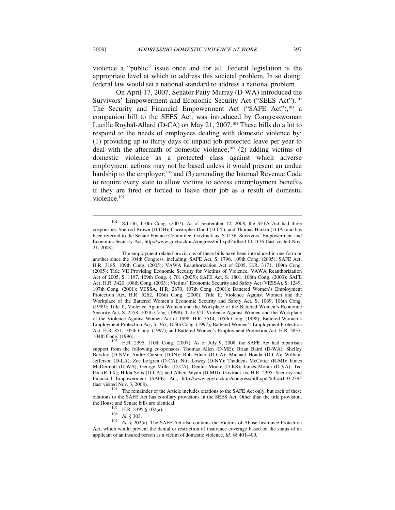$\overline{a}$ 

violence a "public" issue once and for all. Federal legislation is the appropriate level at which to address this societal problem. In so doing, federal law would set a national standard to address a national problem.

On April 17, 2007, Senator Patty Murray (D-WA) introduced the Survivors' Empowerment and Economic Security Act ("SEES Act").<sup>102</sup> The Security and Financial Empowerment Act ("SAFE Act"),<sup>103</sup> a companion bill to the SEES Act, was introduced by Congresswoman Lucille Roybal-Allard (D-CA) on May 21, 2007.<sup>104</sup> These bills do a lot to respond to the needs of employees dealing with domestic violence by: (1) providing up to thirty days of unpaid job protected leave per year to deal with the aftermath of domestic violence;<sup>105</sup> (2) adding victims of domestic violence as a protected class against which adverse employment actions may not be based unless it would present an undue hardship to the employer;<sup>106</sup> and (3) amending the Internal Revenue Code to require every state to allow victims to access unemployment benefits if they are fired or forced to leave their job as a result of domestic violence.<sup>107</sup>

<sup>102</sup> S.1136, 110th Cong. (2007). As of September 12, 2008, the SEES Act had three cosponsors: Sherrod Brown (D-OH); Christopher Dodd (D-CT); and Thomas Harkin (D-IA) and has been referred to the Senate Finance Committee. Govtrack.us, S.1136: Survivors' Empowerment and Economic Security Act, http://www.govtrack.us/congress/bill.xpd?bill=s110-1136 (last visited Nov. 21, 2008).

The employment related provisions of these bills have been introduced in one form or another since the 104th Congress, including: SAFE Act, S. 1796, 109th Cong. (2005); SAFE Act, H.R. 3185, 109th Cong. (2005); VAWA Reauthorization Act of 2005, H.R. 3171, 109th Cong. (2005); Title VII Providing Economic Security for Victims of Violence, VAWA Reauthorization Act of 2005, S. 1197, 109th Cong. § 701 (2005); SAFE Act, S. 1801, 108th Cong. (2003); SAFE Act, H.R. 3420, 108th Cong. (2003); Victims' Economic Security and Safety Act (VESSA), S. 1249, 107th Cong. (2001); VESSA, H.R. 2670, 107th Cong. (2001); Battered Women's Employment Protection Act, H.R. 5262, 106th Cong. (2000); Title II, Violence Against Women and the Workplace of the Battered Women's Economic Security and Safety Act, S. 1069, 106th Cong. (1999); Title II, Violence Against Women and the Workplace of the Battered Women's Economic Security Act, S. 2558, 105th Cong. (1998); Title VII, Violence Against Women and the Workplace of the Violence Against Women Act of 1998, H.R. 3514, 105th Cong. (1998); Battered Women's Employment Protection Act, S. 367, 105th Cong. (1997); Battered Women's Employment Protection Act, H.R. 851, 105th Cong. (1997); and Battered Women's Employment Protection Act, H.R. 3837, 104th Cong. (1996).<br>104th Cong. (1996).

H.R. 2395, 110th Cong. (2007). As of July 9, 2008, the SAFE Act had bipartisan support from the following co-sponsors: Thomas Allen (D-ME); Brian Baird (D-WA); Shelley Berkley (D-NV); Andre Carson (D-IN); Bob Filner (D-CA); Michael Honda (D-CA); William Jefferson (D-LA); Zoe Lofgren (D-CA); Nita Lowey (D-NY); Thaddeus McCotter (R-MI); James McDermott (D-WA); George Miller (D-CA); Dennis Moore (D-KS); James Moran (D-VA); Ted Poe (R-TX); Hilda Solis (D-CA); and Albert Wynn (D-MD). Govtrack.us, H.R. 2395: Security and Financial Empowerment (SAFE) Act, http://www.govtrack.us/congress/bill.xpd?bill=h110-2395 (last visited Nov. 3, 2008).

 $104$  The remainder of the Article includes citations to the SAFE Act only, but each of these citations to the SAFE Act has corollary provisions in the SEES Act. Other than the title provision,

the H.R. 2395 § 102(a).<br>
105 H.R. 2395 § 102(a).<br>
107 *Id.* § 202(a). The SAFE Act also contains the Victims of Abuse Insurance Protection Act, which would prevent the denial or restriction of insurance coverage based on the status of an applicant or an insured person as a victim of domestic violence. *Id.* §§ 401-409.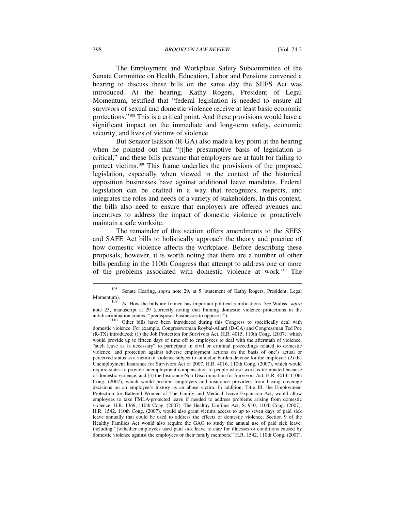The Employment and Workplace Safety Subcommittee of the Senate Committee on Health, Education, Labor and Pensions convened a hearing to discuss these bills on the same day the SEES Act was introduced. At the hearing, Kathy Rogers, President of Legal Momentum, testified that "federal legislation is needed to ensure all survivors of sexual and domestic violence receive at least basic economic protections."108 This is a critical point. And these provisions would have a significant impact on the immediate and long-term safety, economic security, and lives of victims of violence.

But Senator Isakson (R-GA) also made a key point at the hearing when he pointed out that "[t]he presumptive basis of legislation is critical," and these bills presume that employers are at fault for failing to protect victims.109 This frame underlies the provisions of the proposed legislation, especially when viewed in the context of the historical opposition businesses have against additional leave mandates. Federal legislation can be crafted in a way that recognizes, respects, and integrates the roles and needs of a variety of stakeholders. In this context, the bills also need to ensure that employers are offered avenues and incentives to address the impact of domestic violence or proactively maintain a safe worksite.

The remainder of this section offers amendments to the SEES and SAFE Act bills to holistically approach the theory and practice of how domestic violence affects the workplace. Before describing these proposals, however, it is worth noting that there are a number of other bills pending in the 110th Congress that attempt to address one or more of the problems associated with domestic violence at work.110 The

<sup>108</sup> Senate Hearing, *supra* note 29, at 5 (statement of Kathy Rogers, President, Legal Momentum). 109 *Id*. How the bills are framed has important political ramifications. *See* Widiss, *supra* 

note 25, manuscript at 29 (correctly noting that framing domestic violence protections in the antidiscrimination context "predisposes businesses to oppose it").

 $110$  Other bills have been introduced during this Congress to specifically deal with domestic violence. For example, Congresswoman Roybal-Allard (D-CA) and Congressman Ted Poe (R-TX) introduced: (1) the Job Protection for Survivors Act, H.R. 4015, 110th Cong. (2007), which would provide up to fifteen days of time off to employees to deal with the aftermath of violence, "such leave as is necessary" to participate in civil or criminal proceedings related to domestic violence, and protection against adverse employment actions on the basis of one's actual or perceived status as a victim of violence subject to an undue burden defense for the employer; (2) the Unemployment Insurance for Survivors Act of 2007, H.R. 4016, 110th Cong. (2007), which would require states to provide unemployment compensation to people whose work is terminated because of domestic violence; and (3) the Insurance Non-Discrimination for Survivors Act, H.R. 4014, 110th Cong. (2007), which would prohibit employers and insurance providers from basing coverage decisions on an employee's history as an abuse victim. In addition, Title III, the Employment Protection for Battered Women of The Family and Medical Leave Expansion Act, would allow employees to take FMLA-protected leave if needed to address problems arising from domestic violence. H.R. 1369, 110th Cong. (2007). The Healthy Families Act, S. 910, 110th Cong. (2007), H.R. 1542, 110th Cong. (2007), would also grant victims access to up to seven days of paid sick leave annually that could be used to address the effects of domestic violence. Section 9 of the Healthy Families Act would also require the GAO to study the annual use of paid sick leave, including "[w]hether employees used paid sick leave to care for illnesses or conditions caused by domestic violence against the employees or their family members." H.R. 1542, 110th Cong. (2007).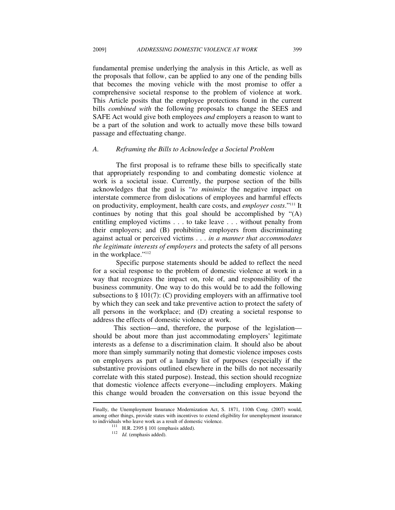fundamental premise underlying the analysis in this Article, as well as the proposals that follow, can be applied to any one of the pending bills that becomes the moving vehicle with the most promise to offer a comprehensive societal response to the problem of violence at work. This Article posits that the employee protections found in the current bills *combined with* the following proposals to change the SEES and SAFE Act would give both employees *and* employers a reason to want to be a part of the solution and work to actually move these bills toward passage and effectuating change.

#### *A. Reframing the Bills to Acknowledge a Societal Problem*

The first proposal is to reframe these bills to specifically state that appropriately responding to and combating domestic violence at work is a societal issue. Currently, the purpose section of the bills acknowledges that the goal is "*to minimize* the negative impact on interstate commerce from dislocations of employees and harmful effects on productivity, employment, health care costs, and *employer costs*."111 It continues by noting that this goal should be accomplished by "(A) entitling employed victims . . . to take leave . . . without penalty from their employers; and (B) prohibiting employers from discriminating against actual or perceived victims . . . *in a manner that accommodates the legitimate interests of employers* and protects the safety of all persons in the workplace."<sup>112</sup>

Specific purpose statements should be added to reflect the need for a social response to the problem of domestic violence at work in a way that recognizes the impact on, role of, and responsibility of the business community. One way to do this would be to add the following subsections to  $\S$  101(7): (C) providing employers with an affirmative tool by which they can seek and take preventive action to protect the safety of all persons in the workplace; and (D) creating a societal response to address the effects of domestic violence at work.

 This section—and, therefore, the purpose of the legislation should be about more than just accommodating employers' legitimate interests as a defense to a discrimination claim. It should also be about more than simply summarily noting that domestic violence imposes costs on employers as part of a laundry list of purposes (especially if the substantive provisions outlined elsewhere in the bills do not necessarily correlate with this stated purpose). Instead, this section should recognize that domestic violence affects everyone—including employers. Making this change would broaden the conversation on this issue beyond the  $\overline{a}$ 

Finally, the Unemployment Insurance Modernization Act, S. 1871, 110th Cong. (2007) would, among other things, provide states with incentives to extend eligibility for unemployment insurance to individuals who leave work as a result of domestic violence.<br><sup>111</sup> H.R. 2395 § 101 (emphasis added).<br><sup>112</sup> *Id.* (emphasis added).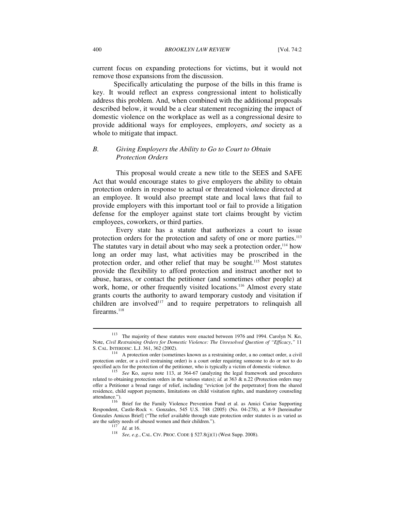current focus on expanding protections for victims, but it would not remove those expansions from the discussion.

 Specifically articulating the purpose of the bills in this frame is key. It would reflect an express congressional intent to holistically address this problem. And, when combined with the additional proposals described below, it would be a clear statement recognizing the impact of domestic violence on the workplace as well as a congressional desire to provide additional ways for employees, employers, *and* society as a whole to mitigate that impact.

# *B. Giving Employers the Ability to Go to Court to Obtain Protection Orders*

This proposal would create a new title to the SEES and SAFE Act that would encourage states to give employers the ability to obtain protection orders in response to actual or threatened violence directed at an employee. It would also preempt state and local laws that fail to provide employers with this important tool or fail to provide a litigation defense for the employer against state tort claims brought by victim employees, coworkers, or third parties.

Every state has a statute that authorizes a court to issue protection orders for the protection and safety of one or more parties.<sup>113</sup> The statutes vary in detail about who may seek a protection order,<sup>114</sup> how long an order may last, what activities may be proscribed in the protection order, and other relief that may be sought.<sup>115</sup> Most statutes provide the flexibility to afford protection and instruct another not to abuse, harass, or contact the petitioner (and sometimes other people) at work, home, or other frequently visited locations.<sup>116</sup> Almost every state grants courts the authority to award temporary custody and visitation if children are involved<sup>117</sup> and to require perpetrators to relinquish all firearms.<sup>118</sup>

 $\overline{\phantom{a}}$ 

<sup>113</sup> The majority of these statutes were enacted between 1976 and 1994. Carolyn N. Ko, Note, *Civil Restraining Orders for Domestic Violence: The Unresolved Question of "Efficacy*,*"* 11

S. CAL. INTERDISC. L.J. 361, 362 (2002).<br><sup>114</sup> A protection order (sometimes known as a restraining order, a no contact order, a civil protection order, or a civil restraining order) is a court order requiring someone to do or not to do specified acts for the protection of the petitioner, who is typically a victim of domestic violence.<br><sup>115</sup> See Ko, *supra* note 113, at 364-67 (analyzing the legal framework and procedures

related to obtaining protection orders in the various states); *id.* at 363 & n.22 (Protection orders may offer a Petitioner a broad range of relief, including "eviction [of the perpetrator] from the shared residence, child support payments, limitations on child visitation rights, and mandatory counseling

attendance.").<br><sup>116</sup> Brief for the Family Violence Prevention Fund et al. as Amici Curiae Supporting Respondent, Castle-Rock v. Gonzales, 545 U.S. 748 (2005) (No. 04-278), at 8-9 [hereinafter Gonzales Amicus Brief] ("The relief available through state protection order statutes is as varied as are the safety needs of abused women and their children.").

are the same and the same and the same and the same and the same and the same  $\frac{117}{117}$  *Id.* at 16. 118 *See, e.g.*, CAL. CIV. PROC. CODE § 527.8(j)(1) (West Supp. 2008).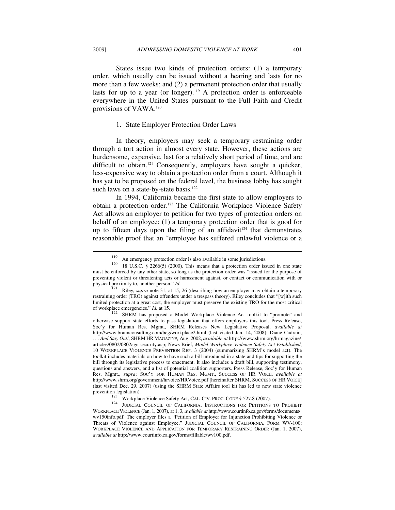States issue two kinds of protection orders: (1) a temporary order, which usually can be issued without a hearing and lasts for no more than a few weeks; and (2) a permanent protection order that usually lasts for up to a year (or longer).119 A protection order is enforceable everywhere in the United States pursuant to the Full Faith and Credit provisions of VAWA.120

#### 1. State Employer Protection Order Laws

In theory, employers may seek a temporary restraining order through a tort action in almost every state. However, these actions are burdensome, expensive, last for a relatively short period of time, and are difficult to obtain.<sup>121</sup> Consequently, employers have sought a quicker, less-expensive way to obtain a protection order from a court. Although it has yet to be proposed on the federal level, the business lobby has sought such laws on a state-by-state basis.<sup>122</sup>

In 1994, California became the first state to allow employers to obtain a protection order.123 The California Workplace Violence Safety Act allows an employer to petition for two types of protection orders on behalf of an employee: (1) a temporary protection order that is good for up to fifteen days upon the filing of an affidavit<sup>124</sup> that demonstrates reasonable proof that an "employee has suffered unlawful violence or a

 $\overline{\phantom{a}}$ 

of workplace emergencies." *Id.* at 15. 122 SHRM has proposed a Model Workplace Violence Act toolkit to "promote" and otherwise support state efforts to pass legislation that offers employers this tool. Press Release, Soc'y for Human Res. Mgmt., SHRM Releases New Legislative Proposal, *available at*  http://www.braunconsulting.com/bcg/workplace2.html (last visited Jan. 14, 2008); Diane Cadrain,

*. . . And Stay Out!*, SHRM HR MAGAZINE, Aug. 2002, *available at* http://www.shrm.org/hrmagazine/ articles/0802/0802agn-security.asp; News Brief, *Model Workplace Violence Safety Act Established*, 10 WORKPLACE VIOLENCE PREVENTION REP. 3 (2004) (summarizing SHRM's model act). The toolkit includes materials on how to have such a bill introduced in a state and tips for supporting the bill through its legislative process to enactment. It also includes a draft bill, supporting testimony, questions and answers, and a list of potential coalition supporters. Press Release, Soc'y for Human Res. Mgmt., *supra*; SOC'Y FOR HUMAN RES. MGMT., SUCCESS OF HR VOICE, *available at* http://www.shrm.org/government/hrvoice/HRVoice.pdf [hereinafter SHRM, SUCCESS OF HR VOICE] (last visited Dec. 29, 2007) (using the SHRM State Affairs tool kit has led to new state violence<br>prevention legislation).<br> $^{123}$  W. 1.1. W. 1.2. S. S. L. 1. S. S. C. C. C. C. C. 2. S. S. 2. 2. 2. 2. 2. 2. 2. 2. 2. 2. 2.

<sup>123</sup> Workplace Violence Safety Act, CAL. CIV. PROC. CODE § 527.8 (2007). <sup>124</sup> JUDICIAL COUNCIL OF CALIFORNIA, INSTRUCTIONS FOR PETITIONS TO PROHIBIT WORKPLACE VIOLENCE (Jan. 1, 2007), at 1, 3, *available at* http://www.courtinfo.ca.gov/forms/documents/ wv150info.pdf. The employer files a "Petition of Employer for Injunction Prohibiting Violence or Threats of Violence against Employee." JUDICIAL COUNCIL OF CALIFORNIA, FORM WV-100: WORKPLACE VIOLENCE AND APPLICATION FOR TEMPORARY RESTRAINING ORDER (Jan. 1, 2007), *available at* http://www.courtinfo.ca.gov/forms/fillable/wv100.pdf.

<sup>&</sup>lt;sup>119</sup> An emergency protection order is also available in some jurisdictions.<br><sup>120</sup> 18 U.S.C. § 2266(5) (2000). This means that a protection order issued in one state must be enforced by any other state, so long as the protection order was "issued for the purpose of preventing violent or threatening acts or harassment against, or contact or communication with or physical proximity to, another person." *Id.* 121 Riley, *supra* note 31, at 15, 26 (describing how an employer may obtain a temporary

restraining order (TRO) against offenders under a trespass theory). Riley concludes that "[w]ith such limited protection at a great cost, the employer must preserve the existing TRO for the most critical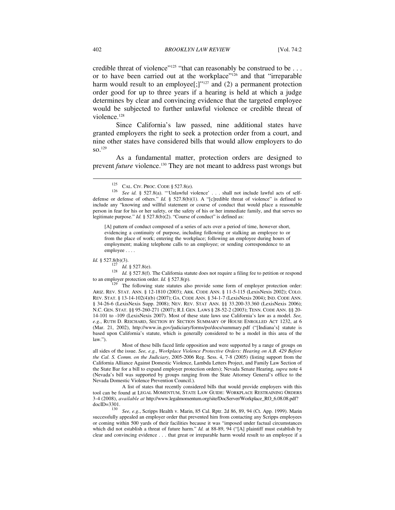credible threat of violence"<sup>125</sup> "that can reasonably be construed to be . . . or to have been carried out at the workplace"126 and that "irreparable harm would result to an employee $[$ ;]"<sup>127</sup> and (2) a permanent protection order good for up to three years if a hearing is held at which a judge determines by clear and convincing evidence that the targeted employee would be subjected to further unlawful violence or credible threat of violence.<sup>128</sup>

Since California's law passed, nine additional states have granted employers the right to seek a protection order from a court, and nine other states have considered bills that would allow employers to do  $SO<sub>129</sub>$ 

As a fundamental matter, protection orders are designed to prevent *future* violence.<sup>130</sup> They are not meant to address past wrongs but

[A] pattern of conduct composed of a series of acts over a period of time, however short, evidencing a continuity of purpose, including following or stalking an employee to or from the place of work; entering the workplace; following an employee during hours of employment; making telephone calls to an employee; or sending correspondence to an employee . . . .

*Id.* § 527.8(b)(3).<br><sup>127</sup> *Id.* § 527.8(e).<br><sup>128</sup> *Id.* § 527.8(f). The California statute does not require a filing fee to petition or respond to an employer protection order. *Id.* § 527.8(p).<br><sup>129</sup> The following state statutes also provide some form of employer protection order:

 Most of these bills faced little opposition and were supported by a range of groups on all sides of the issue. *See, e.g.*, *Workplace Violence Protective Orders: Hearing on A.B. 429 Before the Cal. S. Comm. on the Judiciary*, 2005-2006 Reg. Sess. 4, 7-8 (2005) (listing support from the California Alliance Against Domestic Violence, Lambda Letters Project, and Family Law Section of the State Bar for a bill to expand employer protection orders); Nevada Senate Hearing, *supra* note 4 (Nevada's bill was supported by groups ranging from the State Attorney General's office to the Nevada Domestic Violence Prevention Council.).

 A list of states that recently considered bills that would provide employers with this tool can be found at LEGAL MOMENTUM, STATE LAW GUIDE: WORKPLACE RESTRAINING ORDERS 3-4 (2008), *available at* http://www.legalmomentum.org/site/DocServer/Workplace\_RO\_6.08.08.pdf?

docID=3301. 130 *See, e.g.*, Scripps Health v. Marin, 85 Cal. Rptr. 2d 86, 89, 94 (Ct. App. 1999). Marin successfully appealed an employer order that prevented him from contacting any Scripps employees or coming within 500 yards of their facilities because it was "imposed under factual circumstances which did not establish a threat of future harm." *Id.* at 88-89, 94 ("[A] plaintiff must establish by clear and convincing evidence . . . that great or irreparable harm would result to an employee if a

 $\overline{\phantom{a}}$ 

<sup>125</sup> CAL. CIV. PROC. CODE § 527.8(e). <sup>126</sup> *See id.* § 527.8(a). "'Unlawful violence' . . . shall not include lawful acts of selfdefense or defense of others." *Id.* § 527.8(b)(1). A "[c]redible threat of violence" is defined to include any "knowing and willful statement or course of conduct that would place a reasonable person in fear for his or her safety, or the safety of his or her immediate family, and that serves no legitimate purpose." *Id.* § 527.8(b)(2). "Course of conduct" is defined as:

ARIZ. REV. STAT. ANN. § 12-1810 (2003); ARK. CODE ANN. § 11-5-115 (LexisNexis 2002); COLO. REV. STAT. § 13-14-102(4)(b) (2007); GA. CODE ANN. § 34-1-7 (LexisNexis 2004); IND. CODE ANN. § 34-26-6 (LexisNexis Supp. 2008); NEV. REV. STAT ANN. §§ 33.200-33.360 (LexisNexis 2006); N.C. GEN. STAT. §§ 95-260-271 (2007); R.I. GEN. LAWS § 28-52-2 (2003); TENN. CODE ANN. §§ 20- 14-101 to -109 (LexisNexis 2007). Most of these state laws use California's law as a model. *See, e.g.*, RUTH D. REICHARD, SECTION BY SECTION SUMMARY OF HOUSE ENROLLED ACT 1232, at 6 (Mar. 21, 2002), http://www.in.gov/judiciary/forms/po/docs/summary.pdf ("[Indiana's] statute is based upon California's statute, which is generally considered to be a model in this area of the law.").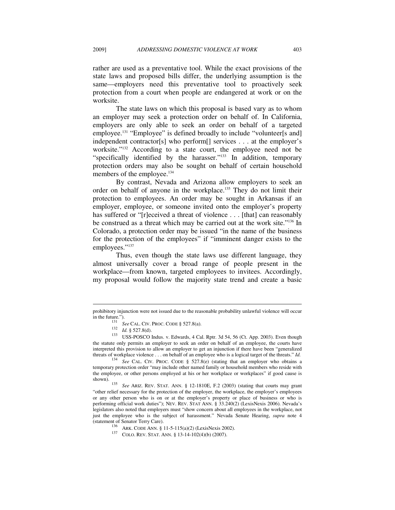rather are used as a preventative tool. While the exact provisions of the state laws and proposed bills differ, the underlying assumption is the same—employers need this preventative tool to proactively seek protection from a court when people are endangered at work or on the worksite.

The state laws on which this proposal is based vary as to whom an employer may seek a protection order on behalf of. In California, employers are only able to seek an order on behalf of a targeted employee.<sup>131</sup> "Employee" is defined broadly to include "volunteer[s and] independent contractor[s] who perform[] services . . . at the employer's worksite."132 According to a state court, the employee need not be "specifically identified by the harasser."133 In addition, temporary protection orders may also be sought on behalf of certain household members of the employee.<sup>134</sup>

By contrast, Nevada and Arizona allow employers to seek an order on behalf of anyone in the workplace.135 They do not limit their protection to employees. An order may be sought in Arkansas if an employer, employee, or someone invited onto the employer's property has suffered or "[r]eceived a threat of violence . . . [that] can reasonably be construed as a threat which may be carried out at the work site."136 In Colorado, a protection order may be issued "in the name of the business for the protection of the employees" if "imminent danger exists to the employees."<sup>137</sup>

Thus, even though the state laws use different language, they almost universally cover a broad range of people present in the workplace—from known, targeted employees to invitees. Accordingly, my proposal would follow the majority state trend and create a basic

prohibitory injunction were not issued due to the reasonable probability unlawful violence will occur<br>in the future.").<br> $131 - 24 = 24 \times 20 = 20 \times 20 = 20 \times 20 = 20$ 

<sup>&</sup>lt;sup>131</sup> *See* CAL. CIV. PROC. CODE § 527.8(a).<br>
<sup>132</sup> *Id.* § 527.8(d).<br>
<sup>133</sup> USS-POSCO Indus. v. Edwards, 4 Cal. Rptr. 3d 54, 56 (Ct. App. 2003). Even though the statute only permits an employer to seek an order on behalf of an employee, the courts have interpreted this provision to allow an employer to get an injunction if there have been "generalized threats of workplace violence . . . on behalf of an employee who is a logical target of the threats." *Id. See* CAL. CIV. PROC. CODE § 527.8(e) (stating that an employer who obtains a

temporary protection order "may include other named family or household members who reside with the employee, or other persons employed at his or her workplace or workplaces" if good cause is shown). 135 *See* ARIZ. REV. STAT. ANN. § 12-1810E, F.2 (2003) (stating that courts may grant

<sup>&</sup>quot;other relief necessary for the protection of the employer, the workplace, the employer's employees or any other person who is on or at the employer's property or place of business or who is performing official work duties"); NEV. REV. STAT ANN. § 33.240(2) (LexisNexis 2006). Nevada's legislators also noted that employers must "show concern about all employees in the workplace, not just the employee who is the subject of harassment." Nevada Senate Hearing, *supra* note 4

<sup>136</sup> ARK. CODE ANN. § 11-5-115(a)(2) (LexisNexis 2002). 137 COLO. REV. STAT. ANN. § 13-14-102(4)(b) (2007).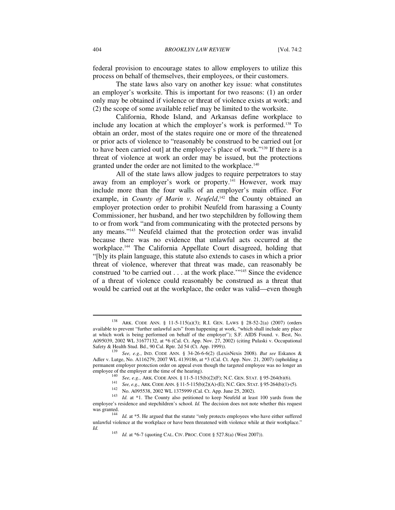federal provision to encourage states to allow employers to utilize this process on behalf of themselves, their employees, or their customers.

The state laws also vary on another key issue: what constitutes an employer's worksite. This is important for two reasons: (1) an order only may be obtained if violence or threat of violence exists at work; and (2) the scope of some available relief may be limited to the worksite.

California, Rhode Island, and Arkansas define workplace to include any location at which the employer's work is performed.138 To obtain an order, most of the states require one or more of the threatened or prior acts of violence to "reasonably be construed to be carried out [or to have been carried out] at the employee's place of work."139 If there is a threat of violence at work an order may be issued, but the protections granted under the order are not limited to the workplace.<sup>140</sup>

All of the state laws allow judges to require perpetrators to stay away from an employer's work or property.<sup>141</sup> However, work may include more than the four walls of an employer's main office. For example, in *County of Marin v. Neufeld*,<sup>142</sup> the County obtained an employer protection order to prohibit Neufeld from harassing a County Commissioner, her husband, and her two stepchildren by following them to or from work "and from communicating with the protected persons by any means."143 Neufeld claimed that the protection order was invalid because there was no evidence that unlawful acts occurred at the workplace.144 The California Appellate Court disagreed, holding that "[b]y its plain language, this statute also extends to cases in which a prior threat of violence, wherever that threat was made, can reasonably be construed 'to be carried out . . . at the work place.'"145 Since the evidence of a threat of violence could reasonably be construed as a threat that would be carried out at the workplace, the order was valid—even though

<sup>138</sup> ARK. CODE ANN. § 11-5-115(a)(3); R.I. GEN. LAWS § 28-52-2(a) (2007) (orders available to prevent "further unlawful acts" from happening at work, "which shall include any place at which work is being performed on behalf of the employer"); S.F. AIDS Found. v. Best, No. A095039, 2002 WL 31677132, at \*6 (Cal. Ct. App. Nov. 27, 2002) (citing Pulaski v. Occupational Safety & Health Stud. Bd., 90 Cal. Rptr. 2d 54 (Ct. App. 1999)). 139 *See, e.g.*, IND. CODE ANN. § 34-26-6-6(2) (LexisNexis 2008). *But see* Eskanos &

Adler v. Lutge, No. A116279, 2007 WL 4139186, at \*3 (Cal. Ct. App. Nov. 21, 2007) (upholding a permanent employer protection order on appeal even though the targeted employee was no longer an employee of the employer at the time of the hearing).

<sup>&</sup>lt;sup>140</sup> See, e.g., ARK. CODE ANN. § 11-5-115(b)(2)(F); N.C. GEN. STAT. § 95-264(b)(6).<br><sup>141</sup> See, e.g., ARK. CODE ANN. § 11-5-115(b)(2)(A)-(E); N.C. GEN. STAT. § 95-264(b)(1)-(5).<br><sup>142</sup> No. A095538, 2002 WL 1375999 (Cal. Ct employee's residence and stepchildren's school. *Id*. The decision does not note whether this request was granted.

<sup>144</sup> *Id.* at \*5. He argued that the statute "only protects employees who have either suffered unlawful violence at the workplace or have been threatened with violence while at their workplace." *Id.* 145 *Id.* at \*6-7 (quoting CAL. CIV. PROC. CODE § 527.8(a) (West 2007)).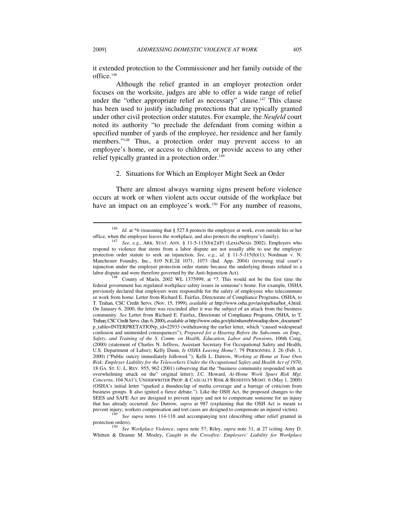it extended protection to the Commissioner and her family outside of the office.146

Although the relief granted in an employer protection order focuses on the worksite, judges are able to offer a wide range of relief under the "other appropriate relief as necessary" clause.<sup>147</sup> This clause has been used to justify including protections that are typically granted under other civil protection order statutes. For example, the *Neufeld* court noted its authority "to preclude the defendant from coming within a specified number of yards of the employee, her residence and her family members."148 Thus, a protection order may prevent access to an employee's home, or access to children, or provide access to any other relief typically granted in a protection order.<sup>149</sup>

#### 2. Situations for Which an Employer Might Seek an Order

There are almost always warning signs present before violence occurs at work or when violent acts occur outside of the workplace but have an impact on an employee's work.<sup>150</sup> For any number of reasons,

<sup>&</sup>lt;sup>146</sup> *Id.* at \*6 (reasoning that § 527.8 protects the employee at work, even outside his or her office, when the employee leaves the workplace, and also protects the employee's family).

<sup>&</sup>lt;sup>147</sup> See, e.g., ARK. STAT. ANN. § 11-5-115(b)(2)(F) (LexisNexis 2002). Employers who respond to violence that stems from a labor dispute are not usually able to use the employer protection order statute to seek an injunction. *See, e.g.*, *id.* § 11-5-115(h)(1); Nordman v. N. Manchester Foundry, Inc., 810 N.E.2d 1071, 1073 (Ind. App. 2004) (reversing trial court's injunction under the employer protection order statute because the underlying threats related to a labor dispute and were therefore governed by the Anti-Injunction Act).<br><sup>148</sup> County of Marin, 2002 WL 1375999, at \*7. This would not be the first time the

federal government has regulated workplace safety issues in someone's home. For example, OSHA previously declared that employers were responsible for the safety of employees who telecommute or work from home. Letter from Richard E. Fairfax, Directorate of Compliance Programs, OSHA, to T. Trahan, CSC Credit Servs. (Nov. 15, 1999), *available at* http://www.osha.gov/as/opa/foia/hot\_4.html. On January 6, 2000, the letter was rescinded after it was the subject of an attack from the business community. *See* Letter from Richard E. Fairfax, Directorate of Compliance Programs, OSHA, to T. Trahan, CSC Credit Servs. (Jan. 6, 2000), *available at* http://www.osha.gov/pls/oshaweb/owadisp.show\_document? p\_table=INTERPRETATIONp\_id=22933 (withdrawing the earlier letter, which "caused widespread confusion and unintended consequences"); *Prepared for a Hearing Before the Subcomm. on Emp., Safety, and Training of the S. Comm. on Health, Education, Labor and Pension*s, 106th Cong. (2000) (statement of Charles N. Jeffress, Assistant Secretary For Occupational Safety and Health, U.S. Department of Labor); Kelly Dunn, *Is OSHA Leaving Home?*, 79 PERSONNEL J. 26 (Feb. 1, 2000) ("Public outcry immediately followed."); Kelli L. Dutrow, *Working at Home at Your Own Risk: Employer Liability for the Teleworkers Under the Occupational Safety and Health Act of 1970*, 18 GA. ST. U. L. REV. 955, 962 (2001) (observing that the "business community responded with an overwhelming attack on the" original letter); J.C. Howard, *At-Home Work Spurs Risk Mgt. Concerns*, 104 NAT'L UNDERWRITER PROP. & CASUALTY RISK & BENEFITS MGMT. 6 (May 1, 2000) (OSHA's initial letter "sparked a thunderclap of media coverage and a barrage of criticism from business groups. It also ignited a fierce debate."). Like the OSH Act, the proposed changes to the SEES and SAFE Act are designed to prevent injury and not to compensate someone for an injury that has already occurred. *See* Dutrow, *supra* at 987 (explaining that the OSH Act is meant to

See supra notes 114-118 and accompanying text (describing other relief granted in protection orders). 150 *See Workplace Violence*, *supra* note 57; Riley, *supra* note 31, at 27 (citing Amy D.

Whitten & Deanne M. Mosley, *Caught in the Crossfire: Employers' Liability for Workplace*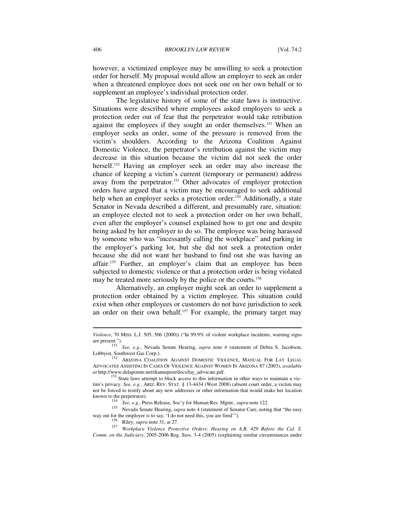however, a victimized employee may be unwilling to seek a protection order for herself. My proposal would allow an employer to seek an order when a threatened employee does not seek one on her own behalf or to supplement an employee's individual protection order.

The legislative history of some of the state laws is instructive. Situations were described where employees asked employers to seek a protection order out of fear that the perpetrator would take retribution against the employees if they sought an order themselves.<sup>151</sup> When an employer seeks an order, some of the pressure is removed from the victim's shoulders. According to the Arizona Coalition Against Domestic Violence, the perpetrator's retribution against the victim may decrease in this situation because the victim did not seek the order herself.<sup>152</sup> Having an employer seek an order may also increase the chance of keeping a victim's current (temporary or permanent) address away from the perpetrator.<sup>153</sup> Other advocates of employer protection orders have argued that a victim may be encouraged to seek additional help when an employer seeks a protection order.<sup>154</sup> Additionally, a state Senator in Nevada described a different, and presumably rare, situation: an employee elected not to seek a protection order on her own behalf, even after the employer's counsel explained how to get one and despite being asked by her employer to do so. The employee was being harassed by someone who was "incessantly calling the workplace" and parking in the employer's parking lot, but she did not seek a protection order because she did not want her husband to find out she was having an affair.155 Further, an employer's claim that an employee has been subjected to domestic violence or that a protection order is being violated may be treated more seriously by the police or the courts.<sup>156</sup>

Alternatively, an employer might seek an order to supplement a protection order obtained by a victim employee. This situation could exist when other employees or customers do not have jurisdiction to seek an order on their own behalf.<sup>157</sup> For example, the primary target may

*Violence*, 70 MISS. L.J. 505, 506 (2000)) ("In 99.9% of violent workplace incidents, warning signs

are present.").<br>
<sup>151</sup> See, e.g., Nevada Senate Hearing, *supra* note 4 (statement of Debra S. Jacobson, Lobbyist, Southwest Gas Corp.).

<sup>152</sup> ARIZONA COALITION AGAINST DOMESTIC VIOLENCE, MANUAL FOR LAY LEGAL ADVOCATES ASSISTING IN CASES OF VIOLENCE AGAINST WOMEN IN ARIZONA 87 (2003), *available at* http://www.delapointe.net/diannepost/docs/lay\_advocate.pdf.<br><sup>153</sup> State laws attempt to block access to this information in other ways to maintain a vic-

tim's privacy. *See, e.g.*, ARIZ. REV. STAT. § 13-4434 (West 2008) (absent court order, a victim may not be forced to testify about any new addresses or other information that would make her location known to the perpetrator).

<sup>&</sup>lt;sup>154</sup> See, e.g., Press Release, Soc'y for Human Res. Mgmt., *supra* note 122.<br><sup>155</sup> Nevada Senate Hearing, *supra* note 4 (statement of Senator Care, noting that "the easy

way out for the employer is to say, 'I do not need this, you are fired'").<br><sup>156</sup> Riley, *supra* note 31, at 27.<br><sup>157</sup> *Workplace Violence Protective Orders: Hearing on A.B. 429 Before the Cal. S. Comm. on the Judiciary*, 2005-2006 Reg. Sess. 3-4 (2005) (explaining similar circumstances under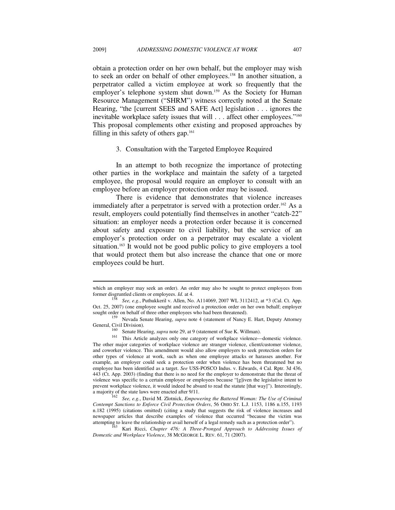obtain a protection order on her own behalf, but the employer may wish to seek an order on behalf of other employees.158 In another situation, a perpetrator called a victim employee at work so frequently that the employer's telephone system shut down.<sup>159</sup> As the Society for Human Resource Management ("SHRM") witness correctly noted at the Senate Hearing, "the [current SEES and SAFE Act] legislation . . . ignores the inevitable workplace safety issues that will . . . affect other employees."<sup>160</sup> This proposal complements other existing and proposed approaches by filling in this safety of others gap.<sup>161</sup>

#### 3. Consultation with the Targeted Employee Required

In an attempt to both recognize the importance of protecting other parties in the workplace and maintain the safety of a targeted employee, the proposal would require an employer to consult with an employee before an employer protection order may be issued.

There is evidence that demonstrates that violence increases immediately after a perpetrator is served with a protection order.<sup>162</sup> As a result, employers could potentially find themselves in another "catch-22" situation: an employer needs a protection order because it is concerned about safety and exposure to civil liability, but the service of an employer's protection order on a perpetrator may escalate a violent situation.163 It would not be good public policy to give employers a tool that would protect them but also increase the chance that one or more employees could be hurt.

which an employer may seek an order). An order may also be sought to protect employees from former disgruntled clients or employees.  $Id$  at 4.

*See, e.g.*, Puthukkeril v. Allen, No. A114069, 2007 WL 3112412, at \*3 (Cal. Ct. App. Oct. 25, 2007) (one employee sought and received a protection order on her own behalf; employer sought order on behalf of three other employees who had been threatened).

<sup>&</sup>lt;sup>159</sup> Nevada Senate Hearing, *supra* note 4 (statement of Nancy E. Hart, Deputy Attorney General, Civil Division).

<sup>&</sup>lt;sup>160</sup> Senate Hearing, *supra* note 29, at 9 (statement of Sue K. Willman).<br><sup>161</sup> This Article analyzes only one category of workplace violence—domestic violence. The other major categories of workplace violence are stranger violence, client/customer violence, and coworker violence. This amendment would also allow employers to seek protection orders for other types of violence at work, such as when one employee attacks or harasses another. For example, an employer could seek a protection order when violence has been threatened but no employee has been identified as a target. *See* USS-POSCO Indus. v. Edwards, 4 Cal. Rptr. 3d 436, 443 (Ct. App. 2003) (finding that there is no need for the employer to demonstrate that the threat of violence was specific to a certain employee or employees because "[g]iven the legislative intent to prevent workplace violence, it would indeed be absurd to read the statute [that way]"). Interestingly, a majority of the state laws were enacted after 9/11.

See, e.g., David M. Zlotnick, *Empowering the Battered Woman: The Use of Criminal Contempt Sanctions to Enforce Civil Protection Orders*, 56 OHIO ST. L.J. 1153, 1186 n.155, 1193 n.182 (1995) (citations omitted) (citing a study that suggests the risk of violence increases and newspaper articles that describe examples of violence that occurred "because the victim was attempting to leave the relationship or avail herself of a legal remedy such as a protection order"). 163 Kari Ricci, *Chapter 476: A Three-Pronged Approach to Addressing Issues of* 

*Domestic and Workplace Violence*, 38 MCGEORGE L. REV. 61, 71 (2007).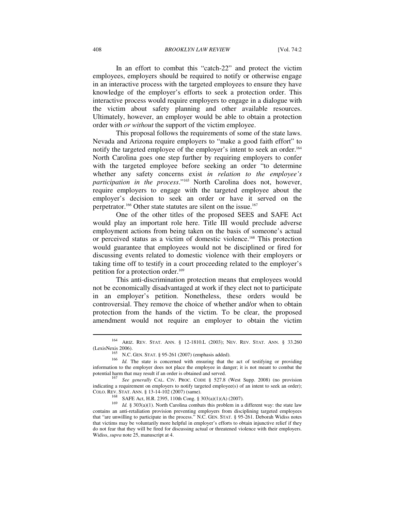#### 408 *BROOKLYN LAW REVIEW* [Vol. 74:2

In an effort to combat this "catch-22" and protect the victim employees, employers should be required to notify or otherwise engage in an interactive process with the targeted employees to ensure they have knowledge of the employer's efforts to seek a protection order. This interactive process would require employers to engage in a dialogue with the victim about safety planning and other available resources. Ultimately, however, an employer would be able to obtain a protection order with *or without* the support of the victim employee.

This proposal follows the requirements of some of the state laws. Nevada and Arizona require employers to "make a good faith effort" to notify the targeted employee of the employer's intent to seek an order.<sup>164</sup> North Carolina goes one step further by requiring employers to confer with the targeted employee before seeking an order "to determine whether any safety concerns exist *in relation to the employee's participation in the process*."165 North Carolina does not, however, require employers to engage with the targeted employee about the employer's decision to seek an order or have it served on the perpetrator.166 Other state statutes are silent on the issue.167

One of the other titles of the proposed SEES and SAFE Act would play an important role here. Title III would preclude adverse employment actions from being taken on the basis of someone's actual or perceived status as a victim of domestic violence.168 This protection would guarantee that employees would not be disciplined or fired for discussing events related to domestic violence with their employers or taking time off to testify in a court proceeding related to the employer's petition for a protection order.<sup>169</sup>

This anti-discrimination protection means that employees would not be economically disadvantaged at work if they elect not to participate in an employer's petition. Nonetheless, these orders would be controversial. They remove the choice of whether and/or when to obtain protection from the hands of the victim. To be clear, the proposed amendment would not require an employer to obtain the victim

<sup>164</sup> ARIZ. REV. STAT. ANN. § 12-1810.L (2003); NEV. REV. STAT. ANN. § 33.260

<sup>(</sup>LexisNexis 2006). 165 N.C. GEN. STAT. § 95-261 (2007) (emphasis added). 166 *Id.* The state is concerned with ensuring that the act of testifying or providing information to the employer does not place the employee in danger; it is not meant to combat the potential harm that may result if an order is obtained and served. 167 *See generally* CAL. CIV. PROC. CODE § 527.8 (West Supp. 2008) (no provision

indicating a requirement on employers to notify targeted employee(s) of an intent to seek an order); COLO. REV. STAT. ANN. § 13-14-102 (2007) (same).

<sup>&</sup>lt;sup>168</sup> SAFE Act, H.R. 2395, 110th Cong. § 303(a)(1)(A) (2007).<br><sup>169</sup> Id. § 303(a)(1). North Carolina combats this problem in a different way: the state law contains an anti-retaliation provision preventing employers from disciplining targeted employees that "are unwilling to participate in the process." N.C. GEN. STAT. § 95-261. Deborah Widiss notes that victims may be voluntarily more helpful in employer's efforts to obtain injunctive relief if they do not fear that they will be fired for discussing actual or threatened violence with their employers. Widiss, *supra* note 25, manuscript at 4.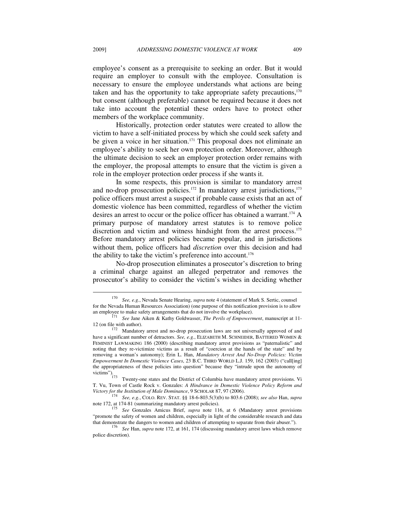employee's consent as a prerequisite to seeking an order. But it would require an employer to consult with the employee. Consultation is necessary to ensure the employee understands what actions are being taken and has the opportunity to take appropriate safety precautions, $170$ but consent (although preferable) cannot be required because it does not take into account the potential these orders have to protect other members of the workplace community.

Historically, protection order statutes were created to allow the victim to have a self-initiated process by which she could seek safety and be given a voice in her situation.<sup>171</sup> This proposal does not eliminate an employee's ability to seek her own protection order. Moreover, although the ultimate decision to seek an employer protection order remains with the employer, the proposal attempts to ensure that the victim is given a role in the employer protection order process if she wants it.

In some respects, this provision is similar to mandatory arrest and no-drop prosecution policies.<sup>172</sup> In mandatory arrest jurisdictions,<sup>173</sup> police officers must arrest a suspect if probable cause exists that an act of domestic violence has been committed, regardless of whether the victim desires an arrest to occur or the police officer has obtained a warrant.174 A primary purpose of mandatory arrest statutes is to remove police discretion and victim and witness hindsight from the arrest process.175 Before mandatory arrest policies became popular, and in jurisdictions without them, police officers had *discretion* over this decision and had the ability to take the victim's preference into account.<sup>176</sup>

No-drop prosecution eliminates a prosecutor's discretion to bring a criminal charge against an alleged perpetrator and removes the prosecutor's ability to consider the victim's wishes in deciding whether

<sup>170</sup> *See, e.g.*, Nevada Senate Hearing, *supra* note 4 (statement of Mark S. Sertic, counsel for the Nevada Human Resources Association) (one purpose of this notification provision is to allow an employee to make safety arrangements that do not involve the workplace).

<sup>&</sup>lt;sup>171</sup> See Jane Aiken & Kathy Goldwasser, *The Perils of Empowerment*, manuscript at 11-

<sup>12 (</sup>on file with author). 172 Mandatory arrest and no-drop prosecution laws are not universally approved of and have a significant number of detractors. *See, e.g.*, ELIZABETH M. SCHNEIDER, BATTERED WOMEN & FEMINIST LAWMAKING 186 (2000) (describing mandatory arrest provisions as "paternalistic" and noting that they re-victimize victims as a result of "coercion at the hands of the state" and by removing a woman's autonomy); Erin L. Han, *Mandatory Arrest And No-Drop Policies: Victim Empowerment In Domestic Violence Cases*, 23 B.C. THIRD WORLD L.J. 159, 162 (2003) ("call[ing] the appropriateness of these policies into question" because they "intrude upon the autonomy of victims"). 173 Twenty-one states and the District of Columbia have mandatory arrest provisions. Vi

T. Vu, Town of Castle Rock v. Gonzales: *A Hindrance in Domestic Violence Policy Reform and* 

*Victory for the Institution of Male Dominance*, 9 SCHOLAR 87, 97 (2006). 174 *See, e.g.*, COLO. REV. STAT. §§ 18-6-803.5(3)(b) to 803.6 (2008); *see also* Han, *supra*  note 172, at 174-81 (summarizing mandatory arrest policies). 175 *See* Gonzales Amicus Brief, *supra* note 116, at 6 (Mandatory arrest provisions

<sup>&</sup>quot;promote the safety of women and children, especially in light of the considerable research and data

that demonstrate the dangers of attemption of attention of a unit of attention of a unit of attention of a unit of  $\frac{176}{6}$  See Han, *supra* note 172, at 161, 174 (discussing mandatory arrest laws which remove police discretion).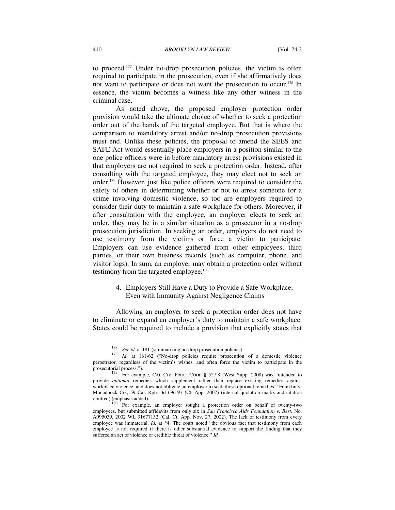to proceed.177 Under no-drop prosecution policies, the victim is often required to participate in the prosecution, even if she affirmatively does not want to participate or does not want the prosecution to occur.<sup>178</sup> In essence, the victim becomes a witness like any other witness in the criminal case.

As noted above, the proposed employer protection order provision would take the ultimate choice of whether to seek a protection order out of the hands of the targeted employee. But that is where the comparison to mandatory arrest and/or no-drop prosecution provisions must end. Unlike these policies, the proposal to amend the SEES and SAFE Act would essentially place employers in a position similar to the one police officers were in before mandatory arrest provisions existed in that employers are not required to seek a protection order. Instead, after consulting with the targeted employee, they may elect not to seek an order.179 However, just like police officers were required to consider the safety of others in determining whether or not to arrest someone for a crime involving domestic violence, so too are employers required to consider their duty to maintain a safe workplace for others. Moreover, if after consultation with the employee, an employer elects to seek an order, they may be in a similar situation as a prosecutor in a no-drop prosecution jurisdiction. In seeking an order, employers do not need to use testimony from the victims or force a victim to participate. Employers can use evidence gathered from other employees, third parties, or their own business records (such as computer, phone, and visitor logs). In sum, an employer may obtain a protection order without testimony from the targeted employee.<sup>180</sup>

> 4. Employers Still Have a Duty to Provide a Safe Workplace, Even with Immunity Against Negligence Claims

Allowing an employer to seek a protection order does not have to eliminate or expand an employer's duty to maintain a safe workplace. States could be required to include a provision that explicitly states that

 $\overline{\phantom{a}}$ 

<sup>177</sup> *See id.* at 181 (summarizing no-drop prosecution policies). 178 *Id.* at 161-62 ("No-drop policies require prosecution of a domestic violence perpetrator, regardless of the victim's wishes, and often force the victim to participate in the

prosecutorial process.").<br><sup>179</sup> For example, CAL CIV. PROC. CODE § 527.8 (West Supp. 2008) was "intended to provide *optional* remedies which supplement rather than replace existing remedies against workplace violence, and does not obligate an employer to seek those optional remedies." Franklin v. Monadnock Co., 59 Cal. Rptr. 3d 696-97 (Ct. App. 2007) (internal quotation marks and citation omitted) (emphasis added).

For example, an employer sought a protection order on behalf of twenty-two employees, but submitted affidavits from only six in *San Francisco Aids Foundation v. Best*, No. A095039, 2002 WL 31677132 (Cal. Ct. App. Nov. 27, 2002). The lack of testimony from every employee was immaterial. *Id.* at \*4. The court noted "the obvious fact that testimony from each employee is not required if there is other substantial evidence to support the finding that they suffered an act of violence or credible threat of violence." *Id.*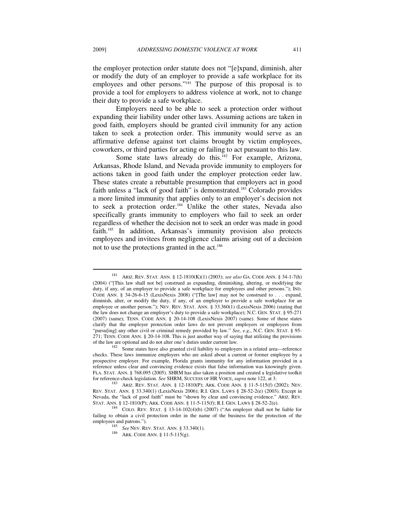the employer protection order statute does not "[e]xpand, diminish, alter or modify the duty of an employer to provide a safe workplace for its employees and other persons."181 The purpose of this proposal is to provide a tool for employers to address violence at work, not to change their duty to provide a safe workplace.

Employers need to be able to seek a protection order without expanding their liability under other laws. Assuming actions are taken in good faith, employers should be granted civil immunity for any action taken to seek a protection order. This immunity would serve as an affirmative defense against tort claims brought by victim employees, coworkers, or third parties for acting or failing to act pursuant to this law.

Some state laws already do this.<sup>182</sup> For example, Arizona, Arkansas, Rhode Island, and Nevada provide immunity to employers for actions taken in good faith under the employer protection order law. These states create a rebuttable presumption that employers act in good faith unless a "lack of good faith" is demonstrated.<sup>183</sup> Colorado provides a more limited immunity that applies only to an employer's decision not to seek a protection order.<sup>184</sup> Unlike the other states, Nevada also specifically grants immunity to employers who fail to seek an order regardless of whether the decision not to seek an order was made in good faith.<sup>185</sup> In addition, Arkansas's immunity provision also protects employees and invitees from negligence claims arising out of a decision not to use the protections granted in the act.<sup>186</sup>

<sup>181</sup> ARIZ. REV. STAT. ANN. § 12-1810(K)(1) (2003); *see also* GA. CODE ANN. § 34-1-7(h) (2004) ("[This law shall not be] construed as expanding, diminishing, altering, or modifying the duty, if any, of an employer to provide a safe workplace for employees and other persons."); IND. CODE ANN. § 34-26-6-15 (LexisNexis 2008) ("[The law] may not be construed to . . . expand, diminish, alter, or modify the duty, if any, of an employer to provide a safe workplace for an employee or another person."); NEV. REV. STAT. ANN. § 33.360(1) (LexisNexis 2006) (stating that the law does not change an employer's duty to provide a safe workplace); N.C. GEN. STAT. § 95-271 (2007) (same); TENN. CODE ANN. § 20-14-108 (LexisNexis 2007) (same). Some of these states clarify that the employer protection order laws do not prevent employers or employees from "pursu[ing] any other civil or criminal remedy provided by law." *See, e.g.*, N.C. GEN. STAT. § 95- 271; TENN. CODE ANN. § 20-14-108. This is just another way of saying that utilizing the provisions of the law are optional and do not alter one's duties under current law.<br><sup>182</sup> Some states have also granted civil liability to employers in a related area—reference

checks. These laws immunize employers who are asked about a current or former employee by a prospective employer. For example, Florida grants immunity for any information provided in a reference unless clear and convincing evidence exists that false information was knowingly given. FLA. STAT. ANN. § 768.095 (2005). SHRM has also taken a position and created a legislative toolkit for reference-check legislation. *See* SHRM, SUCCESS OF HR VOICE, *supra* note 122, at 3. 183 ARIZ. REV. STAT. ANN. § 12-1810(P); ARK. CODE ANN. § 11-5-115(f) (2002); NEV.

REV. STAT. ANN. § 33.340(1) (LexisNexis 2006); R.I. GEN. LAWS § 28-52-2(e) (2003). Except in Nevada, the "lack of good faith" must be "shown by clear and convincing evidence." ARIZ. REV.<br>STAT. ANN. § 12-1810(P); ARK. CODE ANN. § 11-5-115(f); R.I. GEN. LAWS § 28-52-2(e).

COLO. REV. STAT.  $\S$  13-14-102(4)(b) (2007) ("An employer shall not be liable for failing to obtain a civil protection order in the name of the business for the protection of the employees and patrons.").

<sup>&</sup>lt;sup>185</sup> *See* NEV. REV. STAT. ANN. § 33.340(1).<br><sup>186</sup> ARK. CODE ANN. § 11-5-115(g).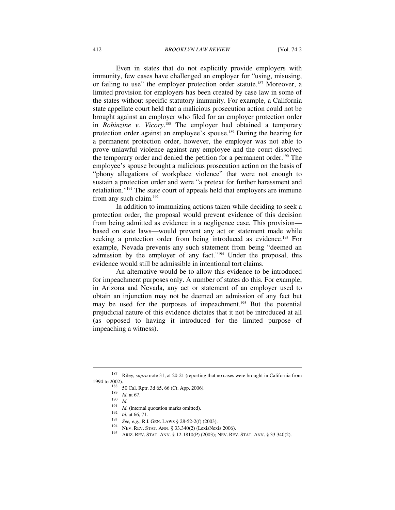Even in states that do not explicitly provide employers with immunity, few cases have challenged an employer for "using, misusing, or failing to use" the employer protection order statute.<sup>187</sup> Moreover, a limited provision for employers has been created by case law in some of the states without specific statutory immunity. For example, a California state appellate court held that a malicious prosecution action could not be brought against an employer who filed for an employer protection order in *Robinzine v. Vicory*. 188 The employer had obtained a temporary protection order against an employee's spouse.189 During the hearing for a permanent protection order, however, the employer was not able to prove unlawful violence against any employee and the court dissolved the temporary order and denied the petition for a permanent order.190 The employee's spouse brought a malicious prosecution action on the basis of "phony allegations of workplace violence" that were not enough to sustain a protection order and were "a pretext for further harassment and retaliation."191 The state court of appeals held that employers are immune from any such claim.<sup>192</sup>

In addition to immunizing actions taken while deciding to seek a protection order, the proposal would prevent evidence of this decision from being admitted as evidence in a negligence case. This provision based on state laws—would prevent any act or statement made while seeking a protection order from being introduced as evidence.<sup>193</sup> For example, Nevada prevents any such statement from being "deemed an admission by the employer of any fact."194 Under the proposal, this evidence would still be admissible in intentional tort claims.

An alternative would be to allow this evidence to be introduced for impeachment purposes only. A number of states do this. For example, in Arizona and Nevada, any act or statement of an employer used to obtain an injunction may not be deemed an admission of any fact but may be used for the purposes of impeachment.<sup>195</sup> But the potential prejudicial nature of this evidence dictates that it not be introduced at all (as opposed to having it introduced for the limited purpose of impeaching a witness).

<sup>&</sup>lt;sup>187</sup> Riley, *supra* note 31, at 20-21 (reporting that no cases were brought in California from 1994 to 2002). 1994 to 2002).<br>
<sup>188</sup> 50 Cal. Rptr. 3d 65, 66 (Ct. App. 2006).<br>
<sup>189</sup> *Id.* at 67.<br>
<sup>191</sup> *Id.* (internal quotation marks omitted).<br>
<sup>192</sup> *Id.* at 66, 71.<br>
<sup>193</sup> *See, e.g.*, R.I. GEN. LAWS § 28-52-2(f) (2003).<br>
<sup>194</sup> NE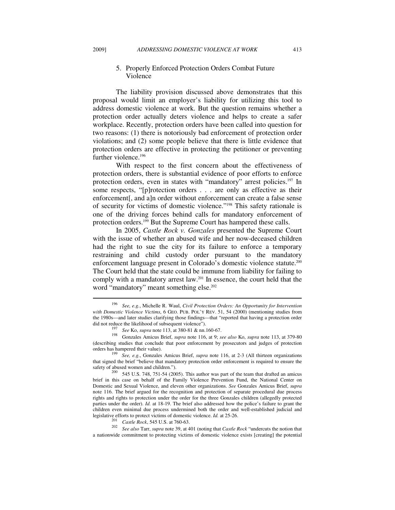### 5. Properly Enforced Protection Orders Combat Future Violence

The liability provision discussed above demonstrates that this proposal would limit an employer's liability for utilizing this tool to address domestic violence at work. But the question remains whether a protection order actually deters violence and helps to create a safer workplace. Recently, protection orders have been called into question for two reasons: (1) there is notoriously bad enforcement of protection order violations; and (2) some people believe that there is little evidence that protection orders are effective in protecting the petitioner or preventing further violence.<sup>196</sup>

With respect to the first concern about the effectiveness of protection orders, there is substantial evidence of poor efforts to enforce protection orders, even in states with "mandatory" arrest policies.197 In some respects, "[p]rotection orders . . . are only as effective as their enforcement[, and a]n order without enforcement can create a false sense of security for victims of domestic violence."198 This safety rationale is one of the driving forces behind calls for mandatory enforcement of protection orders.199 But the Supreme Court has hampered these calls.

In 2005, *Castle Rock v. Gonzales* presented the Supreme Court with the issue of whether an abused wife and her now-deceased children had the right to sue the city for its failure to enforce a temporary restraining and child custody order pursuant to the mandatory enforcement language present in Colorado's domestic violence statute.200 The Court held that the state could be immune from liability for failing to comply with a mandatory arrest law.201 In essence, the court held that the word "mandatory" meant something else.<sup>202</sup>

legislative efforts to protect victims of domestic violence. *Id.* at 25-26.<br><sup>201</sup> *Castle Rock*, 545 U.S. at 760-63.<br><sup>202</sup> *See also Tarr, supra* note 39, at 401 (noting that *Castle Rock* "undercuts the notion that a nationwide commitment to protecting victims of domestic violence exists [creating] the potential

 $\overline{\phantom{a}}$ 

<sup>196</sup> *See, e.g.*, Michelle R. Waul, *Civil Protection Orders: An Opportunity for Intervention with Domestic Violence Victims*, 6 GEO. PUB. POL'Y REV. 51, 54 (2000) (mentioning studies from the 1980s—and later studies clarifying those findings—that "reported that having a protection order did not reduce the likelihood of subsequent violence").

<sup>&</sup>lt;sup>197</sup> See Ko, *supra* note 113, at 380-81 & nn.160-67.<br><sup>198</sup> Gonzales Amicus Brief, *supra* note 116, at 9; *see also* Ko, *supra* note 113, at 379-80 (describing studies that conclude that poor enforcement by prosecutors and judges of protection

orders has hampered their value). 199 *See, e.g.*, Gonzales Amicus Brief, *supra* note 116, at 2-3 (All thirteen organizations that signed the brief "believe that mandatory protection order enforcement is required to ensure the safety of abused women and children.").

 $200$  545 U.S. 748, 751-54 (2005). This author was part of the team that drafted an amicus brief in this case on behalf of the Family Violence Prevention Fund, the National Center on Domestic and Sexual Violence, and eleven other organizations. *See* Gonzales Amicus Brief, *supra*  note 116. The brief argued for the recognition and protection of separate procedural due process rights and rights to protection under the order for the three Gonzales children (allegedly protected parties under the order). *Id.* at 18-19. The brief also addressed how the police's failure to grant the children even minimal due process undermined both the order and well-established judicial and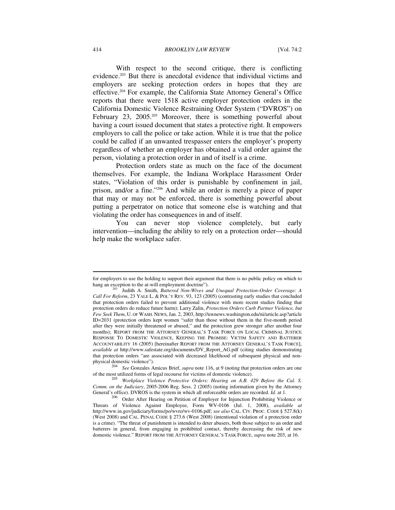#### 414 *BROOKLYN LAW REVIEW* [Vol. 74:2

With respect to the second critique, there is conflicting evidence.203 But there is anecdotal evidence that individual victims and employers are seeking protection orders in hopes that they are effective.204 For example, the California State Attorney General's Office reports that there were 1518 active employer protection orders in the California Domestic Violence Restraining Order System ("DVROS") on February 23, 2005.<sup>205</sup> Moreover, there is something powerful about having a court issued document that states a protective right. It empowers employers to call the police or take action. While it is true that the police could be called if an unwanted trespasser enters the employer's property regardless of whether an employer has obtained a valid order against the person, violating a protection order in and of itself is a crime.

Protection orders state as much on the face of the document themselves. For example, the Indiana Workplace Harassment Order states, "Violation of this order is punishable by confinement in jail, prison, and/or a fine."206 And while an order is merely a piece of paper that may or may not be enforced, there is something powerful about putting a perpetrator on notice that someone else is watching and that violating the order has consequences in and of itself.

You can never stop violence completely, but early intervention—including the ability to rely on a protection order—should help make the workplace safer.

physical domestic violence").<br><sup>204</sup> *See* Gonzales Amicus Brief, *supra* note 116, at 9 (noting that protection orders are one of the most utilized forms of legal recourse for victims of domestic violence).

for employers to use the holding to support their argument that there is no public policy on which to hang an exception to the at-will employment doctrine").

Judith A. Smith, *Battered Non-Wives and Unequal Protection-Order Coverage: A Call For Reform*, 23 YALE L. & POL'Y REV. 93, 123 (2005) (contrasting early studies that concluded that protection orders failed to prevent additional violence with more recent studies finding that protection orders do reduce future harm); Larry Zalin, *Protection Orders Curb Partner Violence, but Few Seek Them*, U. OF WASH. NEWS, Jan. 2, 2003, http://uwnews.washington.edu/ni/article.asp?article ID=2031 (protection orders kept women "safer than those without them in the five-month period after they were initially threatened or abused," and the protection grew stronger after another four months); REPORT FROM THE ATTORNEY GENERAL'S TASK FORCE ON LOCAL CRIMINAL JUSTICE RESPONSE TO DOMESTIC VIOLENCE, KEEPING THE PROMISE: VICTIM SAFETY AND BATTERER ACCOUNTABILITY 16 (2005) [hereinafter REPORT FROM THE ATTORNEY GENERAL'S TASK FORCE], *available at* http://www.safestate.org/documents/DV\_Report\_AG.pdf (citing studies demonstrating that protection orders "are associated with decreased likelihood of subsequent physical and non-

<sup>&</sup>lt;sup>205</sup> Workplace Violence Protective Orders: Hearing on A.B. 429 Before the Cal. S. *Comm. on the Judiciary*, 2005-2006 Reg. Sess. 2 (2005) (noting information given by the Attorney General's office). DVROS is the system in which all enforceable orders are recorded. *Id.* at 1.

<sup>&</sup>lt;sup>206</sup> Order After Hearing on Petition of Employer for Injunction Prohibiting Violence or Threats of Violence Against Employee, Form WV-0106 (Jul. 1, 2008), *available at* http://www.in.gov/judiciary/forms/po/wvro/wv-0106.pdf; *see also* CAL. CIV. PROC. CODE § 527.8(k) (West 2008) and CAL. PENAL CODE § 273.6 (West 2008) (intentional violation of a protection order is a crime). "The threat of punishment is intended to deter abusers, both those subject to an order and batterers in general, from engaging in prohibited contact, thereby decreasing the risk of new domestic violence." REPORT FROM THE ATTORNEY GENERAL'S TASK FORCE, *supra* note 203, at 16.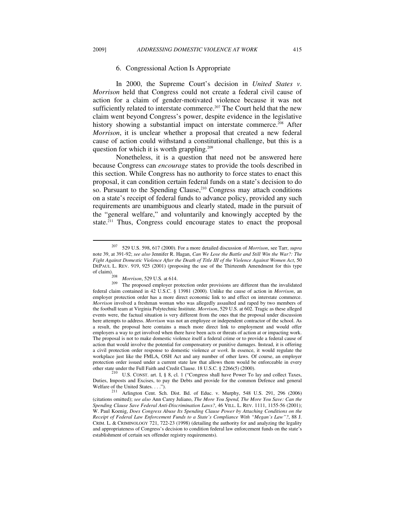### 6. Congressional Action Is Appropriate

In 2000, the Supreme Court's decision in *United States v. Morrison* held that Congress could not create a federal civil cause of action for a claim of gender-motivated violence because it was not sufficiently related to interstate commerce.<sup>207</sup> The Court held that the new claim went beyond Congress's power, despite evidence in the legislative history showing a substantial impact on interstate commerce.<sup>208</sup> After *Morrison*, it is unclear whether a proposal that created a new federal cause of action could withstand a constitutional challenge, but this is a question for which it is worth grappling.<sup>209</sup>

Nonetheless, it is a question that need not be answered here because Congress can *encourage* states to provide the tools described in this section. While Congress has no authority to force states to enact this proposal, it can condition certain federal funds on a state's decision to do so. Pursuant to the Spending Clause,<sup>210</sup> Congress may attach conditions on a state's receipt of federal funds to advance policy, provided any such requirements are unambiguous and clearly stated, made in the pursuit of the "general welfare," and voluntarily and knowingly accepted by the state.211 Thus, Congress could encourage states to enact the proposal

 $\overline{\phantom{a}}$ 

<sup>207 529</sup> U.S. 598, 617 (2000). For a more detailed discussion of *Morrison*, see Tarr, *supra*  note 39, at 391-92; *see also* Jennifer R. Hagan, *Can We Lose the Battle and Still Win the War?: The Fight Against Domestic Violence After the Death of Title III of the Violence Against Women Act*, 50 DEPAUL L. REV. 919, 925 (2001) (proposing the use of the Thirteenth Amendment for this type

<sup>&</sup>lt;sup>208</sup> *Morrison*, 529 U.S. at 614. <sup>209</sup> The proposed employer protection order provisions are different than the invalidated federal claim contained in 42 U.S.C. § 13981 (2000)*.* Unlike the cause of action in *Morrison*, an employer protection order has a more direct economic link to and effect on interstate commerce. *Morrison* involved a freshman woman who was allegedly assaulted and raped by two members of the football team at Virginia Polytechnic Institute. *Morrison*, 529 U.S. at 602. Tragic as these alleged events were, the factual situation is very different from the ones that the proposal under discussion here attempts to address. *Morrison* was not an employee or independent contractor of the school. As a result, the proposal here contains a much more direct link to employment and would offer employers a way to get involved when there have been acts or threats of action at or impacting work. The proposal is not to make domestic violence itself a federal crime or to provide a federal cause of action that would involve the potential for compensatory or punitive damages. Instead, it is offering a civil protection order response to domestic violence *at work*. In essence, it would regulate the workplace just like the FMLA, OSH Act and any number of other laws. Of course, an employer protection order issued under a current state law that allows them would be enforceable in every

other state under the Full Faith and Credit Clause. 18 U.S.C. § 2266(5) (2000).<br><sup>210</sup> U.S. CONST. art. I, § 8, cl. 1 ("Congress shall have Power To lay and collect Taxes, Duties, Imposts and Excises, to pay the Debts and provide for the common Defence and general Welfare of the United States....").

<sup>&</sup>lt;sup>211</sup> Arlington Cent. Sch. Dist. Bd. of Educ. v. Murphy, 548 U.S. 291, 296 (2006) (citations omitted); *see also* Ann Carey Juliano, *The More You Spend, The More You Save: Can the Spending Clause Save Federal Anti-Discrimination Laws?*, 46 VILL. L. REV. 1111, 1155-56 (2001); W. Paul Koenig, *Does Congress Abuse Its Spending Clause Power by Attaching Conditions on the Receipt of Federal Law Enforcement Funds to a State's Compliance With "Megan's Law"?*, 88 J. CRIM. L. & CRIMINOLOGY 721, 722-23 (1998) (detailing the authority for and analyzing the legality and appropriateness of Congress's decision to condition federal law enforcement funds on the state's establishment of certain sex offender registry requirements).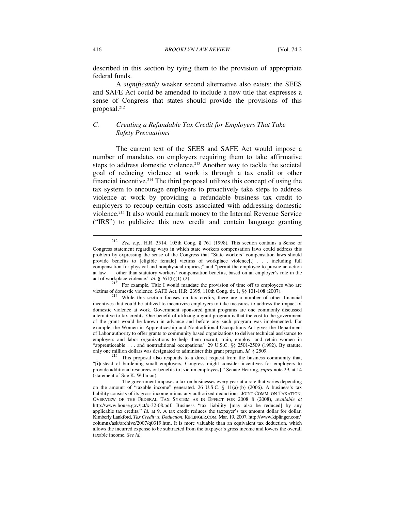described in this section by tying them to the provision of appropriate federal funds.

A *significantly* weaker second alternative also exists: the SEES and SAFE Act could be amended to include a new title that expresses a sense of Congress that states should provide the provisions of this proposal.<sup>212</sup>

# *C. Creating a Refundable Tax Credit for Employers That Take Safety Precautions*

The current text of the SEES and SAFE Act would impose a number of mandates on employers requiring them to take affirmative steps to address domestic violence.<sup>213</sup> Another way to tackle the societal goal of reducing violence at work is through a tax credit or other financial incentive.214 The third proposal utilizes this concept of using the tax system to encourage employers to proactively take steps to address violence at work by providing a refundable business tax credit to employers to recoup certain costs associated with addressing domestic violence.<sup>215</sup> It also would earmark money to the Internal Revenue Service ("IRS") to publicize this new credit and contain language granting

<sup>212</sup> *See, e.g.*, H.R. 3514, 105th Cong. § 761 (1998). This section contains a Sense of Congress statement regarding ways in which state workers compensation laws could address this problem by expressing the sense of the Congress that "State workers' compensation laws should provide benefits to [eligible female] victims of workplace violence[,] . . . including full compensation for physical and nonphysical injuries;" and "permit the employee to pursue an action at law . . . other than statutory workers' compensation benefits, based on an employer's role in the act of workplace violence."  $Id. \S$  761(b)(1)-(2).

 $21\frac{3}{5}$  For example, Title I would mandate the provision of time off to employees who are victims of domestic violence. SAFE Act, H.R. 2395, 110th Cong. tit. 1, §§ 101-108 (2007).<br><sup>214</sup> While this section focuses on tax credits, there are a number of other financial

incentives that could be utilized to incentivize employers to take measures to address the impact of domestic violence at work. Government sponsored grant programs are one commonly discussed alternative to tax credits. One benefit of utilizing a grant program is that the cost to the government of the grant would be known in advance and before any such program was implemented. For example, the Women in Apprenticeship and Nontraditional Occupations Act gives the Department of Labor authority to offer grants to community based organizations to deliver technical assistance to employers and labor organizations to help them recruit, train, employ, and retain women in "apprenticeable . . . and nontraditional occupations." 29 U.S.C. §§ 2501-2509 (1992). By statute,

only one million dollars was designated to administer this grant program. *Id.* § 2509.<br><sup>215</sup> This proposal also responds to a direct request from the business community that, "[i]nstead of burdening small employers, Congress might consider incentives for employers to provide additional resources or benefits to [victim employees]." Senate Hearing, *supra* note 29, at 14 (statement of Sue K. Willman).

The government imposes a tax on businesses every year at a rate that varies depending on the amount of "taxable income" generated. 26 U.S.C.  $\S$  11(a)-(b) (2006). A business's tax liability consists of its gross income minus any authorized deductions. JOINT COMM. ON TAXATION, OVERVIEW OF THE FEDERAL TAX SYSTEM AS IN EFFECT FOR 2008 8 (2008), *available at*  http://www.house.gov/jct/x-32-08.pdf. Business "tax liability [may also be reduced] by any applicable tax credits." *Id.* at 9. A tax credit reduces the taxpayer's tax amount dollar for dollar. Kimberly Lankford, *Tax Credit vs. Deduction*, KIPLINGER.COM, Mar. 19, 2007, http://www.kiplinger.com/ columns/ask/archive/2007/q0319.htm. It is more valuable than an equivalent tax deduction, which allows the incurred expense to be subtracted from the taxpayer's gross income and lowers the overall taxable income. *See id.*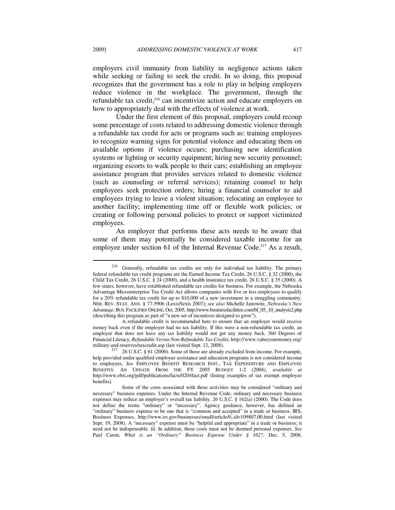employers civil immunity from liability in negligence actions taken while seeking or failing to seek the credit. In so doing, this proposal recognizes that the government has a role to play in helping employers reduce violence in the workplace. The government, through the refundable tax credit,<sup>216</sup> can incentivize action and educate employers on how to appropriately deal with the effects of violence at work.

Under the first element of this proposal, employers could recoup some percentage of costs related to addressing domestic violence through a refundable tax credit for acts or programs such as: training employees to recognize warning signs for potential violence and educating them on available options if violence occurs; purchasing new identification systems or lighting or security equipment; hiring new security personnel; organizing escorts to walk people to their cars; establishing an employee assistance program that provides services related to domestic violence (such as counseling or referral services); retaining counsel to help employees seek protection orders; hiring a financial counselor to aid employees trying to leave a violent situation; relocating an employee to another facility; implementing time off or flexible work policies; or creating or following personal policies to protect or support victimized employees.

An employer that performs these acts needs to be aware that some of them may potentially be considered taxable income for an employee under section 61 of the Internal Revenue Code.<sup>217</sup> As a result,

<sup>216</sup> Generally, refundable tax credits are only for individual tax liability. The primary federal refundable tax credit programs are the Earned Income Tax Credit, 26 U.S.C. § 32 (2000), the Child Tax Credit, 26 U.S.C. § 24 (2000), and a health insurance tax credit, 26 U.S.C. § 35 (2000). A few states, however, have established refundable tax credits for business. For example, the Nebraska Advantage Microenterprise Tax Credit Act allows companies with five or less employees to qualify for a 20% refundable tax credit for up to \$10,000 of a new investment in a struggling community. NEB. REV. STAT. ANN. § 77-5906 (LexisNexis 2007); *see also* Michelle Janowitz, *Nebraska's New Advantage*, BUS. FACILITIES ONLINE, Oct. 2005, http://www.businessfacilities.com/bf\_05\_10\_analysis2.php (describing this program as part of "a new set of incentives designed to grow").

A refundable credit is recommended here to ensure that an employer would receive money back even if the employer had no tax liability. If this were a non-refundable tax credit, an employer that does not have any tax liability would not get any money back. 360 Degrees of Financial Literacy, *Refundable Versus Non-Refundable Tax Credits*, http://www.valueyourmoney.org/

military-and-reserves/taxcredit.asp (last visited Sept. 12, 2008).<br><sup>217</sup> 26 U.S.C. § 61 (2000). Some of these are already excluded from income. For example, help provided under qualified employee assistance and education programs is not considered income to employees. *See* EMPLOYEE BENEFIT RESEARCH INST., TAX EXPENDITURE AND EMPLOYEE BENEFITS: AN UPDATE FROM THE FY 2005 BUDGET 1-2 (2004), *available at*  http://www.ebri.org/pdf/publications/facts/0204fact.pdf (listing examples of tax exempt employee benefits).

Some of the costs associated with these activities may be considered "ordinary and necessary" business expenses. Under the Internal Revenue Code, ordinary and necessary business expenses may reduce an employer's overall tax liability. 26 U.S.C. § 162(a) (2000). The Code does not define the terms "ordinary" or "necessary". Agency guidance, however, has defined an "ordinary" business expense to be one that is "common and accepted" in a trade or business. IRS, Business Expenses, http://www.irs.gov/businesses/small/article/0,,id=109807,00.html (last visited Sept. 19, 2008). A "necessary" expense must be "helpful and appropriate" in a trade or business; it need not be indispensable. *Id.* In addition, these costs must not be deemed personal expenses. *See*  Paul Caron, *What is an "Ordinary" Business Expense Under § 162?*, Dec. 5, 2006,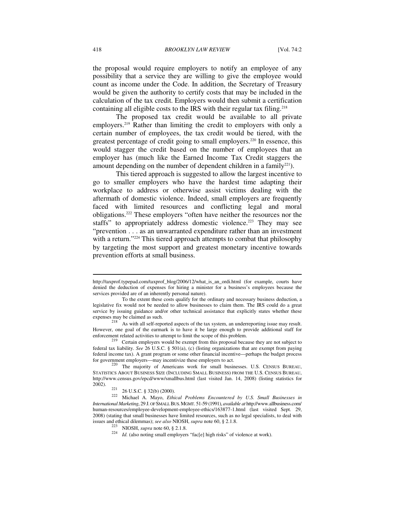the proposal would require employers to notify an employee of any possibility that a service they are willing to give the employee would count as income under the Code. In addition, the Secretary of Treasury would be given the authority to certify costs that may be included in the calculation of the tax credit. Employers would then submit a certification containing all eligible costs to the IRS with their regular tax filing.<sup>218</sup>

The proposed tax credit would be available to all private employers.219 Rather than limiting the credit to employers with only a certain number of employees, the tax credit would be tiered, with the greatest percentage of credit going to small employers.220 In essence, this would stagger the credit based on the number of employees that an employer has (much like the Earned Income Tax Credit staggers the amount depending on the number of dependent children in a family<sup>221</sup>).

This tiered approach is suggested to allow the largest incentive to go to smaller employers who have the hardest time adapting their workplace to address or otherwise assist victims dealing with the aftermath of domestic violence. Indeed, small employers are frequently faced with limited resources and conflicting legal and moral obligations.222 These employers "often have neither the resources nor the staffs" to appropriately address domestic violence.<sup>223</sup> They may see "prevention . . . as an unwarranted expenditure rather than an investment with a return."<sup>224</sup> This tiered approach attempts to combat that philosophy by targeting the most support and greatest monetary incentive towards prevention efforts at small business.

http://taxprof.typepad.com/taxprof\_blog/2006/12/what\_is\_an\_ordi.html (for example, courts have denied the deduction of expenses for hiring a minister for a business's employees because the services provided are of an inherently personal nature).

To the extent these costs qualify for the ordinary and necessary business deduction, a legislative fix would not be needed to allow businesses to claim them. The IRS could do a great service by issuing guidance and/or other technical assistance that explicitly states whether these expenses may be claimed as such.<br><sup>218</sup> As with all self-reported aspects of the tax system, an underreporting issue may result.

However, one goal of the earmark is to have it be large enough to provide additional staff for enforcement related activities to attempt to limit the scope of this problem.<br><sup>219</sup> Certain employers would be exempt from this proposal because they are not subject to

federal tax liability. *See* 26 U.S.C. § 501(a), (c) (listing organizations that are exempt from paying federal income tax). A grant program or some other financial incentive—perhaps the budget process for government employers—may incentivize these employers to act.

<sup>&</sup>lt;sup>220</sup> The majority of Americans work for small businesses. U.S. CENSUS BUREAU, STATISTICS ABOUT BUSINESS SIZE (INCLUDING SMALL BUSINESS) FROM THE U.S. CENSUS BUREAU, http://www.census.gov/epcd/www/smallbus.html (last visited Jan. 14, 2008) (listing statistics for

<sup>2002). 221 26</sup> U.S.C. § 32(b) (2000). 222 Michael A. Mayo, *Ethical Problems Encountered by U.S. Small Businesses in International Marketing*, 29 J. OF SMALL BUS.MGMT. 51-59 (1991), *available at* http://www.allbusiness.com/ human-resources/employee-development-employee-ethics/163877-1.html (last visited Sept. 29, 2008) (stating that small businesses have limited resources, such as no legal specialists, to deal with issues and ethical dilemmas); see also NIOSH, supra note 60, § 2.1.8.

<sup>&</sup>lt;sup>223</sup> NIOSH, *supra* note 60, § 2.1.8. <sup>224</sup> *Id.* (also noting small employers "fac[e] high risks" of violence at work).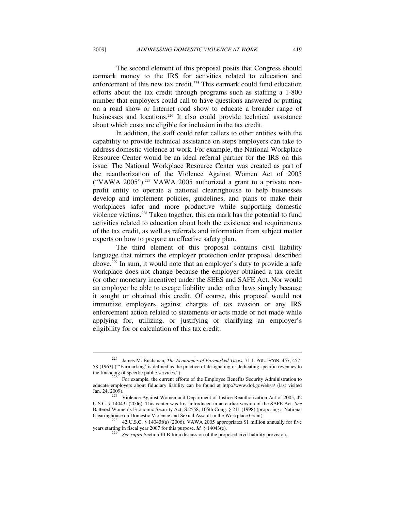The second element of this proposal posits that Congress should earmark money to the IRS for activities related to education and enforcement of this new tax credit.225 This earmark could fund education efforts about the tax credit through programs such as staffing a 1-800 number that employers could call to have questions answered or putting on a road show or Internet road show to educate a broader range of businesses and locations.226 It also could provide technical assistance about which costs are eligible for inclusion in the tax credit.

In addition, the staff could refer callers to other entities with the capability to provide technical assistance on steps employers can take to address domestic violence at work. For example, the National Workplace Resource Center would be an ideal referral partner for the IRS on this issue. The National Workplace Resource Center was created as part of the reauthorization of the Violence Against Women Act of 2005 ("VAWA 2005").227 VAWA 2005 authorized a grant to a private nonprofit entity to operate a national clearinghouse to help businesses develop and implement policies, guidelines, and plans to make their workplaces safer and more productive while supporting domestic violence victims.228 Taken together, this earmark has the potential to fund activities related to education about both the existence and requirements of the tax credit, as well as referrals and information from subject matter experts on how to prepare an effective safety plan.

The third element of this proposal contains civil liability language that mirrors the employer protection order proposal described above.229 In sum, it would note that an employer's duty to provide a safe workplace does not change because the employer obtained a tax credit (or other monetary incentive) under the SEES and SAFE Act. Nor would an employer be able to escape liability under other laws simply because it sought or obtained this credit. Of course, this proposal would not immunize employers against charges of tax evasion or any IRS enforcement action related to statements or acts made or not made while applying for, utilizing, or justifying or clarifying an employer's eligibility for or calculation of this tax credit.

<sup>225</sup> James M. Buchanan, *The Economics of Earmarked Taxes*, 71 J. POL. ECON. 457, 457- 58 (1963) ("'Earmarking' is defined as the practice of designating or dedicating specific revenues to

 $\overrightarrow{226}$  For example, the current efforts of the Employee Benefits Security Administration to educate employers about fiduciary liability can be found at http://www.dol.gov/ebsa/ (last visited

Jan. 24, 2009).<br><sup>227</sup> Violence Against Women and Department of Justice Reauthorization Act of 2005, 42 U.S.C. § 14043f (2006). This center was first introduced in an earlier version of the SAFE Act. *See*  Battered Women's Economic Security Act, S.2558, 105th Cong. § 211 (1998) (proposing a National

Clearinghouse on Domestic Violence and Sexual Assault in the Workplace Grant).<br><sup>228</sup> 42 U.S.C. § 14043f(a) (2006). VAWA 2005 appropriates \$1 million annually for five<br>years starting in fiscal year 2007 for this purpose. *I* 

See supra Section III.B for a discussion of the proposed civil liability provision.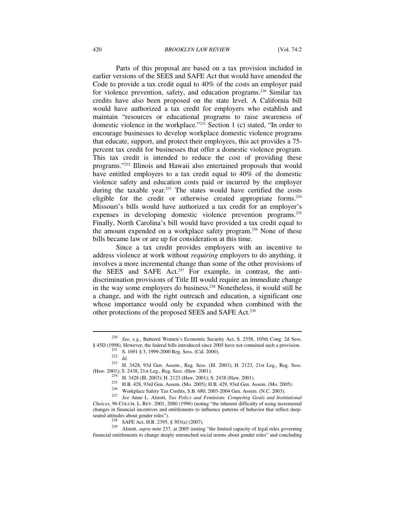Parts of this proposal are based on a tax provision included in earlier versions of the SEES and SAFE Act that would have amended the Code to provide a tax credit equal to 40% of the costs an employer paid for violence prevention, safety, and education programs.230 Similar tax credits have also been proposed on the state level. A California bill would have authorized a tax credit for employers who establish and maintain "resources or educational programs to raise awareness of domestic violence in the workplace."231 Section 1 (c) stated, "In order to encourage businesses to develop workplace domestic violence programs that educate, support, and protect their employees, this act provides a 75 percent tax credit for businesses that offer a domestic violence program. This tax credit is intended to reduce the cost of providing these programs."232 Illinois and Hawaii also entertained proposals that would have entitled employers to a tax credit equal to 40% of the domestic violence safety and education costs paid or incurred by the employer during the taxable year.<sup>233</sup> The states would have certified the costs eligible for the credit or otherwise created appropriate forms.234 Missouri's bills would have authorized a tax credit for an employer's expenses in developing domestic violence prevention programs.235 Finally, North Carolina's bill would have provided a tax credit equal to the amount expended on a workplace safety program.236 None of these bills became law or are up for consideration at this time.

Since a tax credit provides employers with an incentive to address violence at work without *requiring* employers to do anything, it involves a more incremental change than some of the other provisions of the SEES and SAFE Act.<sup>237</sup> For example, in contrast, the antidiscrimination provisions of Title III would require an immediate change in the way some employers do business.238 Nonetheless, it would still be a change, and with the right outreach and education, a significant one whose importance would only be expanded when combined with the other protections of the proposed SEES and SAFE Act.239

<sup>230</sup> *See, e.g.*, Battered Women's Economic Security Act, S. 2558, 105th Cong. 2d Sess.

 $$45D (1998)$ . However, the federal bills introduced since 2005 have not contained such a provision.<br>
231 S. 1691 § 3, 1999-2000 Reg. Sess. (Cal. 2000).<br>
232 Id.<br>
233 H. 3428, 93d Gen. Assem., Reg. Sess. (Ill. 2003); H. 21

<sup>&</sup>lt;sup>234</sup> H. 3428 (Ill. 2003); H. 2123 (Haw. 2001); S. 2438 (Haw. 2001).<br><sup>235</sup> H.B. 428, 93rd Gen. Assem. (Mo. 2005); H.B. 429, 93rd Gen. Assem. (Mo. 2005).<br><sup>236</sup> Workplace Safety Tax Credits, S.B. 680, 2003-2004 Gen. Assem. *Choices*, 96 COLUM. L. REV. 2001, 2080 (1996) (noting "the inherent difficulty of using incremental changes in financial incentives and entitlements to influence patterns of behavior that reflect deep-

seated attitudes about gender roles").<br><sup>238</sup> SAFE Act, H.R. 2395, § 303(a) (2007).<br><sup>239</sup> Alstott, *supra* note 237, at 2005 (noting "the limited capacity of legal rules governing financial entitlements to change deeply entrenched social norms about gender roles" and concluding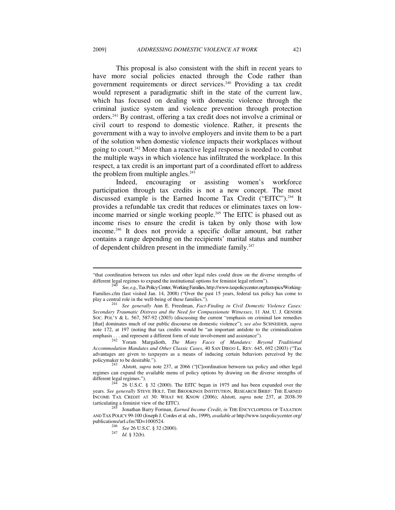This proposal is also consistent with the shift in recent years to have more social policies enacted through the Code rather than government requirements or direct services.<sup>240</sup> Providing a tax credit would represent a paradigmatic shift in the state of the current law, which has focused on dealing with domestic violence through the criminal justice system and violence prevention through protection orders.241 By contrast, offering a tax credit does not involve a criminal or civil court to respond to domestic violence. Rather, it presents the government with a way to involve employers and invite them to be a part of the solution when domestic violence impacts their workplaces without going to court.242 More than a reactive legal response is needed to combat the multiple ways in which violence has infiltrated the workplace. In this respect, a tax credit is an important part of a coordinated effort to address the problem from multiple angles. $243$ 

Indeed, encouraging or assisting women's workforce participation through tax credits is not a new concept. The most discussed example is the Earned Income Tax Credit ("EITC").<sup>244</sup> It provides a refundable tax credit that reduces or eliminates taxes on lowincome married or single working people.<sup>245</sup> The EITC is phased out as income rises to ensure the credit is taken by only those with low income.246 It does not provide a specific dollar amount, but rather contains a range depending on the recipients' marital status and number of dependent children present in the immediate family.<sup>247</sup>

<sup>&</sup>quot;that coordination between tax rules and other legal rules could draw on the diverse strengths of different legal regimes to expand the institutional options for feminist legal reform"). 240 *See, e.g.*, Tax Policy Center,Working Families, http://www.taxpolicycenter.org/taxtopics/Working-

Families.cfm (last visited Jan. 14, 2008) ("Over the past 15 years, federal tax policy has come to play a central role in the well-being of these families.").

<sup>&</sup>lt;sup>241</sup> See generally Ann E. Freedman, *Fact-Finding in Civil Domestic Violence Cases: Secondary Traumatic Distress and the Need for Compassionate Witnesses*, 11 AM. U. J. GENDER SOC. POL'Y & L. 567, 587-92 (2003) (discussing the current "emphasis on criminal law remedies [that] dominates much of our public discourse on domestic violence"); *see also* SCHNEIDER, *supra*  note 172, at 197 (noting that tax credits would be "an important antidote to the criminalization emphasis . . . and represent a different form of state involvement and assistance"). 242 Yoram Margalioth, *The Many Faces of Mandates: Beyond Traditional* 

*Accommodation Mandates and Other Classic Cases*, 40 SAN DIEGO L. REV. 645, 692 (2003) ("Tax advantages are given to taxpayers as a means of inducing certain behaviors perceived by the

<sup>&</sup>lt;sup>243</sup> Alstott, *supra* note 237, at 2066 ("[C]oordination between tax policy and other legal regimes can expand the available menu of policy options by drawing on the diverse strengths of different legal regimes.").<br>  $\frac{244}{266 \times 1000}$  and  $\frac{(2000)(10000)(1000)}{244}$ 

<sup>26</sup> U.S.C. § 32 (2000). The EITC began in 1975 and has been expanded over the years. *See generally* STEVE HOLT, THE BROOKINGS INSTITUTION, RESEARCH BRIEF: THE EARNED INCOME TAX CREDIT AT 30: WHAT WE KNOW (2006); Alstott, *supra* note 237, at 2038-39 (articulating a feminist view of the EITC).

Jonathan Barry Forman, *Earned Income Credit*, *in* THE ENCYCLOPEDIA OF TAXATION AND TAX POLICY 99-100 (Joseph J. Cordes et al. eds., 1999), *available at* http://www.taxpolicycenter.org/

publications/url.cfm?ID=1000524. 246 *See* 26 U.S.C. § 32 (2000). 247 *Id.* § 32(b).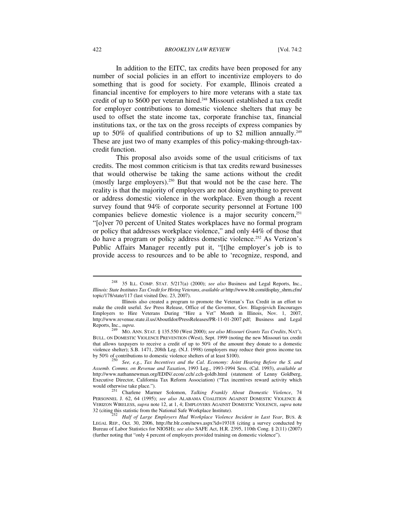In addition to the EITC, tax credits have been proposed for any number of social policies in an effort to incentivize employers to do something that is good for society. For example, Illinois created a financial incentive for employers to hire more veterans with a state tax credit of up to \$600 per veteran hired.248 Missouri established a tax credit for employer contributions to domestic violence shelters that may be used to offset the state income tax, corporate franchise tax, financial institutions tax, or the tax on the gross receipts of express companies by up to 50% of qualified contributions of up to \$2 million annually.<sup>249</sup> These are just two of many examples of this policy-making-through-taxcredit function.

This proposal also avoids some of the usual criticisms of tax credits. The most common criticism is that tax credits reward businesses that would otherwise be taking the same actions without the credit (mostly large employers).250 But that would not be the case here. The reality is that the majority of employers are not doing anything to prevent or address domestic violence in the workplace. Even though a recent survey found that 94% of corporate security personnel at Fortune 100 companies believe domestic violence is a major security concern,<sup>251</sup> "[o]ver 70 percent of United States workplaces have no formal program or policy that addresses workplace violence," and only 44% of those that do have a program or policy address domestic violence.252 As Verizon's Public Affairs Manager recently put it, "[t]he employer's job is to provide access to resources and to be able to 'recognize, respond, and

<sup>248 35</sup> ILL. COMP. STAT. 5/217(a) (2000); *see also* Business and Legal Reports, Inc., *Illinois: State Institutes Tax Credit for Hiring Veterans*, *available at* http://www.blr.com/display\_shrm.cfm/ topic/178/state/117 (last visited Dec. 23, 2007).

Illinois also created a program to promote the Veteran's Tax Credit in an effort to make the credit useful. *See* Press Release, Office of the Governor, Gov. Blagojevich Encourages Employers to Hire Veterans During "Hire a Vet" Month in Illinois, Nov. 1, 2007, http://www.revenue.state.il.us/AboutIdor/PressReleases/PR-11-01-2007.pdf; Business and Legal Reports, Inc., *supra*. 249 MO. ANN. STAT. § 135.550 (West 2000); *see also Missouri Grants Tax Credits*, NAT'L

BULL. ON DOMESTIC VIOLENCE PREVENTION (West), Sept. 1999 (noting the new Missouri tax credit that allows taxpayers to receive a credit of up to 50% of the amount they donate to a domestic violence shelter); S.B. 1471, 208th Leg. (N.J. 1998) (employers may reduce their gross income tax by 50% of contributions to domestic violence shelters of at least \$100).

<sup>&</sup>lt;sup>250</sup> See, e.g., *Tax Incentives and the Cal. Economy: Joint Hearing Before the S. and Assemb. Comms. on Revenue and Taxation*, 1993 Leg., 1993-1994 Sess. (Cal. 1993), *available at*  http://www.nathannewman.org/EDIN/.econ/.cch/.cch-goldb.html (statement of Lenny Goldberg, Executive Director, California Tax Reform Association) ("Tax incentives reward activity which would otherwise take place.").

<sup>&</sup>lt;sup>251</sup> Charlene Marmer Solomon, *Talking Frankly About Domestic Violence*, 74 PERSONNEL J. 62, 64 (1995); *see also* ALABAMA COALITION AGAINST DOMESTIC VIOLENCE & VERIZON WIRELESS, *supra* note 12, at 1, 4; EMPLOYERS AGAINST DOMESTIC VIOLENCE, *supra* note

<sup>&</sup>lt;sup>252</sup> Half of Large Employers Had Workplace Violence Incident in Last Year, BUS. & LEGAL REP., Oct. 30, 2006, http://hr.blr.com/news.aspx?id=19318 (citing a survey conducted by Bureau of Labor Statistics for NIOSH); *see also* SAFE Act, H.R. 2395, 110th Cong. § 2(11) (2007) (further noting that "only 4 percent of employers provided training on domestic violence").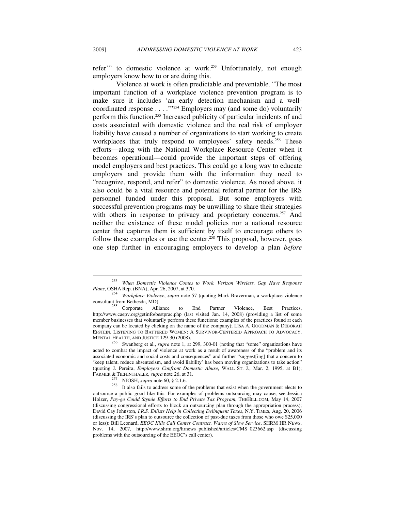refer'" to domestic violence at work.<sup>253</sup> Unfortunately, not enough employers know how to or are doing this.

Violence at work is often predictable and preventable. "The most important function of a workplace violence prevention program is to make sure it includes 'an early detection mechanism and a wellcoordinated response . . . .'"254 Employers may (and some do) voluntarily perform this function.255 Increased publicity of particular incidents of and costs associated with domestic violence and the real risk of employer liability have caused a number of organizations to start working to create workplaces that truly respond to employees' safety needs.<sup>256</sup> These efforts—along with the National Workplace Resource Center when it becomes operational—could provide the important steps of offering model employers and best practices. This could go a long way to educate employers and provide them with the information they need to "recognize, respond, and refer" to domestic violence. As noted above, it also could be a vital resource and potential referral partner for the IRS personnel funded under this proposal. But some employers with successful prevention programs may be unwilling to share their strategies with others in response to privacy and proprietary concerns.<sup>257</sup> And neither the existence of these model policies nor a national resource center that captures them is sufficient by itself to encourage others to follow these examples or use the center.<sup>258</sup> This proposal, however, goes one step further in encouraging employers to develop a plan *before*

<sup>253</sup> *When Domestic Violence Comes to Work, Verizon Wireless, Gap Have Response* 

*Plans*, OSHA Rep. (BNA), Apr. 26, 2007, at 370. 254 *Workplace Violence*, *supra* note 57 (quoting Mark Braverman, a workplace violence consultant from Bethesda, MD).<br>
<sup>255</sup> Corporate Alliance to End Partner Violence, Best Practices,

http://www.caepv.org/getinfo/bestprac.php (last visited Jan. 14, 2008) (providing a list of some member businesses that voluntarily perform these functions; examples of the practices found at each company can be located by clicking on the name of the company); LISA A. GOODMAN & DEBORAH EPSTEIN, LISTENING TO BATTERED WOMEN: A SURVIVOR-CENTERED APPROACH TO ADVOCACY, MENTAL HEALTH, AND JUSTICE 129-30 (2008). 256 Swanberg et al., *supra* note 1, at 299, 300-01 (noting that "some" organizations have

acted to combat the impact of violence at work as a result of awareness of the "problem and its associated economic and social costs and consequences" and further "suggest[ing] that a concern to 'keep talent, reduce absenteeism, and avoid liability' has been moving organizations to take action" (quoting J. Pereira, *Employers Confront Domestic Abuse*, WALL ST. J., Mar. 2, 1995, at B1);

FARMER & TIEFENTHALER, *supra* note 26, at 31.<br><sup>257</sup> NIOSH, *supra* note 60, § 2.1.6.<br><sup>258</sup> It also fails to address some of the problems that exist when the government elects to outsource a public good like this. For examples of problems outsourcing may cause, see Jessica Holzer, *Pay-go Could Stymie Efforts to End Private Tax Program*, THEHILL.COM, May 14, 2007 (discussing congressional efforts to block an outsourcing plan through the appropriation process); David Cay Johnston, *I.R.S. Enlists Help in Collecting Delinquent Taxes*, N.Y. TIMES, Aug. 20, 2006 (discussing the IRS's plan to outsource the collection of past-due taxes from those who owe \$25,000 or less); Bill Leonard, *EEOC Kills Call Center Contract, Warns of Slow Service*, SHRM HR NEWS, Nov. 14, 2007, http://www.shrm.org/hrnews\_published/articles/CMS\_023662.asp (discussing problems with the outsourcing of the EEOC's call center).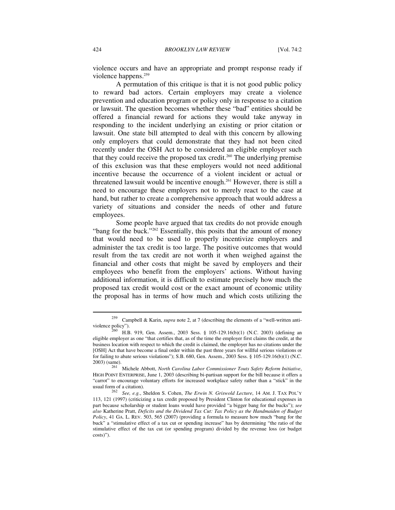violence occurs and have an appropriate and prompt response ready if violence happens.259

A permutation of this critique is that it is not good public policy to reward bad actors. Certain employers may create a violence prevention and education program or policy only in response to a citation or lawsuit. The question becomes whether these "bad" entities should be offered a financial reward for actions they would take anyway in responding to the incident underlying an existing or prior citation or lawsuit. One state bill attempted to deal with this concern by allowing only employers that could demonstrate that they had not been cited recently under the OSH Act to be considered an eligible employer such that they could receive the proposed tax credit.<sup>260</sup> The underlying premise of this exclusion was that these employers would not need additional incentive because the occurrence of a violent incident or actual or threatened lawsuit would be incentive enough.261 However, there is still a need to encourage these employers not to merely react to the case at hand, but rather to create a comprehensive approach that would address a variety of situations and consider the needs of other and future employees.

Some people have argued that tax credits do not provide enough "bang for the buck."<sup>262</sup> Essentially, this posits that the amount of money that would need to be used to properly incentivize employers and administer the tax credit is too large. The positive outcomes that would result from the tax credit are not worth it when weighed against the financial and other costs that might be saved by employers and their employees who benefit from the employers' actions. Without having additional information, it is difficult to estimate precisely how much the proposed tax credit would cost or the exact amount of economic utility the proposal has in terms of how much and which costs utilizing the

<sup>259</sup> Campbell & Karin, *supra* note 2, at 7 (describing the elements of a "well-written antiviolence policy").<br> $^{260}$  H.B. 919, Gen. Assem., 2003 Sess. § 105-129.16(b)(1) (N.C. 2003) (defining an

eligible employer as one "that certifies that, as of the time the employer first claims the credit, at the business location with respect to which the credit is claimed, the employer has no citations under the [OSH] Act that have become a final order within the past three years for willful serious violations or for failing to abate serious violations"); S.B. 680, Gen. Assem., 2003 Sess. § 105-129.16(b)(1) (N.C.

<sup>2003) (</sup>same). 261 Michele Abbott, *North Carolina Labor Commissioner Touts Safety Reform Initiative*, HIGH POINT ENTERPRISE, June 1, 2003 (describing bi-partisan support for the bill because it offers a "carrot" to encourage voluntary efforts for increased workplace safety rather than a "stick" in the

usual form of a citation). 262 *See, e.g.*, Sheldon S. Cohen, *The Erwin N. Griswold Lecture*, 14 AM. J. TAX POL'Y 113, 121 (1997) (criticizing a tax credit proposed by President Clinton for educational expenses in part because scholarship or student loans would have provided "a bigger bang for the bucks"); *see also* Katherine Pratt, *Deficits and the Dividend Tax Cut: Tax Policy as the Handmaiden of Budget Policy*, 41 GA. L. REV. 503, 565 (2007) (providing a formula to measure how much "bang for the buck" a "stimulative effect of a tax cut or spending increase" has by determining "the ratio of the stimulative effect of the tax cut (or spending program) divided by the revenue loss (or budget costs)").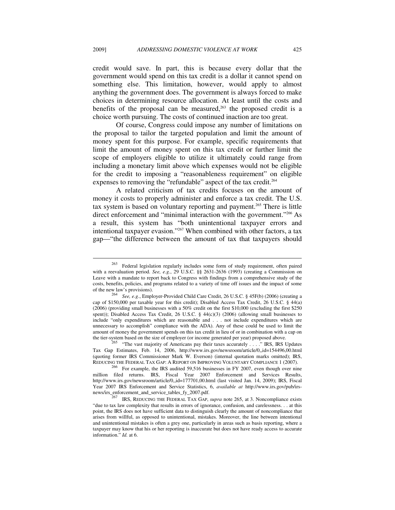credit would save. In part, this is because every dollar that the government would spend on this tax credit is a dollar it cannot spend on something else. This limitation, however, would apply to almost anything the government does. The government is always forced to make choices in determining resource allocation. At least until the costs and benefits of the proposal can be measured, $263$  the proposed credit is a choice worth pursuing. The costs of continued inaction are too great.

Of course, Congress could impose any number of limitations on the proposal to tailor the targeted population and limit the amount of money spent for this purpose. For example, specific requirements that limit the amount of money spent on this tax credit or further limit the scope of employers eligible to utilize it ultimately could range from including a monetary limit above which expenses would not be eligible for the credit to imposing a "reasonableness requirement" on eligible expenses to removing the "refundable" aspect of the tax credit.<sup>264</sup>

A related criticism of tax credits focuses on the amount of money it costs to properly administer and enforce a tax credit. The U.S. tax system is based on voluntary reporting and payment.<sup>265</sup> There is little direct enforcement and "minimal interaction with the government."<sup>266</sup> As a result, this system has "both unintentional taxpayer errors and intentional taxpayer evasion."267 When combined with other factors, a tax gap—"the difference between the amount of tax that taxpayers should

<sup>263</sup> Federal legislation regularly includes some form of study requirement, often paired with a reevaluation period. *See, e.g.*, 29 U.S.C. §§ 2631-2636 (1993) (creating a Commission on Leave with a mandate to report back to Congress with findings from a comprehensive study of the costs, benefits, policies, and programs related to a variety of time off issues and the impact of some<br>of the new law's provisions).<br> $^{264}$  See a.g. Employer Provided Child Care Credit 26 U.S.C. 8.45E(b) (2006) (creating

See, e.g., Employer-Provided Child Care Credit, 26 U.S.C. § 45F(b) (2006) (creating a cap of \$150,000 per taxable year for this credit); Disabled Access Tax Credit, 26 U.S.C. § 44(a) (2006) (providing small businesses with a 50% credit on the first \$10,000 (excluding the first \$250 spent)); Disabled Access Tax Credit, 26 U.S.C. § 44(c)(3) (2006) (allowing small businesses to include "only expenditures which are reasonable and . . . not include expenditures which are unnecessary to accomplish" compliance with the ADA). Any of these could be used to limit the amount of money the government spends on this tax credit in lieu of or in combination with a cap on the tier-system based on the size of employer (or income generated per year) proposed above.<br><sup>265</sup> "The vast majority of Americans pay their taxes accurately . . . ." IRS, IRS Updates

Tax Gap Estimates, Feb. 14, 2006, http://www.irs.gov/newsroom/article/0,,id=154496,00.html (quoting former IRS Commissioner Mark W. Everson) (internal quotation marks omitted); IRS,

REDUCING THE FEDERAL TAX GAP: A REPORT ON IMPROVING VOLUNTARY COMPLIANCE 1 (2007).<br><sup>266</sup> For example, the IRS audited 59,516 businesses in FY 2007, even though over nine million filed returns. IRS, Fiscal Year 2007 Enforcement and Services Results, http://www.irs.gov/newsroom/article/0,,id=177701,00.html (last visited Jan. 14, 2009); IRS, Fiscal Year 2007 IRS Enforcement and Service Statistics, 6, *available at* http://www.irs.gov/pub/irsnews/irs\_enforcement\_and\_service\_tables\_fy\_2007.pdf. 267 IRS, REDUCING THE FEDERAL TAX GAP, *supra* note 265, at 3. Noncompliance exists

<sup>&</sup>quot;due to tax law complexity that results in errors of ignorance, confusion, and carelessness. . . at this point, the IRS does not have sufficient data to distinguish clearly the amount of noncompliance that arises from willful, as opposed to unintentional, mistakes. Moreover, the line between intentional and unintentional mistakes is often a grey one, particularly in areas such as basis reporting, where a taxpayer may know that his or her reporting is inaccurate but does not have ready access to accurate information." *Id.* at 6.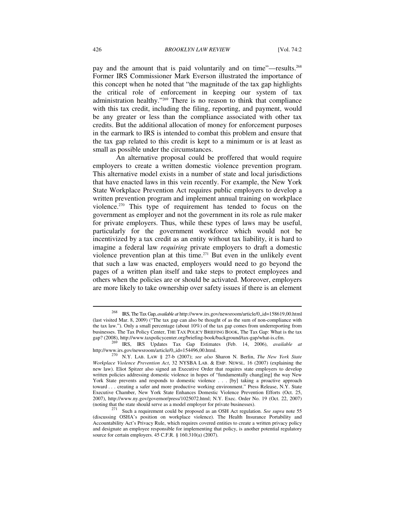pay and the amount that is paid voluntarily and on time"—results.<sup>268</sup> Former IRS Commissioner Mark Everson illustrated the importance of this concept when he noted that "the magnitude of the tax gap highlights the critical role of enforcement in keeping our system of tax administration healthy."269 There is no reason to think that compliance with this tax credit, including the filing, reporting, and payment, would be any greater or less than the compliance associated with other tax credits. But the additional allocation of money for enforcement purposes in the earmark to IRS is intended to combat this problem and ensure that the tax gap related to this credit is kept to a minimum or is at least as small as possible under the circumstances.

An alternative proposal could be proffered that would require employers to create a written domestic violence prevention program. This alternative model exists in a number of state and local jurisdictions that have enacted laws in this vein recently. For example, the New York State Workplace Prevention Act requires public employers to develop a written prevention program and implement annual training on workplace violence.270 This type of requirement has tended to focus on the government as employer and not the government in its role as rule maker for private employers. Thus, while these types of laws may be useful, particularly for the government workforce which would not be incentivized by a tax credit as an entity without tax liability, it is hard to imagine a federal law *requiring* private employers to draft a domestic violence prevention plan at this time.<sup>271</sup> But even in the unlikely event that such a law was enacted, employers would need to go beyond the pages of a written plan itself and take steps to protect employees and others when the policies are or should be activated. Moreover, employers are more likely to take ownership over safety issues if there is an element

<sup>268</sup> IRS, The Tax Gap, *available at* http://www.irs.gov/newsroom/article/0,,id=158619,00.html (last visited Mar. 8, 2009) ("The tax gap can also be thought of as the sum of non-compliance with the tax law."). Only a small percentage (about 10%) of the tax gap comes from underreporting from businesses. The Tax Policy Center, THE TAX POLICY BRIEFING BOOK, The Tax Gap: What is the tax

gap? (2008), http://www.taxpolicycenter.org/briefing-book/background/tax-gap/what-is.cfm. 269 IRS, IRS Updates Tax Gap Estimates (Feb. 14, 2006), *available at* http://www.irs.gov/newsroom/article/0,,id=154496,00.html.

 <sup>270</sup> N.Y. LAB. LAW § 27-b (2007); *see also* Sharon N. Berlin, *The New York State Workplace Violence Prevention Act*, 32 NYSBA LAB. & EMP. NEWSL. 16 (2007) (explaining the new law). Eliot Spitzer also signed an Executive Order that requires state employers to develop written policies addressing domestic violence in hopes of "fundamentally chang[ing] the way New York State prevents and responds to domestic violence . . . [by] taking a proactive approach toward . . . creating a safer and more productive working environment." Press Release, N.Y. State Executive Chamber, New York State Enhances Domestic Violence Prevention Efforts (Oct. 25, 2007), http://www.ny.gov/governor/press/1025072.html; N.Y. Exec. Order No. 19 (Oct. 22, 2007) (noting that the state should serve as a model employer for private businesses).

<sup>&</sup>lt;sup>271</sup> Such a requirement could be proposed as an OSH Act regulation. *See supra* note 55 (discussing OSHA's position on workplace violence). The Health Insurance Portability and Accountability Act's Privacy Rule, which requires covered entities to create a written privacy policy and designate an employee responsible for implementing that policy, is another potential regulatory source for certain employers. 45 C.F.R. § 160.310(a) (2007).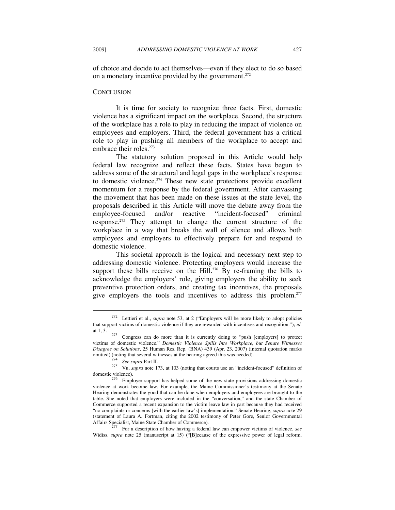of choice and decide to act themselves—even if they elect to do so based on a monetary incentive provided by the government.<sup>272</sup>

#### **CONCLUSION**

It is time for society to recognize three facts. First, domestic violence has a significant impact on the workplace. Second, the structure of the workplace has a role to play in reducing the impact of violence on employees and employers. Third, the federal government has a critical role to play in pushing all members of the workplace to accept and embrace their roles.<sup>273</sup>

The statutory solution proposed in this Article would help federal law recognize and reflect these facts. States have begun to address some of the structural and legal gaps in the workplace's response to domestic violence.274 These new state protections provide excellent momentum for a response by the federal government. After canvassing the movement that has been made on these issues at the state level, the proposals described in this Article will move the debate away from the employee-focused and/or reactive "incident-focused" criminal response.275 They attempt to change the current structure of the workplace in a way that breaks the wall of silence and allows both employees and employers to effectively prepare for and respond to domestic violence.

This societal approach is the logical and necessary next step to addressing domestic violence. Protecting employers would increase the support these bills receive on the Hill.<sup>276</sup> By re-framing the bills to acknowledge the employers' role, giving employers the ability to seek preventive protection orders, and creating tax incentives, the proposals give employers the tools and incentives to address this problem.<sup>277</sup>

<sup>272</sup> Lettieri et al., *supra* note 53, at 2 ("Employers will be more likely to adopt policies that support victims of domestic violence if they are rewarded with incentives and recognition."); *id.*  at 1, 3.  $273$  Congress can do more than it is currently doing to "push [employers] to protect

victims of domestic violence." *Domestic Violence Spills Into Workplace, but Senate Witnesses Disagree on Solutions*, 25 Human Res. Rep. (BNA) 439 (Apr. 23, 2007) (internal quotation marks

omitted) (noting that several witnesses at the hearing agreed this was needed).<br><sup>274</sup> *See supra* Part II.<br><sup>275</sup> Vu, *supra* note 173, at 103 (noting that courts use an "incident-focused" definition of

domestic violence).<br><sup>276</sup> Employer support has helped some of the new state provisions addressing domestic violence at work become law. For example, the Maine Commissioner's testimony at the Senate Hearing demonstrates the good that can be done when employers and employees are brought to the table. She noted that employers were included in the "conversation," and the state Chamber of Commerce supported a recent expansion to the victim leave law in part because they had received "no complaints or concerns [with the earlier law's] implementation." Senate Hearing, *supra* note 29 (statement of Laura A. Fortman, citing the 2002 testimony of Peter Gore, Senior Governmental

For a description of how having a federal law can empower victims of violence, see Widiss, *supra* note 25 (manuscript at 15) ("[B]ecause of the expressive power of legal reform,